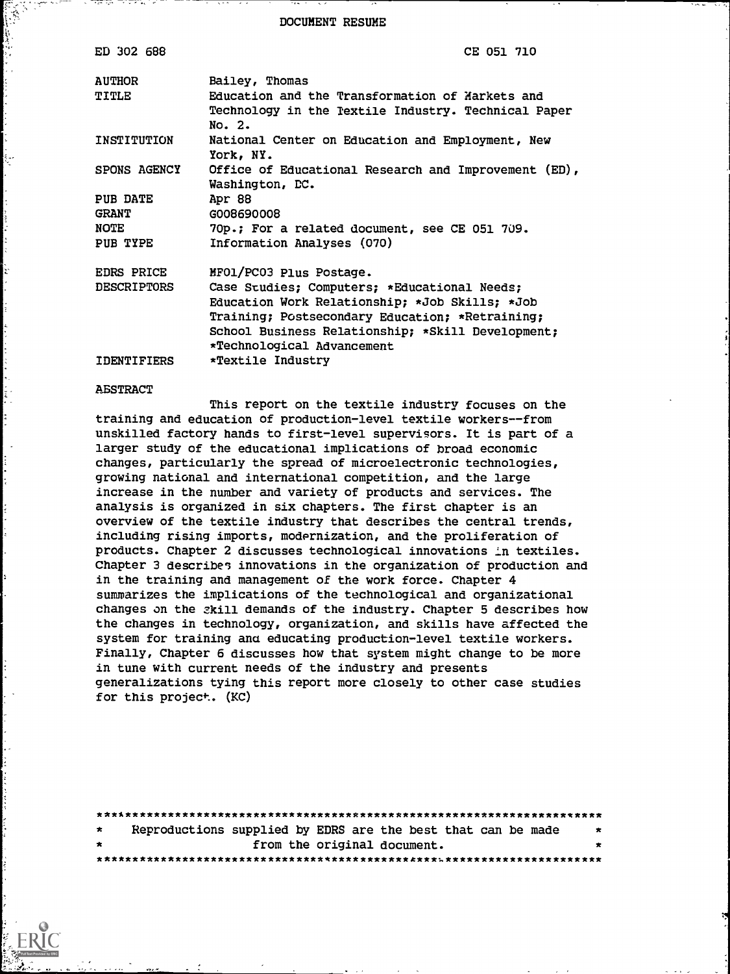DOCUMENT RESUME

| ED 302 688         | CE 051 710                                                                                                       |
|--------------------|------------------------------------------------------------------------------------------------------------------|
| <b>AUTHOR</b>      | Bailey, Thomas                                                                                                   |
| TITLE              | Education and the Transformation of Markets and<br>Technology in the Textile Industry. Technical Paper<br>No. 2. |
| INSTITUTION        | National Center on Education and Employment, New<br>York, NY.                                                    |
| SPONS AGENCY       | Office of Educational Research and Improvement (ED),<br>Washington, DC.                                          |
| PUB DATE           | Apr 88                                                                                                           |
| <b>GRANT</b>       | G008690008                                                                                                       |
| NOTE               | 70p.; For a related document, see CE 051 709.                                                                    |
| PUB TYPE           | Information Analyses (070)                                                                                       |
| <b>EDRS PRICE</b>  | MFO1/PC03 Plus Postage.                                                                                          |
| <b>DESCRIPTORS</b> | Case Studies; Computers; *Educational Needs;                                                                     |
|                    | Education Work Relationship; *Job Skills; *Job                                                                   |
|                    | Training; Postsecondary Education; *Retraining;                                                                  |
|                    | School Business Relationship; *Skill Development;                                                                |
|                    | *Technological Advancement                                                                                       |
| IDENTIFIERS        | *Textile Industry                                                                                                |

#### ABSTRACT

This report on the textile industry focuses on the training and education of production-level textile workers--from unskilled factory hands to first-level supervisors. It is part of a larger study of the educational implications of broad economic changes, particularly the spread of microelectronic technologies, growing national and international competition, and the large increase in the number and variety of products and services. The analysis is organized in six chapters. The first chapter is an overview of the textile industry that describes the central trends, including rising imports, modernization, and the proliferation of products. Chapter 2 discusses technological innovations in textiles. Chapter 3 describes innovations in the organization of production and in the training and management of the work force. Chapter 4 summarizes the implications of the technological and organizational changes on the skill demands of the industry. Chapter 5 describes how the changes in technology, organization, and skills have affected the system for training ana educating production-level textile workers. Finally, Chapter 6 discusses how that system might change to be more in tune with current needs of the industry and presents generalizations tying this report more closely to other case studies for this project. (KC)

| $\star$    |  |                             | Reproductions supplied by EDRS are the best that can be made | * |
|------------|--|-----------------------------|--------------------------------------------------------------|---|
| $^{\star}$ |  | from the original document. |                                                              | × |
|            |  |                             |                                                              |   |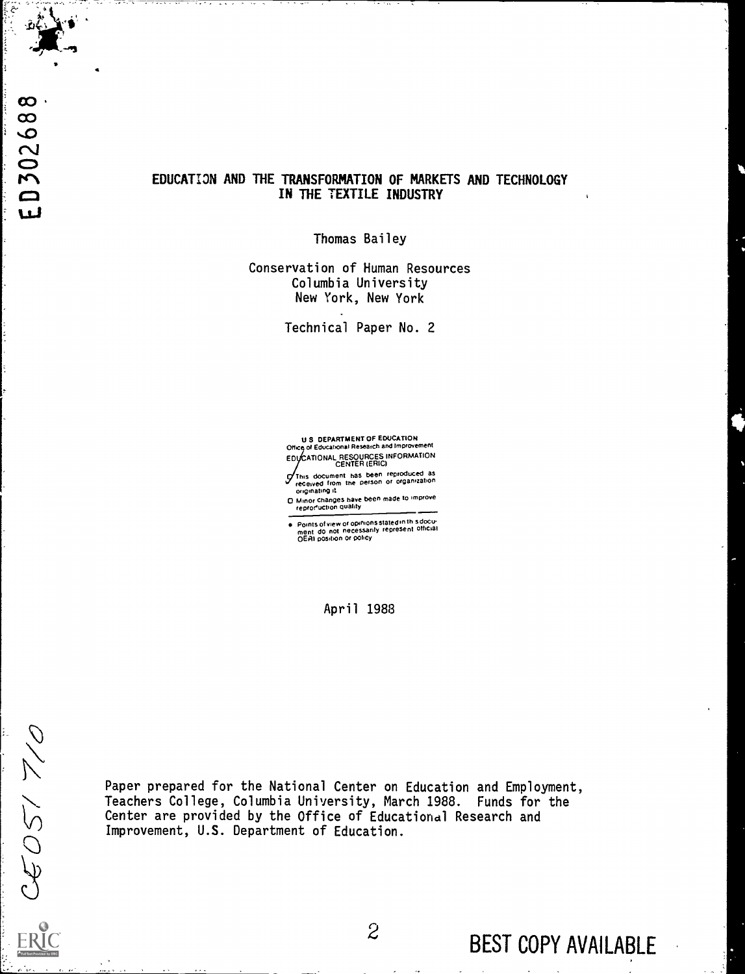.

# EDUCATION AND THE TRANSFORMATION OF MARKETS AND TECHNOLOGY IN THE TEXTILE INDUSTRY

Thomas Bailey

Conservation of Human Resources Columbia University New York, New York

Technical Paper No. 2

U S DEPARTMENT OF EDUCATION Office of Educational Research and Improvement EDI/CATIONAL RESOURCES INFORMATION<br>CENTER (ERIC)

This document has been reproduced as received from the person or organization originating it 9

0 Minor changes have been made to improve reproeuction duality

Points of view or opinions stated in this docu-<br>ment ido not inecessarily represent official<br>OERI position or policy

April 1988

 $CEOS/7/0$ 

Paper prepared for the National Center on Education and Employment, Teachers College, Columbia University, March 1988. Funds for the Center are provided by the Office of Educational Research and Improvement, U.S. Department of Education.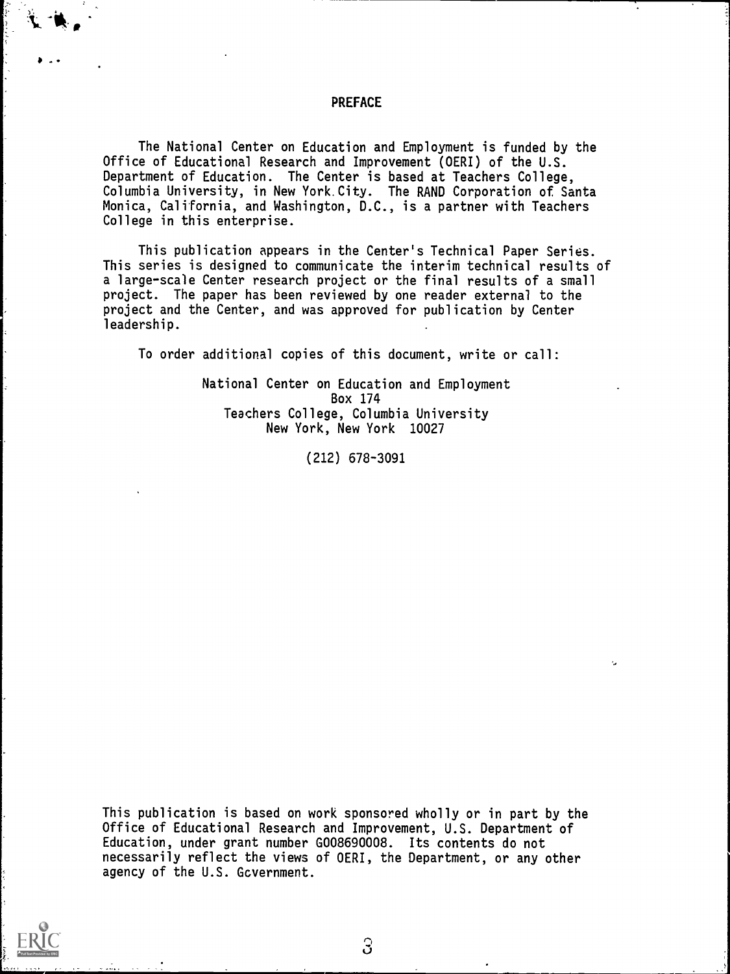#### PREFACE

 $\ddot{\phantom{a}}$ 

The National Center on Education and Employment is funded by the Office of Educational Research and Improvement (OERI) of the U.S. Department of Education. The Center is based at Teachers College, Columbia University, in New York. City. The RAND Corporation of Santa Monica, California, and Washington, D.C., is a partner with Teachers College in this enterprise.

This publication appears in the Center's Technical Paper Series. This series is designed to communicate the interim technical results of a large-scale Center research project or the final results of a small project. The paper has been reviewed by one reader external to the project and the Center, and was approved for publication by Center leadership.

To order additional copies of this document, write or call:

National Center on Education and Employment Box 174 Teachers College, Columbia University New York, New York 10027

(212) 678-3091

This publication is based on work sponsored wholly or in part by the Office of Educational Research and Improvement, U.S. Department of Education, under grant number G008690008. Its contents do not necessarily reflect the views of OERI, the Department, or any other agency of the U.S. Gcvernment.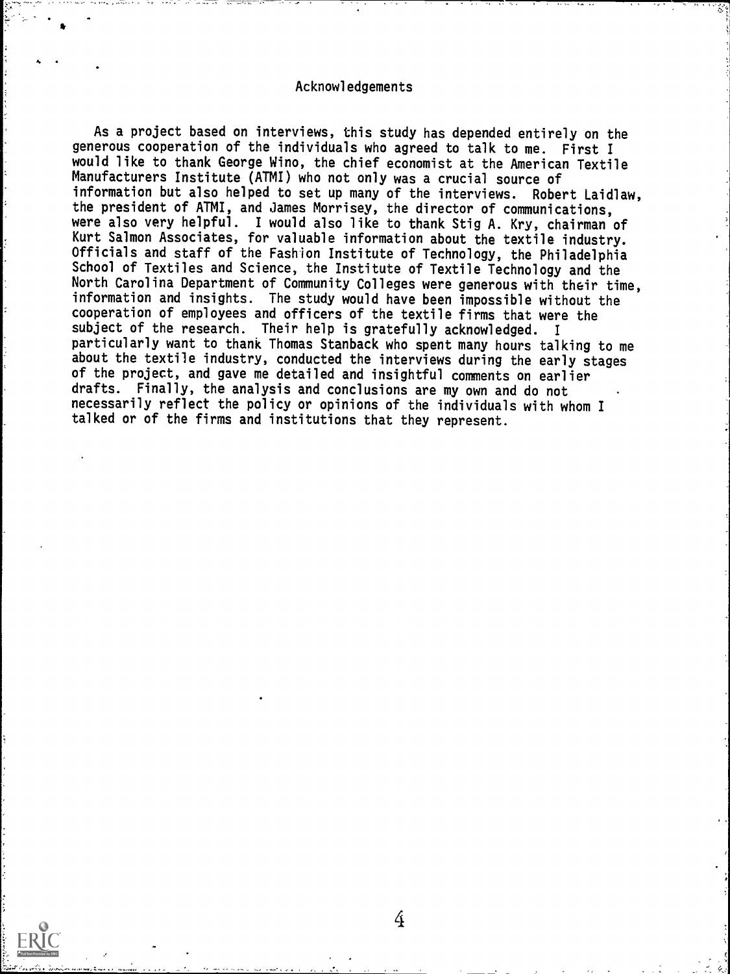## Acknowledgements

4

As a project based on interviews, this study has depended entirely on the generous cooperation of the individuals who agreed to talk to me. First I would like to thank George Wino, the chief economist at the American Textile Manufacturers Institute (ATMI) who not only was a crucial source of information but also helped to set up many of the interviews. Robert Laidlaw, the president of ATMI, and James Morrisey, the director of communications, were also very helpful. I would also like to thank Stig A. Kry, chairman of Kurt Salmon Associates, for valuable information about the textile industry. Officials and staff of the Fashion Institute of Technology, the Philadelphia School of Textiles and Science, the Institute of Textile Technology and the North Carolina Department of Community Colleges were generous with their time, information and insights. The study would have been impossible without the cooperation of employees and officers of the textile firms that were the subject of the research. Their help is gratefully acknowledged. <sup>I</sup> particularly want to thank Thomas Stanback who spent many hours talking to me about the textile industry, conducted the interviews during the early stages of the project, and gave me detailed and insightful comments on earlier drafts. Finally, the analysis and conclusions are my own and do not necessarily reflect the policy or opinions of the individuals with whom I talked or of the firms and institutions that they represent.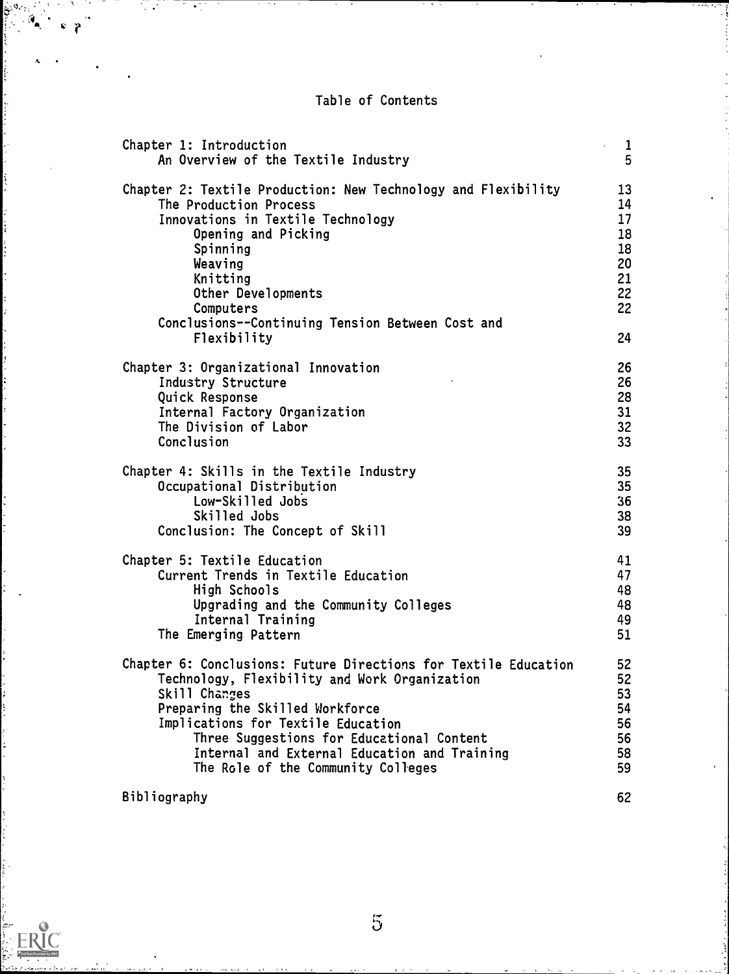Table of Contents

| Chapter 1: Introduction<br>An Overview of the Textile Industry  | 1<br>ć.<br>5 |
|-----------------------------------------------------------------|--------------|
| Chapter 2: Textile Production: New Technology and Flexibility   | 13           |
| The Production Process                                          | 14           |
| Innovations in Textile Technology                               | 17           |
| Opening and Picking                                             | 18           |
| Spinning                                                        | 18           |
| Weaving                                                         | 20           |
| Knitting                                                        | 21           |
| Other Developments                                              | 22           |
| Computers                                                       | 22           |
| Conclusions--Continuing Tension Between Cost and                |              |
| Flexibility                                                     | 24           |
| Chapter 3: Organizational Innovation                            | 26           |
| Industry Structure                                              | 26           |
| Quick Response                                                  | 28           |
| Internal Factory Organization                                   | 31           |
| The Division of Labor                                           | 32           |
| Conclusion                                                      | 33           |
| Chapter 4: Skills in the Textile Industry                       | 35           |
| Occupational Distribution                                       | 35           |
| Low-Skilled Jobs                                                | 36           |
| Skilled Jobs                                                    | 38           |
| Conclusion: The Concept of Skill                                | 39           |
| Chapter 5: Textile Education                                    | 41           |
| Current Trends in Textile Education                             | 47           |
| High Schools                                                    | 48           |
| Upgrading and the Community Colleges                            | 48           |
| Internal Training                                               | 49           |
| The Emerging Pattern                                            | 51           |
| Chapter 6: Conclusions: Future Directions for Textile Education | 52           |
| Technology, Flexibility and Work Organization                   | 52           |
| Skill Changes                                                   | 53           |
| Preparing the Skilled Workforce                                 | 54           |
| Implications for Textile Education                              | 56           |
| Three Suggestions for Educational Content                       | 56           |
| Internal and External Education and Training                    | 58           |
| The Role of the Community Colleges                              | 59           |
| Bibliography                                                    | 62           |

Ş

'n

P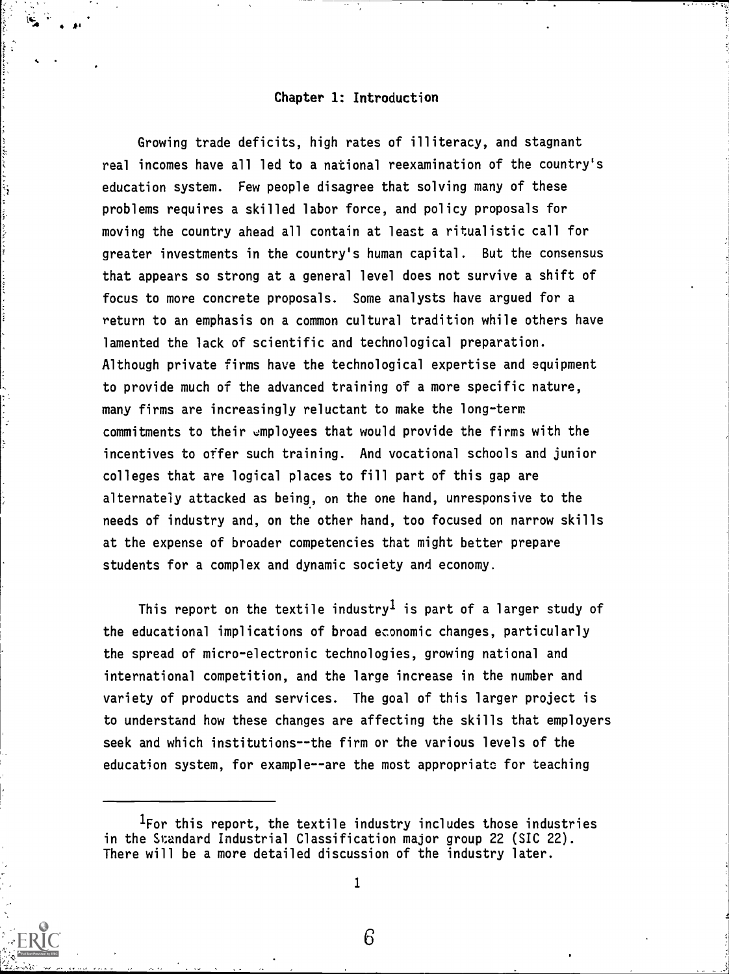# Chapter 1: Introduction

 $\mathbf{A}^{\mathbf{a}}$ 

Growing trade deficits, high rates of illiteracy, and stagnant real incomes have all led to a national reexamination of the country's education system. Few people disagree that solving many of these problems requires a skilled labor force, and policy proposals for moving the country ahead all contain at least a ritualistic call for greater investments in the country's human capital. But the consensus that appears so strong at a general level does not survive a shift of focus to more concrete proposals. Some analysts have argued for a return to an emphasis on a common cultural tradition while others have lamented the lack of scientific and technological preparation. Although private firms have the technological expertise and equipment to provide much of the advanced training of a more specific nature, many firms are increasingly reluctant to make the long-term commitments to their employees that would provide the firms with the incentives to offer such training. And vocational schools and junior colleges that are logical places to fill part of this gap are alternately attacked as being, on the one hand, unresponsive to the needs of industry and, on the other hand, too focused on narrow skills at the expense of broader competencies that might better prepare students for a complex and dynamic society and economy.

This report on the textile industry<sup>1</sup> is part of a larger study of the educational implications of broad economic changes, particularly the spread of micro-electronic technologies, growing national and international competition, and the large increase in the number and variety of products and services. The goal of this larger project is to understand how these changes are affecting the skills that employers seek and which institutions--the firm or the various levels of the education system, for example--are the most appropriate for teaching



<sup>&#</sup>x27;For this report, the textile industry includes those industries in the Standard Industrial Classification major group 22 (SIC 22). There will be a more detailed discussion of the industry later.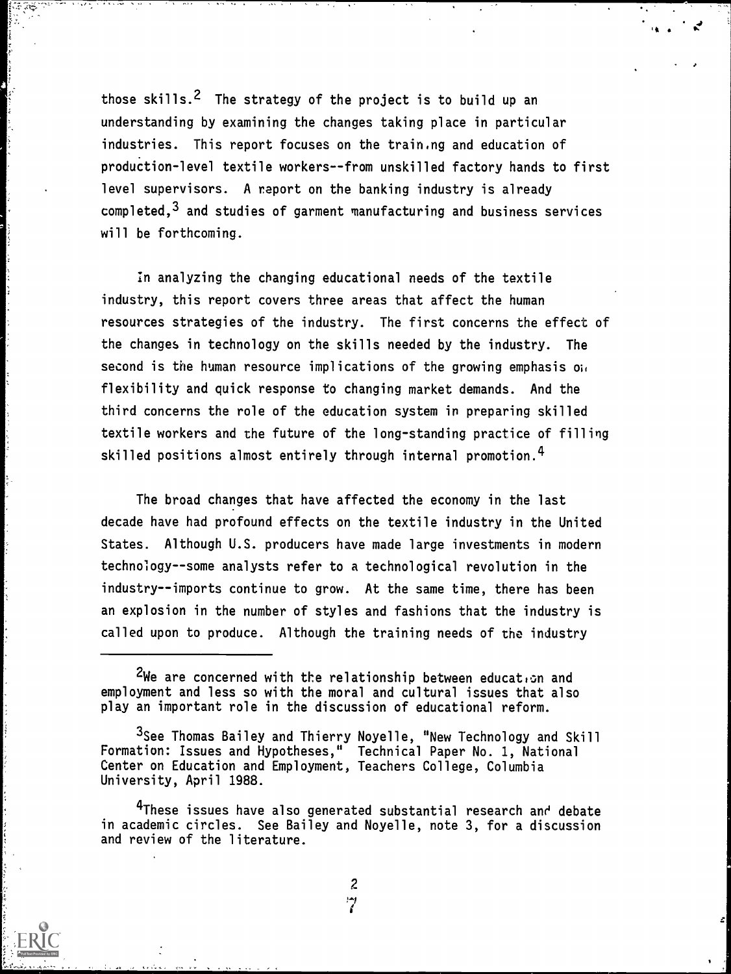those skills.<sup>2</sup> The strategy of the project is to build up an understanding by examining the changes taking place in particular industries. This report focuses on the train.ng and education of production-level textile workers--from unskilled factory hands to first level supervisors. A report on the banking industry is already  $completed, <sup>3</sup>$  and studies of garment manufacturing and business services will be forthcoming.

In analyzing the changing educational needs of the textile industry, this report covers three areas that affect the human resources strategies of the industry. The first concerns the effect of the changes in technology on the skills needed by the industry. The second is the human resource implications of the growing emphasis on flexibility and quick response to changing market demands. And the third concerns the role of the education system in preparing skilled textile workers and the future of the long-standing practice of filling skilled positions almost entirely through internal promotion.<sup>4</sup>

The broad changes that have affected the economy in the last decade have had profound effects on the textile industry in the United States. Although U.S. producers have made large investments in modern technology--some analysts refer to a technological revolution in the industry--imports continue to grow. At the same time, there has been an explosion in the number of styles and fashions that the industry is called upon to produce. Although the training needs of the industry

<sup>&</sup>lt;sup>2</sup>We are concerned with the relationship between educat.... and employment and less so with the moral and cultural issues that also play an important role in the discussion of educational reform.

<sup>3</sup>See Thomas Bailey and Thierry Noyelle, "New Technology and Skill Formation: Issues and Hypotheses," Technical Paper No. 1, National Center on Education and Employment, Teachers College, Columbia University, April 1988.

<sup>&</sup>lt;sup>4</sup>These issues have also generated substantial research and debate in academic circles. See Bailey and Noyelle, note 3, for a discussion and review of the literature.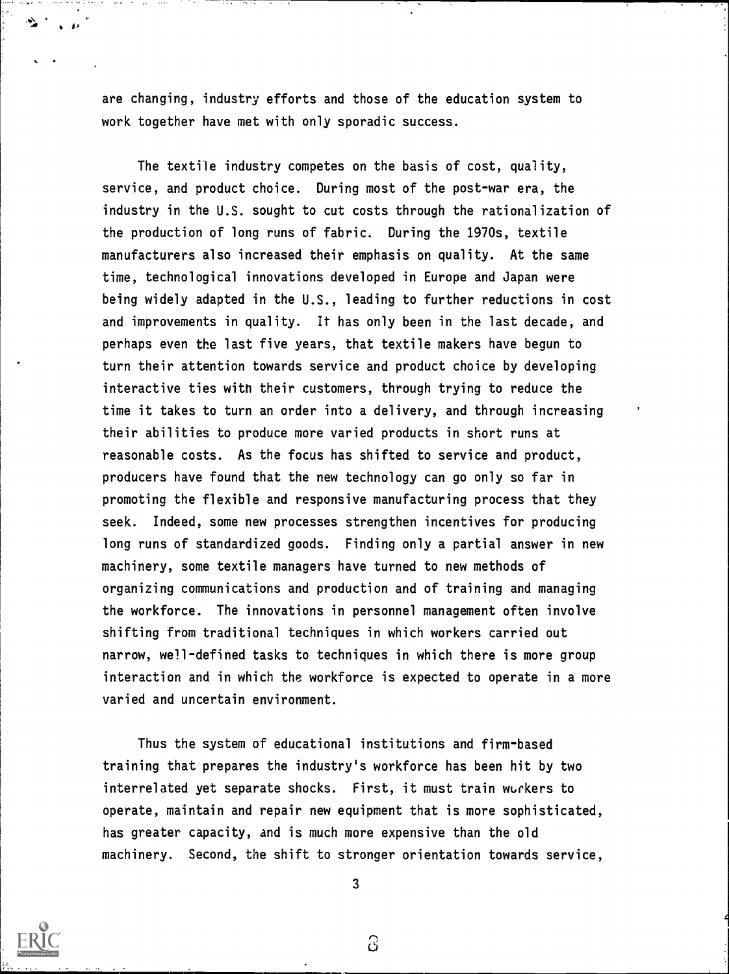are changing, industry efforts and those of the education system to work together have met with only sporadic success.

The textile industry competes on the basis of cost, quality, service, and product choice. During most of the post-war era, the industry in the U.S. sought to cut costs through the rationalization of the production of long runs of fabric. During the 1970s, textile manufacturers also increased their emphasis on quality. At the same time, technological innovations developed in Europe and Japan were being widely adapted in the U.S., leading to further reductions in cost and improvements in quality. It has only been in the last decade, and perhaps even the last five years, that textile makers have begun to turn their attention towards service and product choice by developing interactive ties with their customers, through trying to reduce the time it takes to turn an order into a delivery, and through increasing their abilities to produce more varied products in short runs at reasonable costs. As the focus has shifted to service and product, producers have found that the new technology can go only so far in promoting the flexible and responsive manufacturing process that they seek. Indeed, some new processes strengthen incentives for producing long runs of standardized goods. Finding only a partial answer in new machinery, some textile managers have turned to new methods of organizing communications and production and of training and managing the workforce. The innovations in personnel management often involve shifting from traditional techniques in which workers carried out narrow, well-defined tasks to techniques in which there is more group interaction and in which the workforce is expected to operate in a more varied and uncertain environment.

Thus the system of educational institutions and firm-based training that prepares the industry's workforce has been hit by two interrelated yet separate shocks. First, it must train workers to operate, maintain and repair new equipment that is more sophisticated, has greater capacity, and is much more expensive than the old machinery. Second, the shift to stronger orientation towards service,



3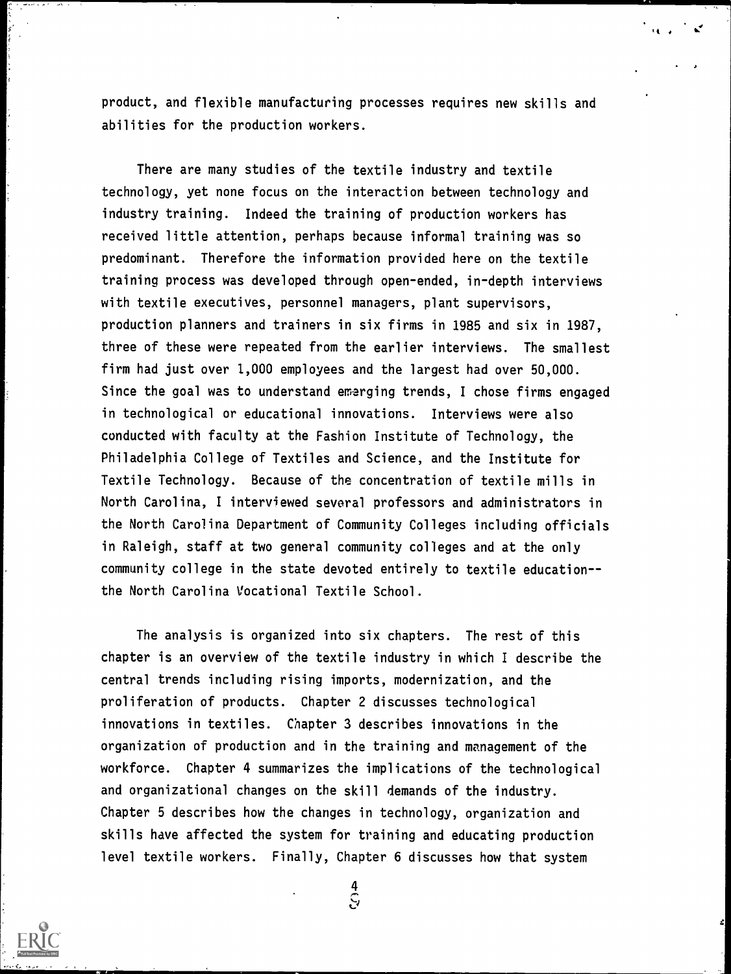product, and flexible manufacturing processes requires new skills and abilities for the production workers.

<sup>l</sup> ..

There are many studies of the textile industry and textile technology, yet none focus on the interaction between technology and industry training. Indeed the training of production workers has received little attention, perhaps because informal training was so predominant. Therefore the information provided here on the textile training process was developed through open-ended, in-depth interviews with textile executives, personnel managers, plant supervisors, production planners and trainers in six firms in 1985 and six in 1987, three of these were repeated from the earlier interviews. The smallest firm had just over 1,000 employees and the largest had over 50,000. Since the goal was to understand emerging trends, I chose firms engaged in technological or educational innovations. Interviews were also conducted with faculty at the Fashion Institute of Technology, the Philadelphia College of Textiles and Science, and the Institute for Textile Technology. Because of the concentration of textile mills in North Carolina, I interviewed several professors and administrators in the North Carolina Department of Community Colleges including officials in Raleigh, staff at two general community colleges and at the only community college in the state devoted entirely to textile educationthe North Carolina Vocational Textile School.

The analysis is organized into six chapters. The rest of this chapter is an overview of the textile industry in which I describe the central trends including rising imports, modernization, and the proliferation of products. Chapter 2 discusses technological innovations in textiles. Chapter 3 describes innovations in the organization of production and in the training and management of the workforce. Chapter 4 summarizes the implications of the technological and organizational changes on the skill demands of the industry. Chapter 5 describes how the changes in technology, organization and skills have affected the system for training and educating production level textile workers. Finally, Chapter 6 discusses how that system



 $rac{4}{5}$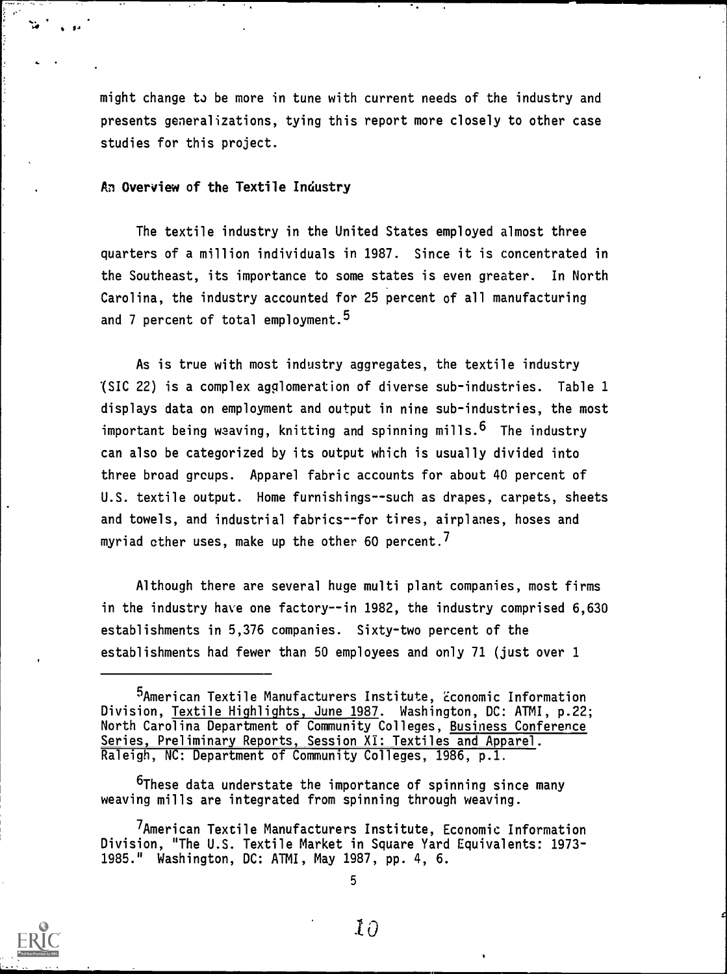might change to be more in tune with current needs of the industry and presents generalizations, tying this report more closely to other case studies for this project.

#### An Overview of the Textile Industry

The textile industry in the United States employed almost three quarters of a million individuals in 1987. Since it is concentrated in the Southeast, its importance to some states is even greater. In North Carolina, the industry accounted for 25 percent of all manufacturing and 7 percent of total employment.<sup>5</sup>

As is true with most industry aggregates, the textile industry '(SIC 22) is a complex agglomeration of diverse sub-industries. Table 1 displays data on employment and output in nine sub-industries, the most important being weaving, knitting and spinning mills.  $6$  The industry can also be categorized by its output which is usually divided into three broad grcups. Apparel fabric accounts for about 40 percent of U.S. textile output. Home furnishings--such as drapes, carpets, sheets and towels, and industrial fabrics--for tires, airplanes, hoses and myriad other uses, make up the other 60 percent.<sup> $\prime$ </sup>

Although there are several huge multi plant companies, most firms in the industry have one factory--in 1982, the industry comprised 6,630 establishments in 5,376 companies. Sixty-two percent of the establishments had fewer than 50 employees and only 71 (just over 1

<sup>6</sup>These data understate the importance of spinning since many weaving mills are integrated from spinning through weaving.

7American Textile Manufacturers Institute, Economic Information Division, "The U.S. Textile Market in Square Yard Equivalents: 1973-1985." Washington, DC: ATMI, May 1987, pp. 4, 6.



<sup>5</sup>American Textile Manufacturers Institute, Economic Information Division, Textile Highlights, June 1987. Washington, DC: ATMI, p.22; North Carolina Department of Community Colleges, Business Conference Series, Preliminary Reports, Session XI: Textiles and Apparel. Raleigh, NC: Department of Community Colleges, 1986, p.l.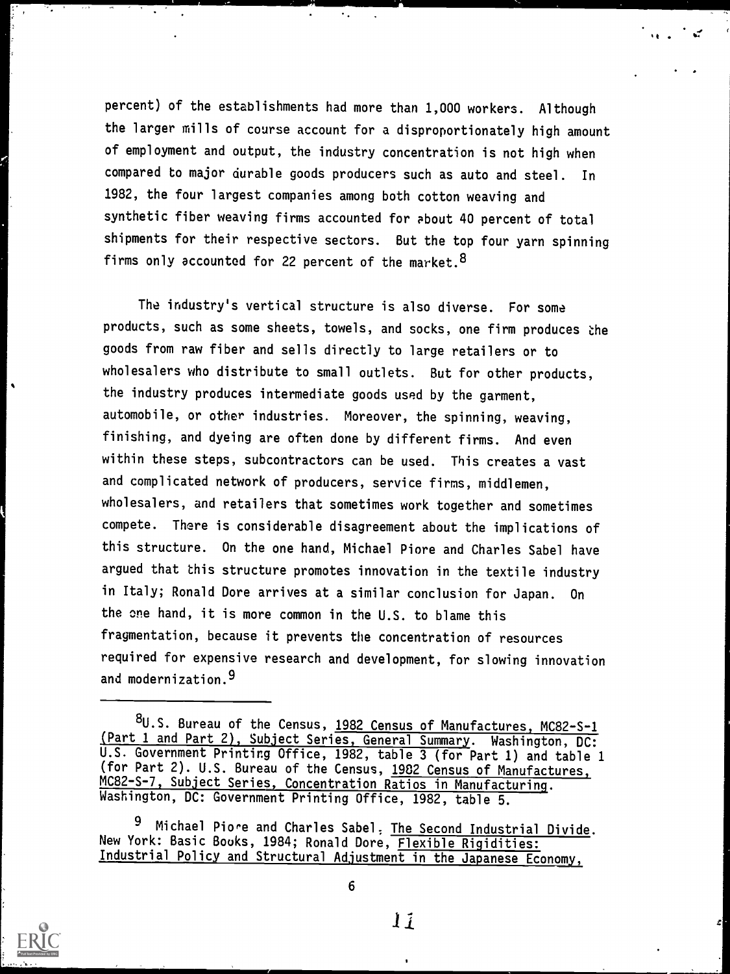percent) of the establishments had more than 1,000 workers. Although the larger mills of course account for a disproportionately high amount of employment and output, the industry concentration is not high when compared to major durable goods producers such as auto and steel. In 1982, the four largest companies among both cotton weaving and synthetic fiber weaving firms accounted for about 40 percent of total shipments for their respective sectors. But the top four yarn spinning firms only accounted for 22 percent of the market.<sup>8</sup>

 $\bullet$  .

.t

The industry's vertical structure is also diverse. For some products, such as some sheets, towels, and socks, one firm produces the goods from raw fiber and sells directly to large retailers or to wholesalers who distribute to small outlets. But for other products, the industry produces intermediate goods used by the garment, automobile, or other industries. Moreover, the spinning, weaving, finishing, and dyeing are often done by different firms. And even within these steps, subcontractors can be used. This creates a vast and complicated network of producers, service firms, middlemen, wholesalers, and retailers that sometimes work together and sometimes compete. There is considerable disagreement about the implications of this structure. On the one hand, Michael Piore and Charles Sabel have argued that this structure promotes innovation in the textile industry in Italy; Ronald Dore arrives at a similar conclusion for Japan. On the one hand, it is more common in the U.S. to blame this fragmentation, because it prevents the concentration of resources required for expensive research and development, for slowing innovation and modernization.9

Michael Piore and Charles Sabel, The Second Industrial Divide. New York: Basic Books, 1984; Ronald Dore, Flexible Rigidities: Industrial Policy and Structural Adjustment in the Japanese Economy,



 $\bullet$ 

<sup>8</sup>U.S. Bureau of the Census, 1982 Census of Manufactures, MC82-S-1 (Part 1 and Part 2), Subject Series, General Summary. Washington, DC: U.S. Government Printing Office, 1982, table 3 (for Part 1) and table 1 (for Part 2). U.S. Bureau of the Census, 1982 Census of Manufactures, MC82-S-7, Subject Series, Concentration Ratios in Manufacturing. Washington, DC: Government Printing Office, 1982, table 5.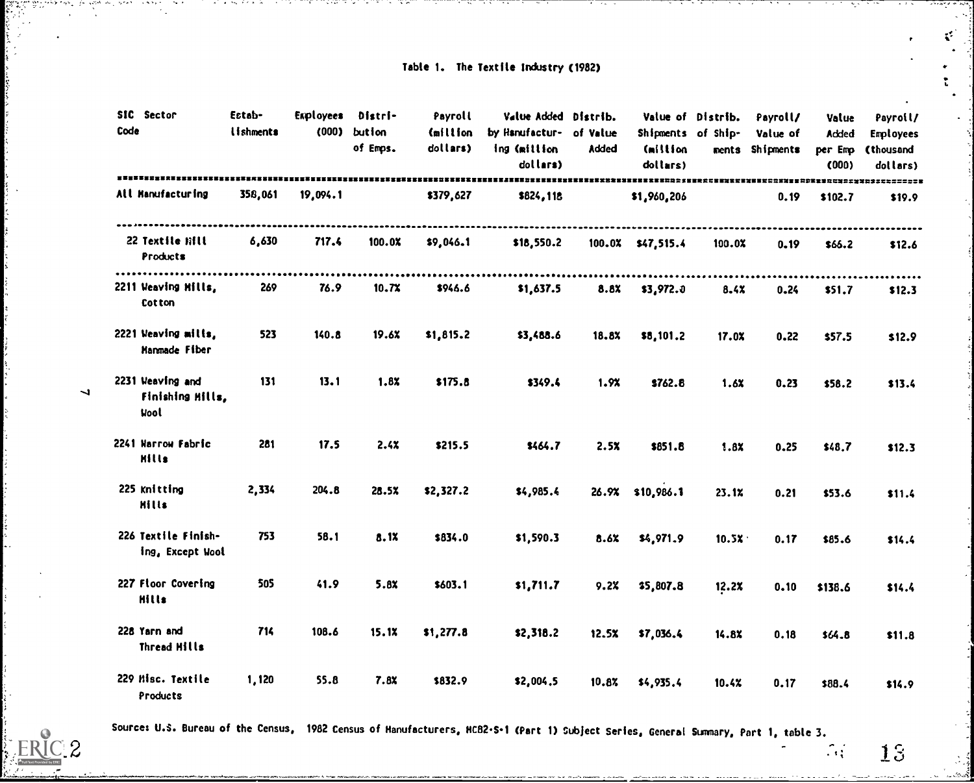# Table 1. The Textile Industry (1982)

 $\mathbf{x}^{\mathbf{c}^{\star}}$  .

 $\ddot{\cdot}$ 

| SIC Sector<br>Code                                  | Estab-<br>lishments | Esployees | Distri-<br>$(000)$ bution<br>of Emps. | Payroll<br>(million<br>dollars) | Value Added Distrib.<br>by Hanufactur- of Value<br>ing (million<br>dollars) | Added | Shipments of Ship-<br>Cmillion<br>dollars) | Value of Distrib. | Payroll/<br>Value of<br>ments Shipments | Value<br>Added<br>per Emp<br>(000) | Payroll/<br>Employees<br>(thousand<br>dollars) |
|-----------------------------------------------------|---------------------|-----------|---------------------------------------|---------------------------------|-----------------------------------------------------------------------------|-------|--------------------------------------------|-------------------|-----------------------------------------|------------------------------------|------------------------------------------------|
| All Hanufacturing                                   | 358,061             | 19,094.1  |                                       | \$379,627                       | \$824,118                                                                   |       | \$1,960,206                                |                   | 0.19                                    | \$102.7                            | \$19.9                                         |
| 22 Textile Hill<br>Products                         | 6,630               | 717.4     | 100.0%                                | \$9,046.1                       | \$18,550.2                                                                  |       | 100.0% \$47,515.4                          | 100.0%            | 0.19                                    | \$66.2                             | .<br>\$12.6                                    |
| 2211 Weaving Hills,<br>Cotton                       | 269                 | 76.9      | 10.7X                                 | \$946.6                         | \$1,637.5                                                                   | 8.8%  | \$3,972.0                                  | 8.4X              | 0.24                                    | \$51.7                             | \$12.3                                         |
| 2221 Weaving milis,<br>Manmade Fiber                | 523                 | 140.8     | 19.6%                                 | \$1,815.2                       | \$3,488.6                                                                   | 18.8% | \$8,101.2                                  | 17.0X             | 0.22                                    | \$57.5                             | \$12.9                                         |
| 2231 Weaving and<br>Finishing Hills,<br><b>Wool</b> | 131                 | 13.1      | 1.8X                                  | \$175.8                         | \$349.4                                                                     | 1.9x  | \$762.8                                    | 1.6X              | 0.23                                    | \$58.2                             | \$13.4                                         |
| 2241 Narrow Fabric<br>Hills                         | 281                 | 17.5      | 2.4X                                  | \$215.5                         | \$464.7                                                                     | 2.5x  | \$851.8                                    | 1.8X              | 0.25                                    | \$48.7                             | \$12.3                                         |
| 225 Knitting<br><b>Hills</b>                        | 2,334               | 204.8     | 28.5%                                 | \$2,327.2                       | \$4,985.4                                                                   |       | 26.9% \$10,986.1                           | 23.1%             | 0.21                                    | \$53.6                             | \$11.4                                         |
| 226 Textile Finish-<br>ing, Except Wool             | 753                 | 58.1      | 8.1X                                  | \$834.0                         | \$1,590.3                                                                   | 8.6%  | \$4,971.9                                  | 10.5X             | 0.17                                    | \$85.6                             | \$14.4                                         |
| 227 Floor Covering<br><b>Hills</b>                  | 505                 | 41.9      | 5.8x                                  | \$603.1                         | \$1,711.7                                                                   | 9.2%  | \$5,807.8                                  | 12.2x             | 0.10                                    | \$138.6                            | \$14.4                                         |
| 228 Yarn and<br>Thread Hills                        | 714                 | 108.6     | 15.1X                                 | \$1,277.8                       | \$2,318.2                                                                   | 12.5% | \$7,036.4                                  | 14.8%             | 0.18                                    | \$64.8                             | \$11.8                                         |
| 229 Misc. Textile<br>Products                       | 1,120               | 55.8      | 7.8%                                  | \$832.9                         | \$2,004.5                                                                   | 10.8% | \$4,935.4                                  | 10.4%             | 0.17                                    | \$88.4                             | \$14.9                                         |

Source: U.S. Bureau of the Census, 1982 Census of Manufacturers, MC82-S-1 (Part 1) Subject Series, General Summary, Part 1, table 3.

 $12$  and  $13$  and  $13$ 

 $\overline{\phantom{0}}$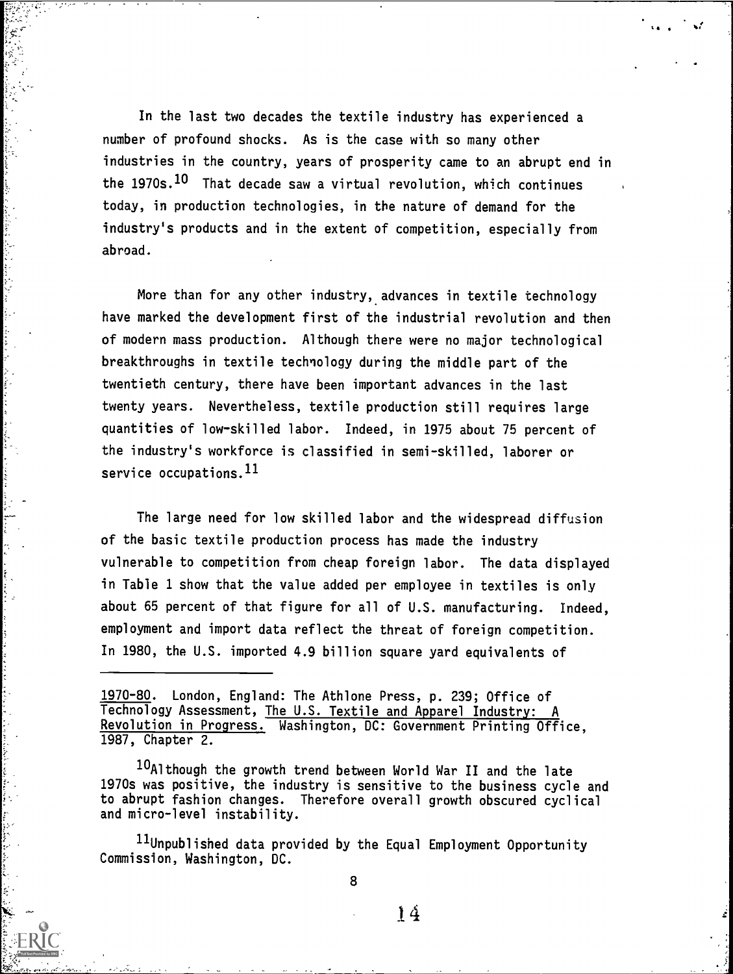In the last two decades the textile industry has experienced a number of profound shocks. As is the case with so many other industries in the country, years of prosperity came to an abrupt end in the 1970s.<sup>10</sup> That decade saw a virtual revolution, which continues today, in production technologies, in the nature of demand for the industry's products and in the extent of competition, especially from abroad.

More than for any other industry, advances in textile technology have marked the development first of the industrial revolution and then of modern mass production. Although there were no major technological breakthroughs in textile technology during the middle part of the twentieth century, there have been important advances in the last twenty years. Nevertheless, textile production still requires large quantities of low-skilled labor. Indeed, in 1975 about 75 percent of the industry's workforce is classified in semi-skilled, laborer or service occupations.  $^{11}$ 

The large need for low skilled labor and the widespread diffusion of the basic textile production process has made the industry vulnerable to competition from cheap foreign labor. The data displayed in Table 1 show that the value added per employee in textiles is only about 65 percent of that figure for all of U.S. manufacturing. Indeed, employment and import data reflect the threat of foreign competition. In 1980, the U.S. imported 4.9 billion square yard equivalents of

1970-80. London, England: The Athlone Press, p. 239; Office of Technology Assessment, The U.S. Textile and Apparel Industry: Revolution in Progress. Washington, DC: Government Printing Office, 1987, Chapter 2.

10Although the growth trend between World War II and the late 1970s was positive, the industry is sensitive to the business cycle and to abrupt fashion changes. Therefore overall growth obscured cyclical and micro-level instability.

11Unpublished data provided by the Equal Employment Opportunity Commission, Washington, DC.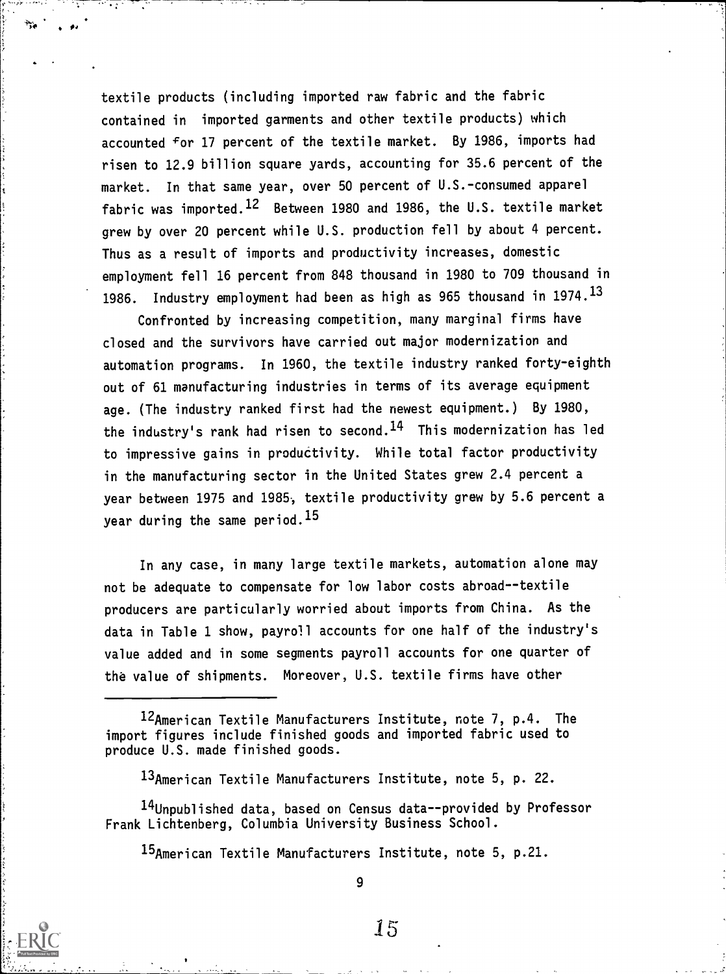textile products (including imported raw fabric and the fabric contained in imported garments and other textile products) which accounted for 17 percent of the textile market. By 1986, imports had risen to 12.9 billion square yards, accounting for 35.6 percent of the market. In that same year, over 50 percent of U.S.-consumed apparel fabric was imported.<sup>12</sup> Between 1980 and 1986, the U.S. textile market grew by over 20 percent while U.S. production fell by about 4 percent. Thus as a result of imports and productivity increases, domestic employment fell 16 percent from 848 thousand in 1980 to 709 thousand in 1986. Industry employment had been as high as 965 thousand in 1974.13

. 1,

Confronted by increasing competition, many marginal firms have closed and the survivors have carried out major modernization and automation programs. In 1960, the textile industry ranked forty-eighth out of 61 manufacturing industries in terms of its average equipment age. (The industry ranked first had the newest equipment.) By 1980, the industry's rank had risen to second.<sup>14</sup> This modernization has led to impressive gains in productivity. While total factor productivity in the manufacturing sector in the United States grew 2.4 percent a year between 1975 and 1985, textile productivity grew by 5.6 percent a year during the same period.<sup>15</sup>

In any case, in many large textile markets, automation alone may not be adequate to compensate for low labor costs abroad--textile producers are particularly worried about imports from China. As the data in Table 1 show, payroll accounts for one half of the industry's value added and in some segments payroll accounts for one quarter of the value of shipments. Moreover, U.S. textile firms have other

12American Textile Manufacturers Institute, note 7, p.4. The import figures include finished goods and imported fabric used to produce U.S. made finished goods.

13American Textile Manufacturers Institute, note 5, p. 22.

14Unpublished data, based on Census data--provided by Professor Frank Lichtenberg, Columbia University Business School.

15American Textile Manufacturers Institute, note 5, p.21.

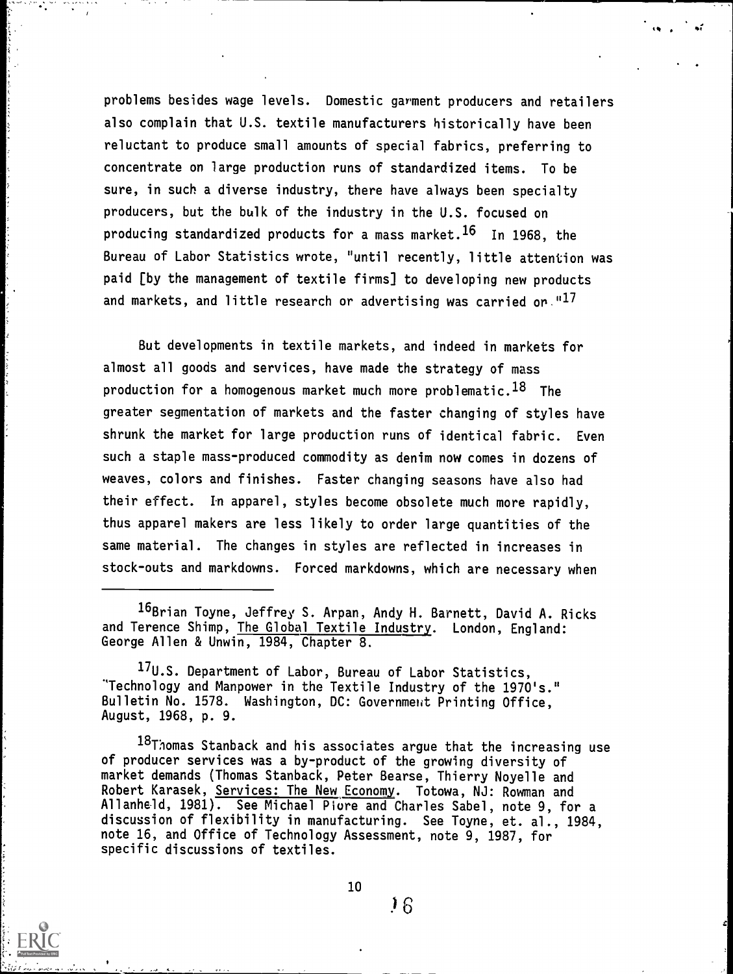problems besides wage levels. Domestic garment producers and retailers also complain that U.S. textile manufacturers historically have been reluctant to produce small amounts of special fabrics, preferring to concentrate on large production runs of standardized items. To be sure, in such a diverse industry, there have always been specialty producers, but the bulk of the industry in the U.S. focused on producing standardized products for a mass market.<sup>16</sup> In 1968, the Bureau of Labor Statistics wrote, "until recently, little attention was paid [by the management of textile firms] to developing new products and markets, and little research or advertising was carried or." $^{17}$ 

 $\alpha$  ,  $\frac{1}{2}$  is  $\alpha$  .

e

But developments in textile markets, and indeed in markets for almost all goods and services, have made the strategy of mass production for a homogenous market much more problematic.<sup>18</sup> The greater segmentation of markets and the faster changing of styles have shrunk the market for large production runs of identical fabric. Even such a staple mass-produced commodity as denim now comes in dozens of weaves, colors and finishes. Faster changing seasons have also had their effect. In apparel, styles become obsolete much more rapidly, thus apparel makers are less likely to order large quantities of the same material. The changes in styles are reflected in increases in stock-outs and markdowns. Forced markdowns, which are necessary when

16Brian Toyne, Jeffrey S. Arpan, Andy H. Barnett, David A. Ricks and Terence Shimp, The Global Textile Industry. London, England: George Allen & Unwin, 1984, Chapter 8.

17U.S. Department of Labor, Bureau of Labor Statistics, "Technology and Manpower in the Textile Industry of the 1970's." Bulletin No. 1578. Washington, DC: Government Printing Office, August, 1968, p. 9.

18Thomas Stanback and his associates argue that the increasing use of producer services was a by-product of the growing diversity of market demands (Thomas Stanback, Peter Bearse, Thierry Noyelle and Robert Karasek, Services: The New Economy. Totowa, NJ: Rowman and Allanheld, 1981). See Michael Piure and Charles Sabel, note 9, for a discussion of flexibility in manufacturing. See Toyne, et. al., 1984, note 16, and Office of Technology Assessment, note 9, 1987, for specific discussions of textiles.

 $^{10}$   $^{16}$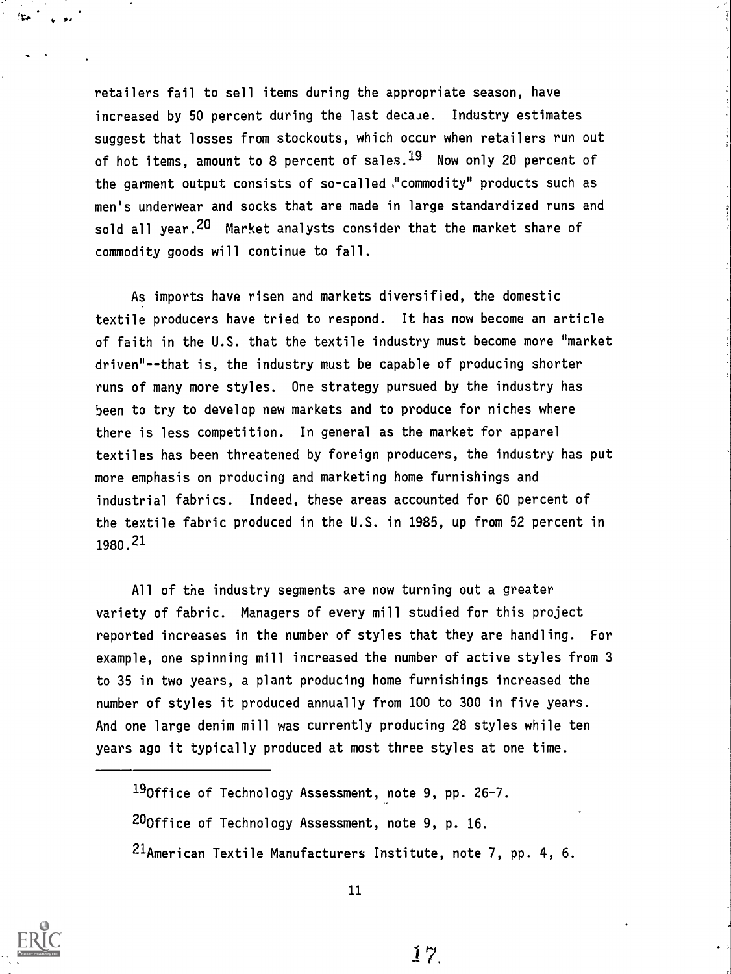retailers fail to sell items during the appropriate season, have increased by 50 percent during the last decaue. Industry estimates suggest that losses from stockouts, which occur when retailers run out of hot items, amount to 8 percent of sales. $^{19}$  Now only 20 percent of the garment output consists of so-called  $\cdot$ "commodity" products such as men's underwear and socks that are made in large standardized runs and sold all year.<sup>20</sup> Market analysts consider that the market share of commodity goods will continue to fall.

As imports have risen and markets diversified, the domestic textile producers have tried to respond. It has now become an article of faith in the U.S. that the textile industry must become more "market driven"--that is, the industry must be capable of producing shorter runs of many more styles. One strategy pursued by the industry has been to try to develop new markets and to produce for niches where there is less competition. In general as the market for apparel textiles has been threatened by foreign producers, the industry has put more emphasis on producing and marketing home furnishings and industrial fabrics. Indeed, these areas accounted for 60 percent of the textile fabric produced in the U.S. in 1985, up from 52 percent in 1980.21

All of the industry segments are now turning out a greater variety of fabric. Managers of every mill studied for this project reported increases in the number of styles that they are handling. For example, one spinning mill increased the number of active styles from 3 to 35 in two years, a plant producing home furnishings increased the number of styles it produced annually from 100 to 300 in five years. And one large denim mill was currently producing 28 styles while ten years ago it typically produced at most three styles at one time.

19Office of Technology Assessment, note 9, pp. 26-7. 20Office of Technology Assessment, note 9, p. 16. <sup>21</sup>American Textile Manufacturers Institute, note 7, pp. 4, 6.

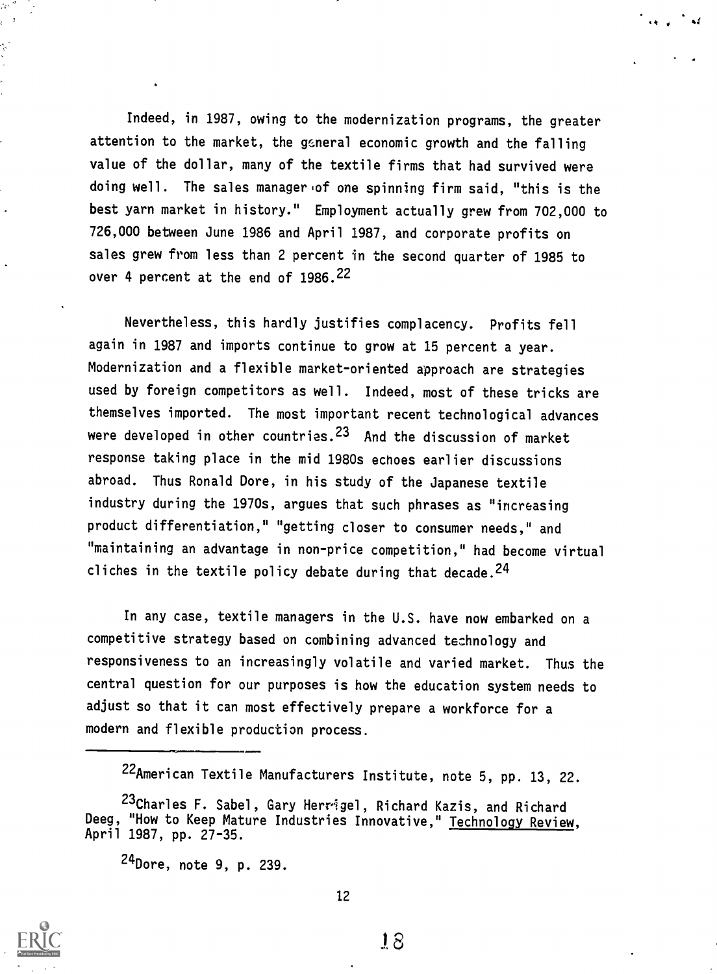Indeed, in 1987, owing to the modernization programs, the greater attention to the market, the general economic growth and the falling value of the dollar, many of the textile firms that had survived were doing well. The sales manager of one spinning firm said, "this is the best yarn market in history." Employment actually grew from 702,000 to 726,000 between June 1986 and April 1987, and corporate profits on sales grew from less than 2 percent in the second quarter of 1985 to over 4 percent at the end of 1986.<sup>22</sup>

 $\ddot{a}$  ,  $\ddot{a}$ 

Nevertheless, this hardly justifies complacency. Profits fell again in 1987 and imports continue to grow at 15 percent a year. Modernization and a flexible market-oriented approach are strategies used by foreign competitors as well. Indeed, most of these tricks are themselves imported. The most important recent technological advances were developed in other countries.<sup>23</sup> And the discussion of market response taking place in the mid 1980s echoes earlier discussions abroad. Thus Ronald Dore, in his study of the Japanese textile industry during the 1970s, argues that such phrases as "increasing product differentiation," "getting closer to consumer needs," and "maintaining an advantage in non-price competition," had become virtual cliches in the textile policy debate during that decade.  $24$ 

In any case, textile managers in the U.S. have now embarked on a competitive strategy based on combining advanced technology and responsiveness to an increasingly volatile and varied market. Thus the central question for our purposes is how the education system needs to adjust so that it can most effectively prepare a workforce for a modern and flexible production process.

22American Textile Manufacturers Institute, note 5, pp. 13, 22.



<sup>23</sup>Charles F. Sabel, Gary Herrigel, Richard Kazis, and Richard Deeg, "How to Keep Mature Industries Innovative," Technology Review, April 1987, pp. 27-35.

<sup>24</sup>Dore, note 9, p. 239.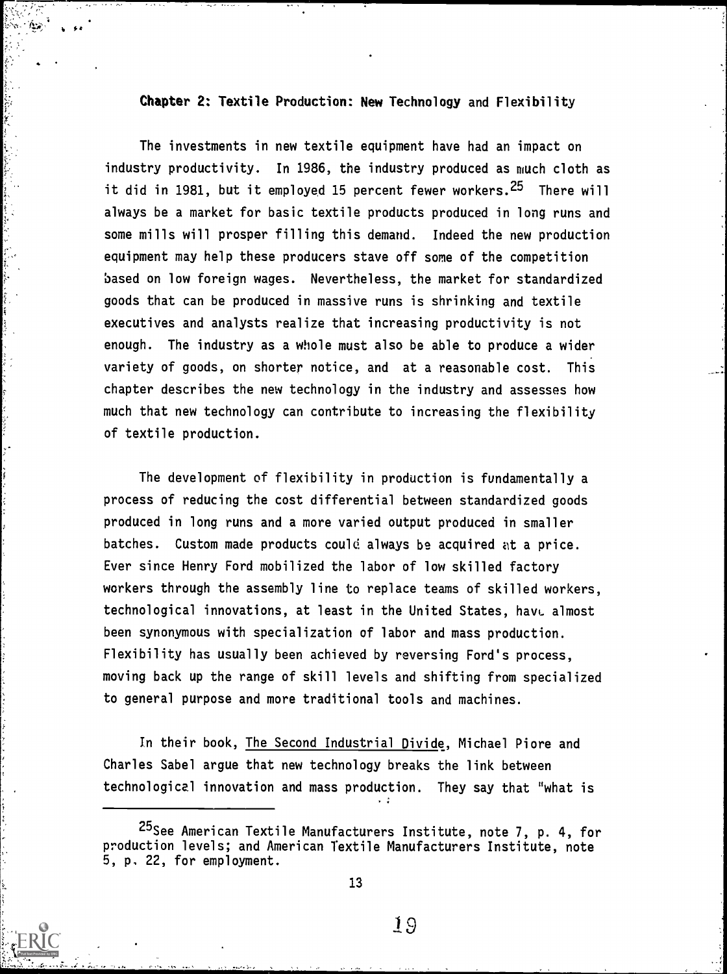#### Chapter 2: Textile Production: New Technology and Flexibility

k \*4

The investments in new textile equipment have had an impact on industry productivity. In 1986, the industry produced as much cloth as it did in 1981, but it employed 15 percent fewer workers.<sup>25</sup> There will always be a market for basic textile products produced in long runs and some mills will prosper filling this demand. Indeed the new production equipment may help these producers stave off some of the competition based on low foreign wages. Nevertheless, the market for standardized goods that can be produced in massive runs is shrinking and textile executives and analysts realize that increasing productivity is not enough. The industry as a whole must also be able to produce a wider variety of goods, on shorter notice, and at a reasonable cost. This chapter describes the new technology in the industry and assesses how much that new technology can contribute to increasing the flexibility of textile production.

The development of flexibility in production is fundamentally a process of reducing the cost differential between standardized goods produced in long runs and a more varied output produced in smaller batches. Custom made products could always be acquired at a price. Ever since Henry Ford mobilized the labor of low skilled factory workers through the assembly line to replace teams of skilled workers, technological innovations, at least in the United States, have almost been synonymous with specialization of labor and mass production. Flexibility has usually been achieved by reversing Ford's process, moving back up the range of skill levels and shifting from specialized to general purpose and more traditional tools and machines.

In their book, The Second Industrial Divide, Michael Piore and Charles Sabel argue that new technology breaks the link between technological innovation and mass production. They say that "what is

<sup>25</sup>See American Textile Manufacturers Institute, note 7, p. 4, for production levels; and American Textile Manufacturers Institute, note 5, p, 22, for employment.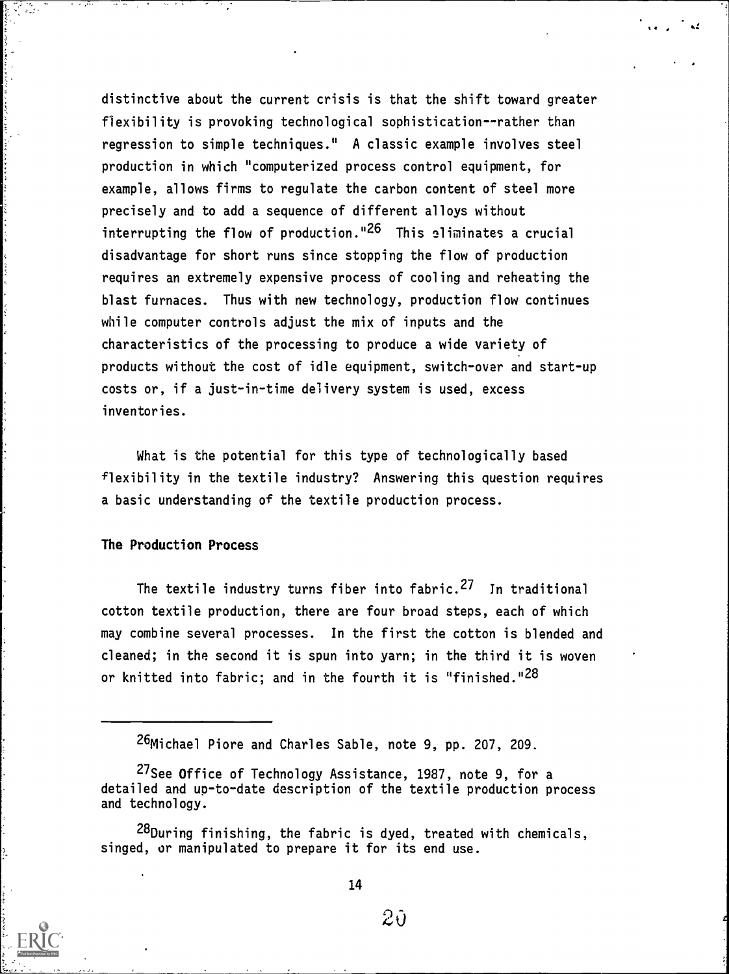distinctive about the current crisis is that the shift toward greater flexibility is provoking technological sophistication--rather than regression to simple techniques." A classic example involves steel production in which "computerized process control equipment, for example, allows firms to regulate the carbon content of steel more precisely and to add a sequence of different alloys without interrupting the flow of production."<sup>26</sup> This eliminates a crucial disadvantage for short runs since stopping the flow of production requires an extremely expensive process of cooling and reheating the blast furnaces. Thus with new technology, production flow continues while computer controls adjust the mix of inputs and the characteristics of the processing to produce a wide variety of products without the cost of idle equipment, switch-over and start-up costs or, if a just-in-time delivery system is used, excess inventories.

What is the potential for this type of technologically based flexibility in the textile industry? Answering this question requires a basic understanding of the textile production process.

# The Production Process

The textile industry turns fiber into fabric.<sup>27</sup> In traditional cotton textile production, there are four broad steps, each of which may combine several processes. In the first the cotton is blended and cleaned; in the second it is spun into yarn; in the third it is woven or knitted into fabric; and in the fourth it is "finished."<sup>28</sup>



 $2\tilde{v}$ 

<sup>26</sup>Michael Piore and Charles Sable, note 9, pp. 207, 209.

<sup>27</sup>See Office of Technology Assistance, 1987, note 9, for a detailed and up-to-date description of the textile production process and technology.

<sup>28</sup>During finishing, the fabric is dyed, treated with chemicals, singed, or manipulated to prepare it for its end use.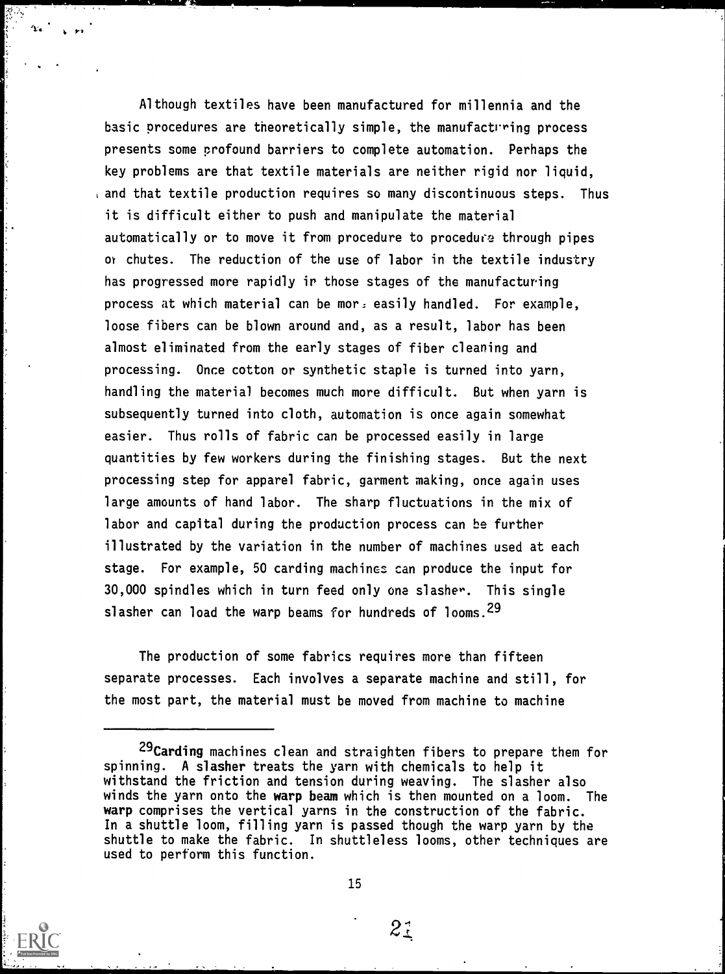Although textiles have been manufactured for millennia and the basic procedures are theoretically simple, the manufacturing process presents some profound barriers to complete automation. Perhaps the key problems are that textile materials are neither rigid nor liquid, and that textile production requires so many discontinuous steps. Thus it is difficult either to push and manipulate the material automatically or to move it from procedure to procedure through pipes or chutes. The reduction of the use of labor in the textile industry has progressed more rapidly ir those stages of the manufacturing process at which material can be mor: easily handled. For example, loose fibers can be blown around and, as a result, labor has been almost eliminated from the early stages of fiber cleaning and processing. Once cotton or synthetic staple is turned into yarn, handling the material becomes much more difficult. But when yarn is subsequently turned into cloth, automation is once again somewhat easier. Thus rolls of fabric can be processed easily in large quantities by few workers during the finishing stages. But the next processing step for apparel fabric, garment making, once again uses large amounts of hand labor. The sharp fluctuations in the mix of labor and capital during the production process can be further illustrated by the variation in the number of machines used at each stage. For example, 50 carding machines can produce the input for 30,000 spindles which in turn feed only one slasher. This single slasher can load the warp beams for hundreds of looms.<sup>29</sup>

The production of some fabrics requires more than fifteen separate processes. Each involves a separate machine and still, for the most part, the material must be moved from machine to machine

 $2\ddot{z}$ 

<sup>29</sup> Carding machines clean and straighten fibers to prepare them for spinning. A slasher treats the yarn with chemicals to help it withstand the friction and tension during weaving. The slasher also winds the yarn onto the warp beam which is then mounted on a loom. The warp comprises the vertical yarns in the construction of the fabric. In a shuttle loom, filling yarn is passed though the warp yarn by the shuttle to make the fabric. In shuttleless looms, other techniques are used to perform this function.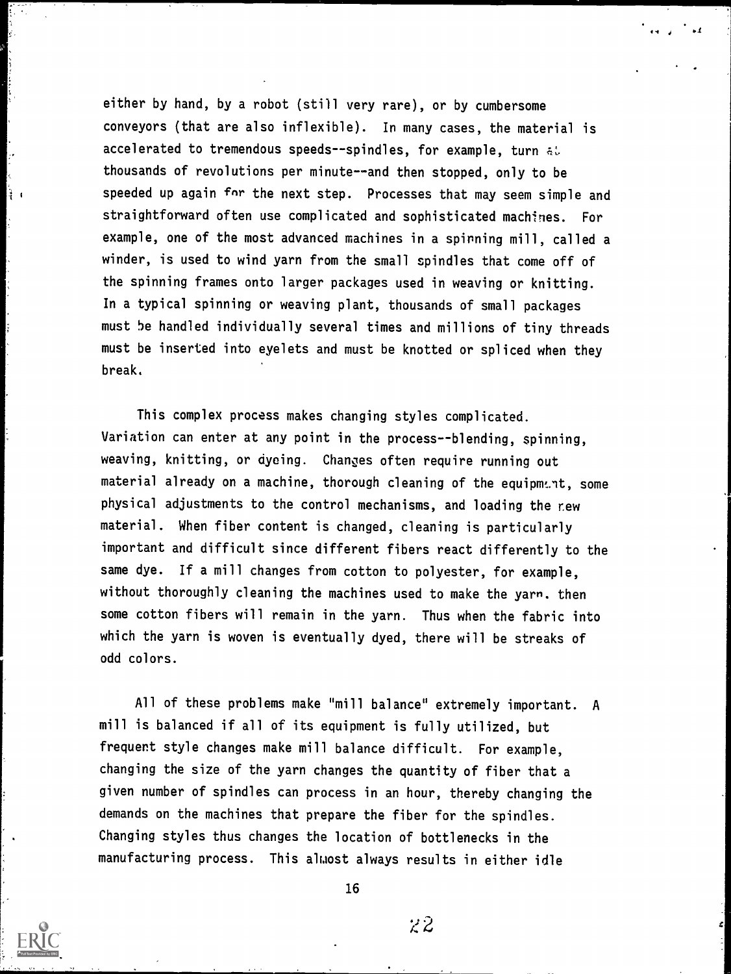either by hand, by a robot (still very rare), or by cumbersome conveyors (that are also inflexible). In many cases, the material is accelerated to tremendous speeds--spindles, for example, turn at thousands of revolutions per minute--and then stopped, only to be  $\frac{1}{4}$  speeded up again for the next step. Processes that may seem simple and straightforward often use complicated and sophisticated machines. For example, one of the most advanced machines in a spinning mill, called a winder, is used to wind yarn from the small spindles that come off of the spinning frames onto larger packages used in weaving or knitting. In a typical spinning or weaving plant, thousands of small packages must 5e handled individually several times and millions of tiny threads must be inserted into eyelets and must be knotted or spliced when they break.

> This complex process makes changing styles complicated. Variation can enter at any point in the process--blending, spinning, weaving, knitting, or dyeing. Changes often require running out material already on a machine, thorough cleaning of the equipment, some physical adjustments to the control mechanisms, and loading the rew material. When fiber content is changed, cleaning is particularly important and difficult since different fibers react differently to the same dye. If a mill changes from cotton to polyester, for example, without thoroughly cleaning the machines used to make the yarn, then some cotton fibers will remain in the yarn. Thus when the fabric into which the yarn is woven is eventually dyed, there will be streaks of odd colors.

All of these problems make "mill balance" extremely important. A mill is balanced if all of its equipment is fully utilized, but frequent style changes make mill balance difficult. For example, changing the size of the yarn changes the quantity of fiber that a given number of spindles can process in an hour, thereby changing the demands on the machines that prepare the fiber for the spindles. Changing styles thus changes the location of bottlenecks in the manufacturing process. This almost always results in either idle



16

 $z\overline{z}$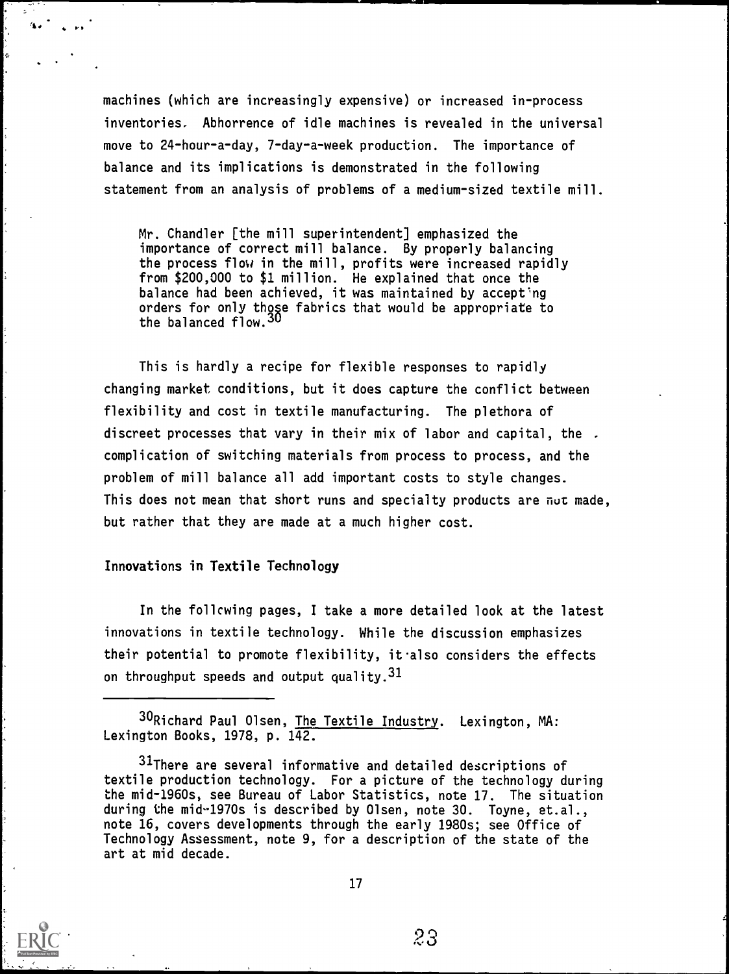machines (which are increasingly expensive) or increased in-process inventories. Abhorrence of idle machines is revealed in the universal move to 24-hour-a-day, 7-day-a-week production. The importance of balance and its implications is demonstrated in the following statement from an analysis of problems of a medium-sized textile mill.

Mr. Chandler [the mill superintendent] emphasized the importance of correct mill balance. By properly balancing the process flow in the mill, profits were increased rapidly from \$200,000 to \$1 million. He explained that once the balance had been achieved, it was maintained by accept'ng orders for only those fabrics that would be appropriate to the balanced flow.<sup>30</sup>

This is hardly a recipe for flexible responses to rapidly changing market conditions, but it does capture the conflict between flexibility and cost in textile manufacturing. The plethora of discreet processes that vary in their mix of labor and capital, the . complication of switching materials from process to process, and the problem of mill balance all add important costs to style changes. This does not mean that short runs and specialty products are  $\pi \nu \tau$  made, but rather that they are made at a much higher cost.

#### Innovations in Textile Technology

 $4.0 \times 10^{-1}$ 

In the follcwing pages, I take a more detailed look at the latest innovations in textile technology. While the discussion emphasizes their potential to promote flexibility, it also considers the effects on throughput speeds and output quality.  $31$ 

30Richard Paul Olsen, The Textile Industry. Lexington, MA: Lexington Books, 1978, p. 142.

<sup>&</sup>lt;sup>31</sup>There are several informative and detailed descriptions of textile production technology. For a picture of the technology during the mid-1960s, see Bureau of Labor Statistics, note 17. The situation during the mid-1970s is described by Olsen, note 30. Toyne, et.al., note 16, covers developments through the early 1980s; see Office of Technology Assessment, note 9, for a description of the state of the art at mid decade.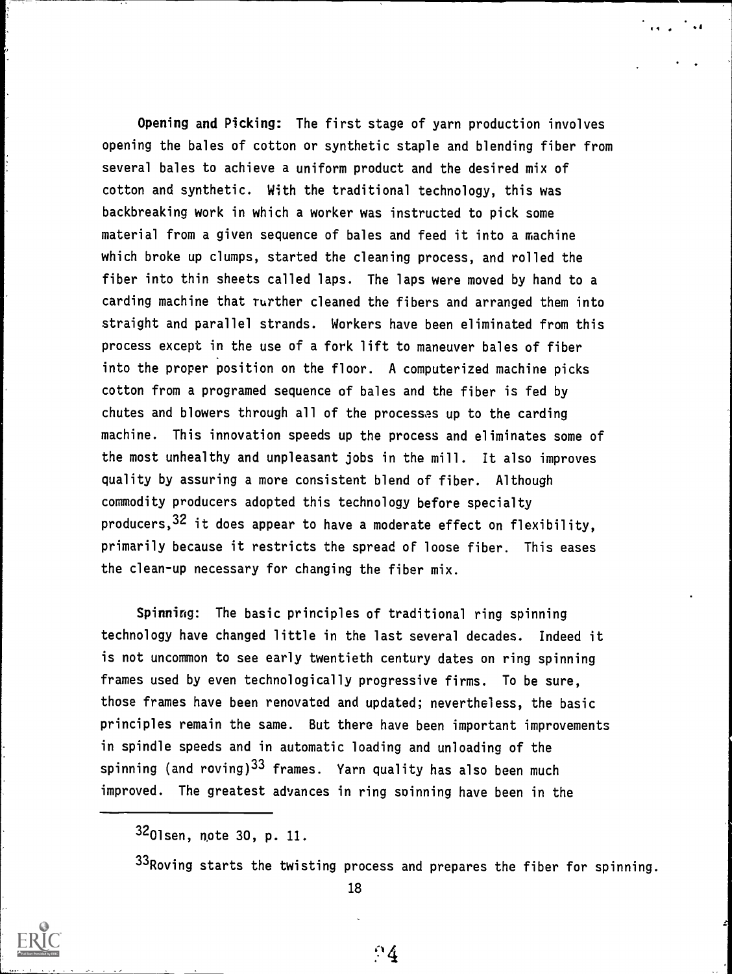Opening and Picking: The first stage of yarn production involves opening the bales of cotton or synthetic staple and blending fiber from several bales to achieve a uniform product and the desired mix of cotton and synthetic. With the traditional technology, this was backbreaking work in which a worker was instructed to pick some material from a given sequence of bales and feed it into a machine which broke up clumps, started the cleaning process, and rolled the fiber into thin sheets called laps. The laps were moved by hand to a carding machine that rurther cleaned the fibers and arranged them into straight and parallel strands. Workers have been eliminated from this process except in the use of a fork lift to maneuver bales of fiber into the proper position on the floor. A computerized machine picks cotton from a programed sequence of bales and the fiber is fed by chutes and blowers through all of the processes up to the carding machine. This innovation speeds up the process and eliminates some of the most unhealthy and unpleasant jobs in the mill. It also improves quality by assuring a more consistent blend of fiber. Although commodity producers adopted this technology before specialty producers,32 it does appear to have a moderate effect on flexibility, primarily because it restricts the spread of loose fiber. This eases the clean-up necessary for changing the fiber mix.

Spinning: The basic principles of traditional ring spinning technology have changed little in the last several decades. Indeed it is not uncommon to see early twentieth century dates on ring spinning frames used by even technologically progressive firms. To be sure, those frames have been renovated and updated; nevertheless, the basic principles remain the same. But there have been important improvements in spindle speeds and in automatic loading and unloading of the spinning (and roving)<sup>33</sup> frames. Yarn quality has also been much improved. The greatest advances in ring spinning have been in the

3201sen, note 30, p. 11.

33 Roving starts the twisting process and prepares the fiber for spinning.

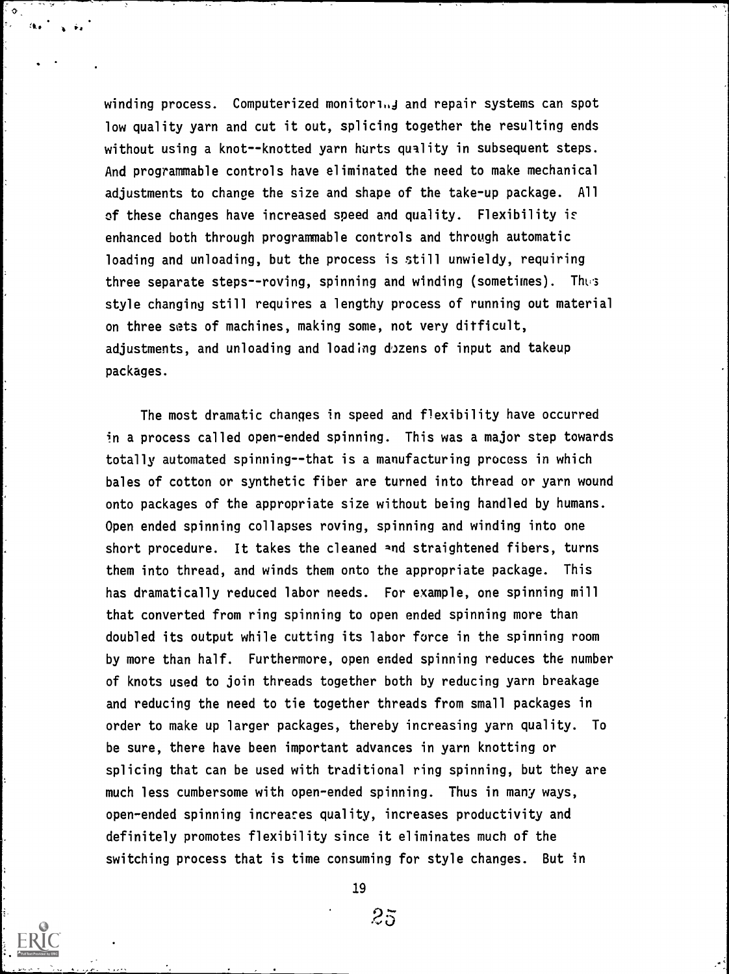winding process. Computerized monitorinj and repair systems can spot low quality yarn and cut it out, splicing together the resulting ends without using a knot--knotted yarn hurts quality in subsequent steps. And programmable controls have eliminated the need to make mechanical adjustments to change the size and shape of the take-up package. All of these changes have increased speed and quality. Flexibility enhanced both through programmable controls and through automatic loading and unloading, but the process is still unwieldy, requiring three separate steps--roving, spinning and winding (sometimes). Thes style changing still requires a lengthy process of running out material on three sets of machines, making some, not very ditficult, adjustments, and unloading and loading dozens of input and takeup packages.

The most dramatic changes in speed and flexibility have occurred in a process called open-ended spinning. This was a major step towards totally automated spinning--that is a manufacturing process in which bales of cotton or synthetic fiber are turned into thread or yarn wound onto packages of the appropriate size without being handled by humans. Open ended spinning collapses roving, spinning and winding into one short procedure. It takes the cleaned and straightened fibers, turns them into thread, and winds them onto the appropriate package. This has dramatically reduced labor needs. For example, one spinning mill that converted from ring spinning to open ended spinning more than doubled its output while cutting its labor force in the spinning room by more than half. Furthermore, open ended spinning reduces the number of knots used to join threads together both by reducing yarn breakage and reducing the need to tie together threads from small packages in order to make up larger packages, thereby increasing yarn quality. To be sure, there have been important advances in yarn knotting or splicing that can be used with traditional ring spinning, but they are much less cumbersome with open-ended spinning. Thus in many ways, open-ended spinning increases quality, increases productivity and definitely promotes flexibility since it eliminates much of the switching process that is time consuming for style changes. But in

 $2\bar{5}$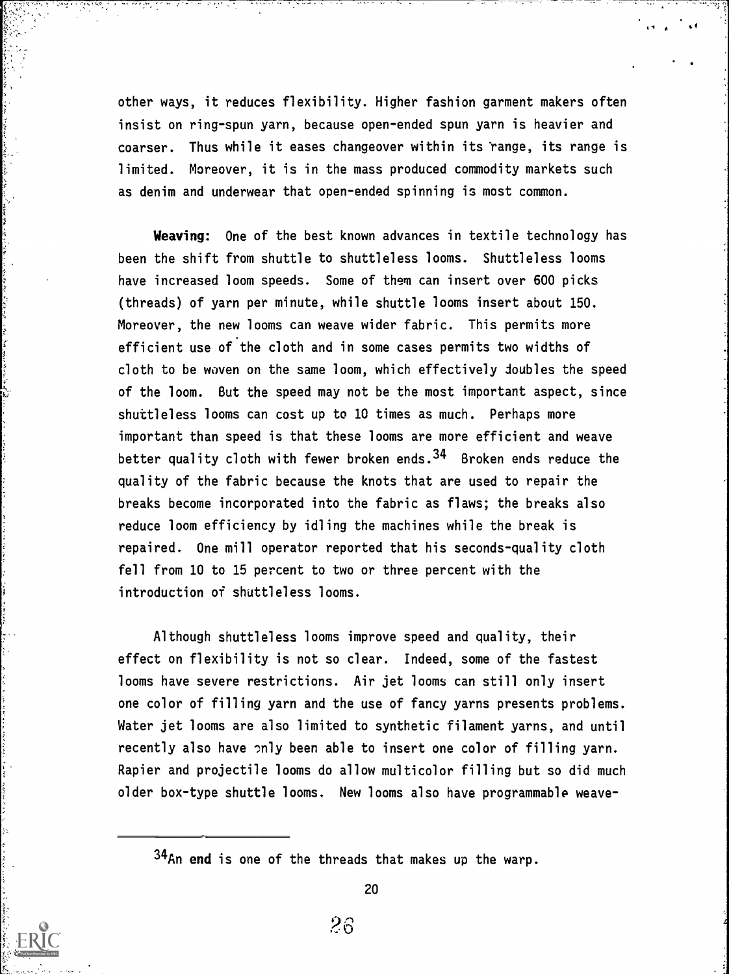other ways, it reduces flexibility. Higher fashion garment makers often insist on ring-spun yarn, because open-ended spun yarn is heavier and coarser. Thus while it eases changeover within its 'range, its range is limited. Moreover, it is in the mass produced commodity markets such as denim and underwear that open-ended spinning is most common.

Weaving: One of the best known advances in textile technology has been the shift from shuttle to shuttleless looms. Shuttleless looms have increased loom speeds. Some of them can insert over 600 picks (threads) of yarn per minute, while shuttle looms insert about 150. Moreover, the new looms can weave wider fabric. This permits more efficient use of the cloth and in some cases permits two widths of cloth to be woven on the same loom, which effectively doubles the speed of the loom. But the speed may not be the most important aspect, since shuttleless looms can cost up to 10 times as much. Perhaps more important than speed is that these looms are more efficient and weave better quality cloth with fewer broken ends.<sup>34</sup> Broken ends reduce the quality of the fabric because the knots that are used to repair the breaks become incorporated into the fabric as flaws; the breaks also reduce loom efficiency by idling the machines while the break is repaired. One mill operator reported that his seconds-quality cloth fell from 10 to 15 percent to two or three percent with the introduction of shuttleless looms.

Although shuttleless looms improve speed and quality, their effect on flexibility is not so clear. Indeed, some of the fastest looms have severe restrictions. Air jet looms can still only insert one color of filling yarn and the use of fancy yarns presents problems. Water jet looms are also limited to synthetic filament yarns, and until recently also have only been able to insert one color of filling yarn. Rapier and projectile looms do allow multicolor filling but so did much older box-type shuttle looms. New looms also have programmable weave-

34An end is one of the threads that makes up the warp.

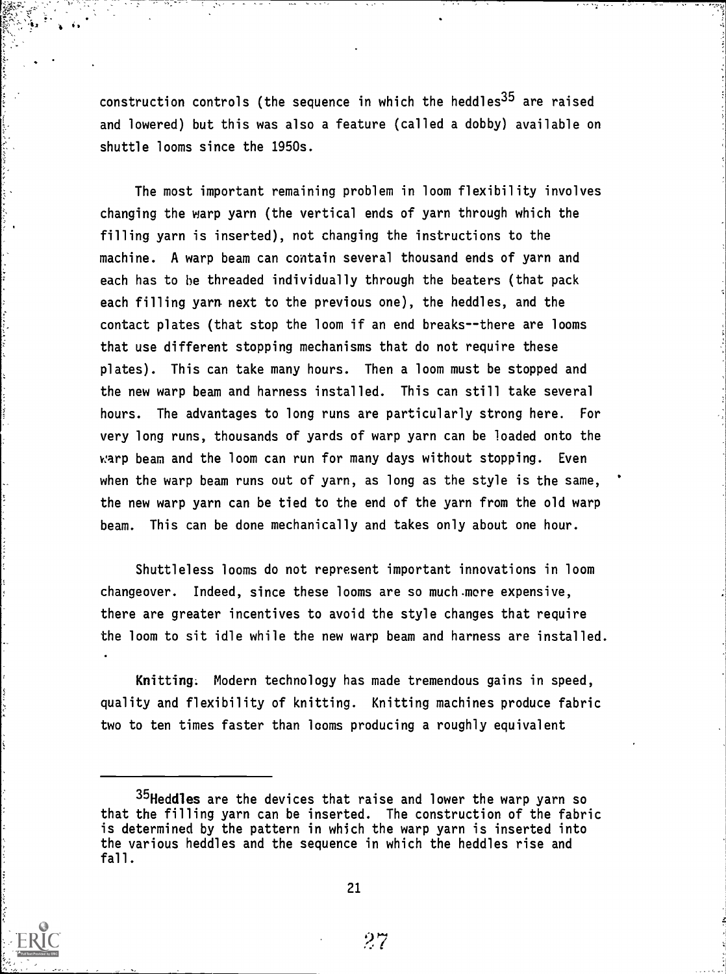construction controls (the sequence in which the heddles<sup>35</sup> are raised and lowered) but this was also a feature (called a dobby) available on shuttle looms since the 1950s.

The most important remaining problem in loom flexibility involves changing the warp yarn (the vertical ends of yarn through which the filling yarn is inserted), not changing the instructions to the machine. A warp beam can contain several thousand ends of yarn and each has to be threaded individually through the beaters (that pack each filling yarn next to the previous one), the heddles, and the contact plates (that stop the loom if an end breaks--there are looms that use different stopping mechanisms that do not require these plates). This can take many hours. Then a loom must be stopped and the new warp beam and harness installed. This can still take several hours. The advantages to long runs are particularly strong here. For very long runs, thousands of yards of warp yarn can be loaded onto the warp beam and the loom can run for many days without stopping. Even when the warp beam runs out of yarn, as long as the style is the same, the new warp yarn can be tied to the end of the yarn from the old warp beam. This can be done mechanically and takes only about one hour.

Shuttleless looms do not represent important innovations in loom changeover. Indeed, since these looms are so much more expensive, there are greater incentives to avoid the style changes that require the loom to sit idle while the new warp beam and harness are installed.

Knitting. Modern technology has made tremendous gains in speed, quality and flexibility of knitting. Knitting machines produce fabric two to ten times faster than looms producing a roughly equivalent



21

<sup>&</sup>lt;sup>35</sup>Heddles are the devices that raise and lower the warp yarn so that the filling yarn can be inserted. The construction of the fabric is determined by the pattern in which the warp yarn is inserted into the various heddles and the sequence in which the heddles rise and fall.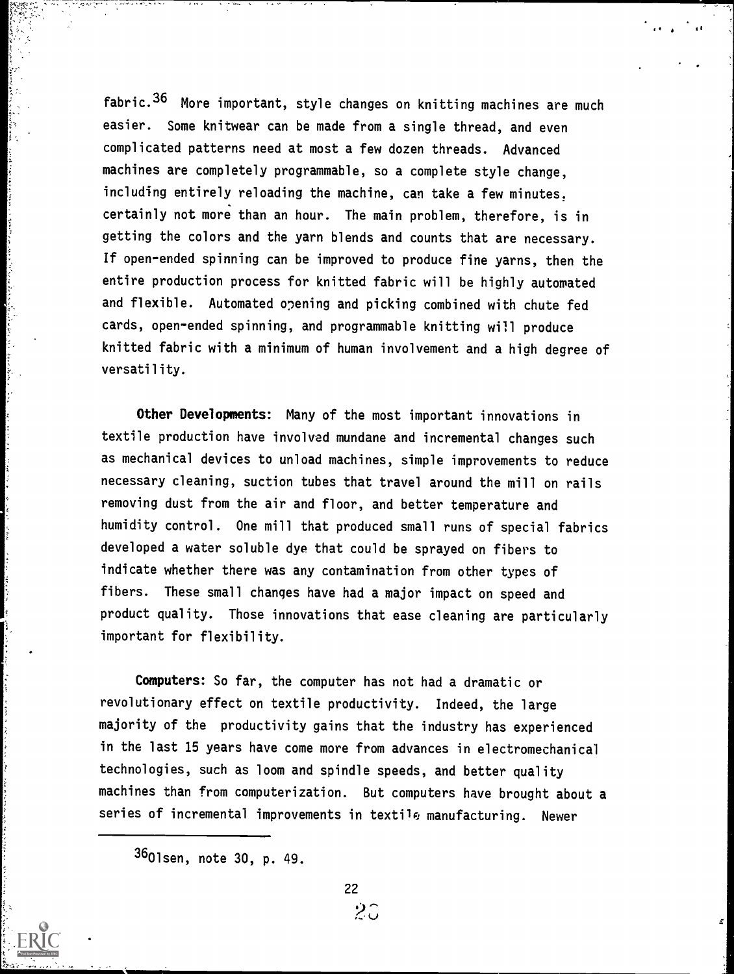fabric.36 More important, style changes on knitting machines are much easier. Some knitwear can be made from a single thread, and even complicated patterns need at most a few dozen threads. Advanced machines are completely programmable, so a complete style change, including entirely reloading the machine, can take a few minutes. certainly not more than an hour. The main problem, therefore, is in getting the colors and the yarn blends and counts that are necessary. If open-ended spinning can be improved to produce fine yarns, then the entire production process for knitted fabric will be highly automated and flexible. Automated opening and picking combined with chute fed cards, open-ended spinning, and programmable knitting will produce knitted fabric with a minimum of human involvement and a high degree of versatility.

 $^{\ast}$  s  $^{\ast}$ 

Other Developments: Many of the most important innovations in textile production have involved mundane and incremental changes such as mechanical devices to unload machines, simple improvements to reduce necessary cleaning, suction tubes that travel around the mill on rails removing dust from the air and floor, and better temperature and humidity control. One mill that produced small runs of special fabrics developed a water soluble dye that could be sprayed on fibers to indicate whether there was any contamination from other types of fibers. These small changes have had a major impact on speed and product quality. Those innovations that ease cleaning are particularly important for flexibility.

Computers: So far, the computer has not had a dramatic or revolutionary effect on textile productivity. Indeed, the large majority of the productivity gains that the industry has experienced in the last 15 years have come more from advances in electromechanical technologies, such as loom and spindle speeds, and better quality machines than from computerization. But computers have brought about a series of incremental improvements in textile manufacturing. Newer

3601sen, note 30, p. 49.

 $2\tilde{c}$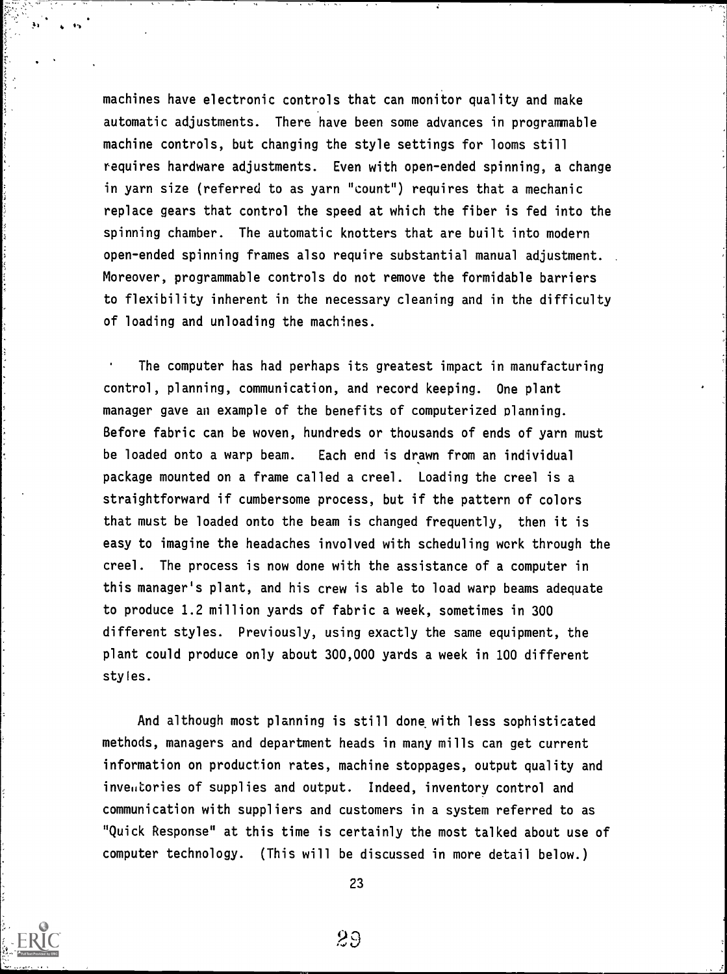machines have electronic controls that can monitor quality and make automatic adjustments. There have been some advances in programmable machine controls, but changing the style settings for looms still requires hardware adjustments. Even with open-ended spinning, a change in yarn size (referred to as yarn "count") requires that a mechanic replace gears that control the speed at which the fiber is fed into the spinning chamber. The automatic knotters that are built into modern open-ended spinning frames also require substantial manual adjustment. . Moreover, programmable controls do not remove the formidable barriers to flexibility inherent in the necessary cleaning and in the difficulty of loading and unloading the machines.

The computer has had perhaps its greatest impact in manufacturing control, planning, communication, and record keeping. One plant manager gave an example of the benefits of computerized planning. Before fabric can be woven, hundreds or thousands of ends of yarn must be loaded onto a warp beam. Each end is drawn from an individual package mounted on a frame called a creel. Loading the creel is a straightforward if cumbersome process, but if the pattern of colors that must be loaded onto the beam is changed frequently, then it is easy to imagine the headaches involved with scheduling work through the creel. The process is now done with the assistance of a computer in this manager's plant, and his crew is able to load warp beams adequate to produce 1.2 million yards of fabric a week, sometimes in 300 different styles. Previously, using exactly the same equipment, the plant could produce only about 300,000 yards a week in 100 different styles.

And although most planning is still done with less sophisticated methods, managers and department heads in many mills can get current information on production rates, machine stoppages, output quality and inveutories of supplies and output. Indeed, inventory control and communication with suppliers and customers in a system referred to as "Quick Response" at this time is certainly the most talked about use of computer technology. (This will be discussed in more detail below.)

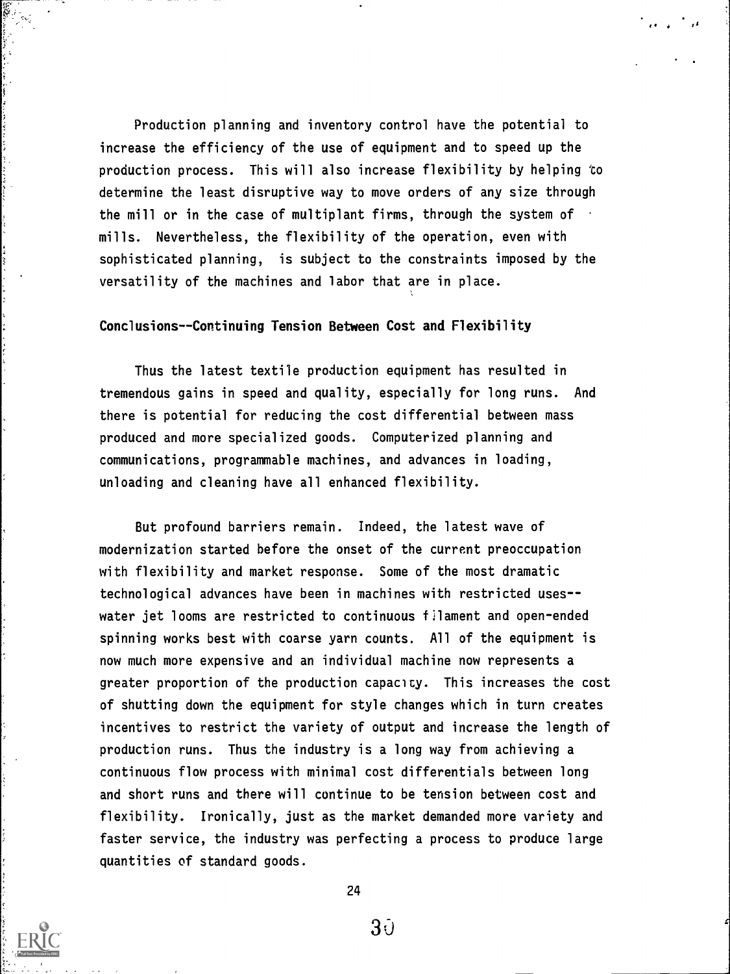Production planning and inventory control have the potential to increase the efficiency of the use of equipment and to speed up the production process. This will also increase flexibility by helping to determine the least disruptive way to move orders of any size through the mill or in the case of multiplant firms, through the system of mills. Nevertheless, the flexibility of the operation, even with sophisticated planning, is subject to the constraints imposed by the versatility of the machines and labor that are in place.

#### Conclusions--Continuing Tension Between Cost and Flexibility

Thus the latest textile production equipment has resulted in tremendous gains in speed and quality, especially for long runs. And there is potential for reducing the cost differential between mass produced and more specialized goods. Computerized planning and communications, programmable machines, and advances in loading, unloading and cleaning have all enhanced flexibility.

But profound barriers remain. Indeed, the latest wave of modernization started before the onset of the current preoccupation with flexibility and market response. Some of the most dramatic technological advances have been in machines with restricted useswater jet looms are restricted to continuous filament and open-ended spinning works best with coarse yarn counts. All of the equipment is now much more expensive and an individual machine now represents a greater proportion of the production capacity. This increases the cost of shutting down the equipment for style changes which in turn creates incentives to restrict the variety of output and increase the length of production runs. Thus the industry is a long way from achieving a continuous flow process with minimal cost differentials between long and short runs and there will continue to be tension between cost and flexibility. Ironically, just as the market demanded more variety and faster service, the industry was perfecting a process to produce large quantities of standard goods.

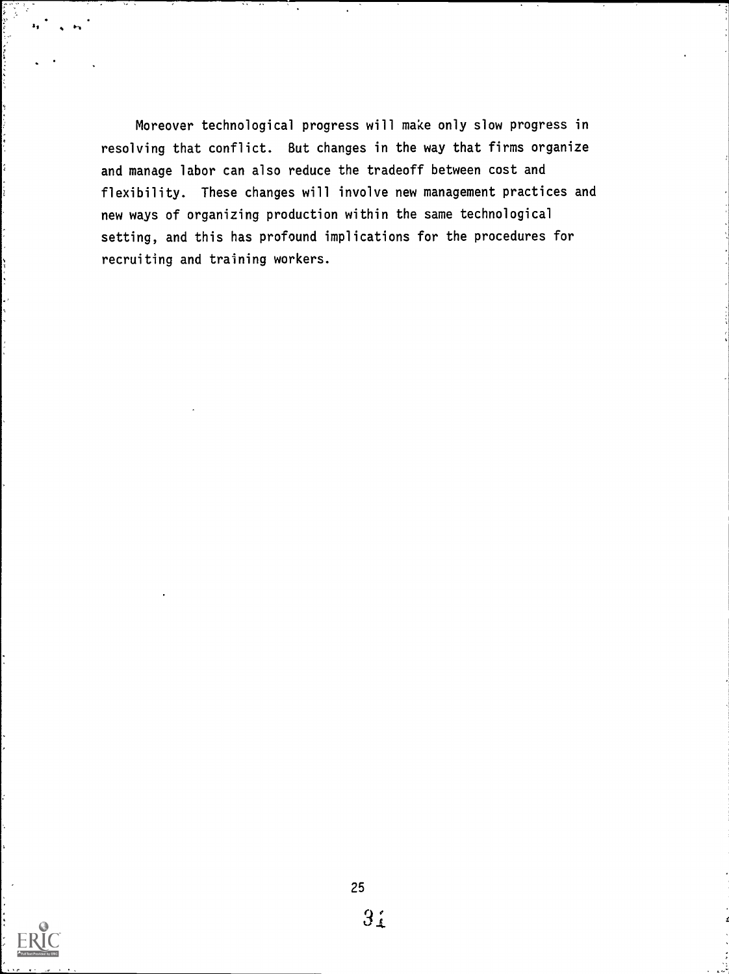Moreover technological progress will make only slow progress in resolving that conflict. But changes in the way that firms organize and manage labor can also reduce the tradeoff between cost and flexibility. These changes will involve new management practices and new ways of organizing production within the same technological setting, and this has profound implications for the procedures for recruiting and training workers.



 $\mathbf{r}^{\text{in}}$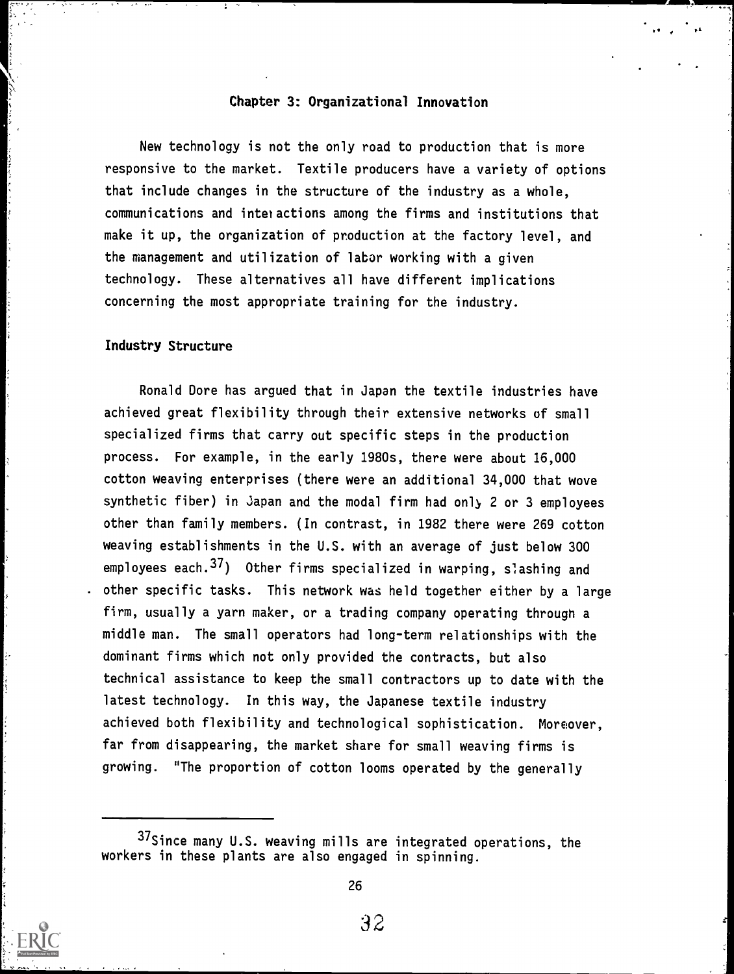#### Chapter 3: Organizational Innovation

New technology is not the only road to production that is more responsive to the market. Textile producers have a variety of options that include changes in the structure of the industry as a whole, communications and interactions among the firms and institutions that make it up, the organization of production at the factory level, and the management and utilization of labor working with a given technology. These alternatives all have different implications concerning the most appropriate training for the industry.

#### Industry Structure

Ronald Dore has argued that in Japan the textile industries have achieved great flexibility through their extensive networks of small specialized firms that carry out specific steps in the production process. For example, in the early 1980s, there were about 16,000 cotton weaving enterprises (there were an additional 34,000 that wove synthetic fiber) in Japan and the modal firm had only 2 or 3 employees other than family members. (In contrast, in 1982 there were 269 cotton weaving establishments in the U.S. with an average of just below 300 employees each.<sup>37</sup>) Other firms specialized in warping, slashing and . other specific tasks. This network was held together either by a large firm, usually a yarn maker, or a trading company operating through a middle man. The small operators had long-term relationships with the dominant firms which not only provided the contracts, but also technical assistance to keep the small contractors up to date with the latest technology. In this way, the Japanese textile industry achieved both flexibility and technological sophistication. Moreover, far from disappearing, the market share for small weaving firms is growing. "The proportion of cotton looms operated by the generally



26

<sup>37</sup>Since many U.S. weaving mills are integrated operations, the workers in these plants are also engaged in spinning.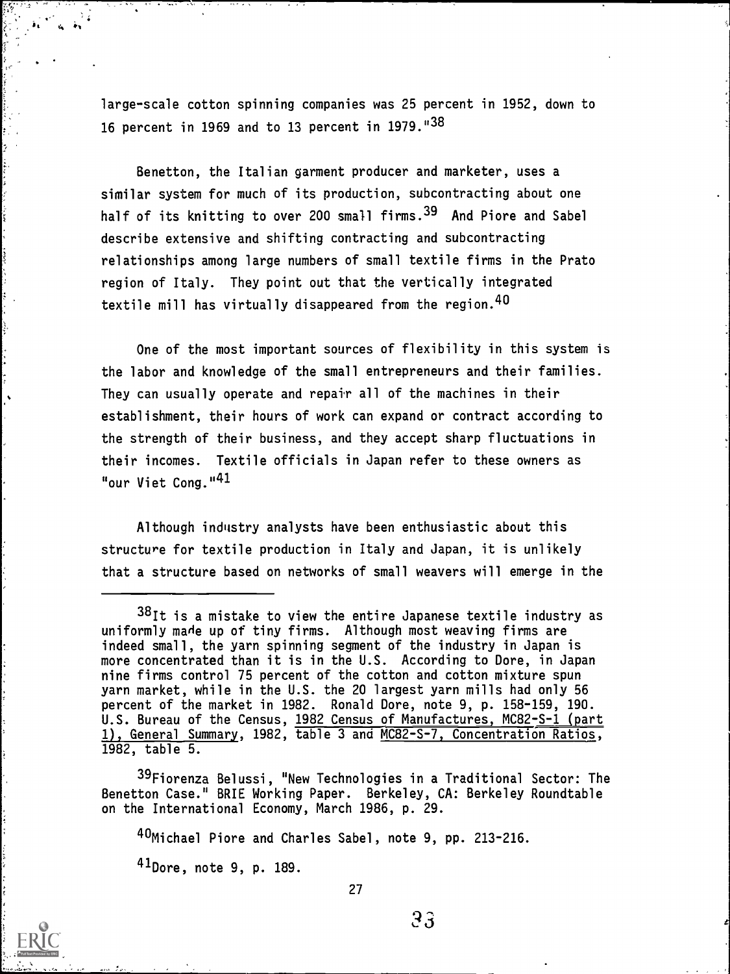large-scale cotton spinning companies was 25 percent in 1952, down to 16 percent in 1969 and to 13 percent in 1979."38

Benetton, the Italian garment producer and marketer, uses a similar system for much of its production, subcontracting about one half of its knitting to over 200 small firms.<sup>39</sup> And Piore and Sabel describe extensive and shifting contracting and subcontracting relationships among large numbers of small textile firms in the Prato region of Italy. They point out that the vertically integrated textile mill has virtually disappeared from the region.  $40$ 

One of the most important sources of flexibility in this system is the labor and knowledge of the small entrepreneurs and their families. They can usually operate and repair all of the machines in their establishment, their hours of work can expand or contract according to the strength of their business, and they accept sharp fluctuations in their incomes. Textile officials in Japan refer to these owners as "our Viet Cong."<sup>41</sup>

Although industry analysts have been enthusiastic about this structure for textile production in Italy and Japan, it is unlikely that a structure based on networks of small weavers will emerge in the

<sup>39</sup>Fiorenza Belussi, "New Technologies in a Traditional Sector: The Benetton Case." BRIE Working Paper. Berkeley, CA: Berkeley Roundtable on the International Economy, March 1986, p. 29.

40Michael Piore and Charles Sabel, note 9, pp. 213-216.

41Dore, note 9, p. 189.

ļ.

 $38$ It is a mistake to view the entire Japanese textile industry as uniformly made up of tiny firms. Although most weaving firms are indeed small, the yarn spinning segment of the industry in Japan is more concentrated than it is in the U.S. According to Dore, in Japan nine firms control 75 percent of the cotton and cotton mixture spun yarn market, while in the U.S. the 20 largest yarn mills had only 56 percent of the market in 1982. Ronald Dore, note 9, p. 158-159, 190. U.S. Bureau of the Census, 1982 Census of Manufactures, MC82-S-1 (part 1), General Summary, 1982, table 3 and MC82-S-7 Concentration Ratios, 1982, table 5.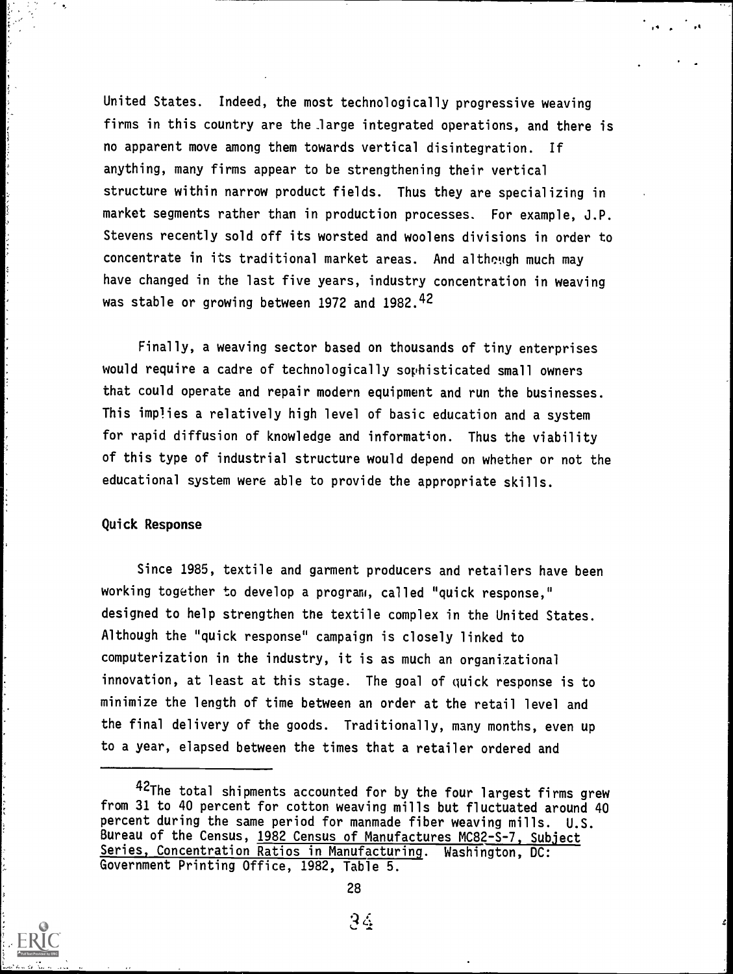United States. Indeed, the most technologically progressive weaving firms in this country are the large integrated operations, and there is no apparent move among them towards vertical disintegration. If anything, many firms appear to be strengthening their vertical structure within narrow product fields. Thus they are specializing in market segments rather than in production processes. For example, J.P. Stevens recently sold off its worsted and woolens divisions in order to concentrate in its traditional market areas. And although much may have changed in the last five years, industry concentration in weaving was stable or growing between 1972 and 1982.<sup>42</sup>

 $\mathbf{t} = \mathbf{t} \times \mathbf{t}$ 

vI

Finally, a weaving sector based on thousands of tiny enterprises would require a cadre of technologically sophisticated small owners that could operate and repair modern equipment and run the businesses. This implies a relatively high level of basic education and a system for rapid diffusion of knowledge and information. Thus the viability of this type of industrial structure would depend on whether or not the educational system were able to provide the appropriate skills.

## Quick Response

Since 1985, textile and garment producers and retailers have been working together to develop a program, called "quick response," designed to help strengthen the textile complex in the United States. Although the "quick response" campaign is closely linked to computerization in the industry, it is as much an organizational innovation, at least at this stage. The goal of quick response is to minimize the length of time between an order at the retail level and the final delivery of the goods. Traditionally, many months, even up to a year, elapsed between the times that a retailer ordered and

<sup>42</sup>The total shipments accounted for by the four largest firms grew from 31 to 40 percent for cotton weaving mills but fluctuated around 40 percent during the same period for manmade fiber weaving mills. U.S. Bureau of the Census, 1982 Census of Manufactures MC82-S-7, Subject Series, Concentration Ratios in Manufacturing. Washington, DC: Government Printing Office, 1982, Table 5.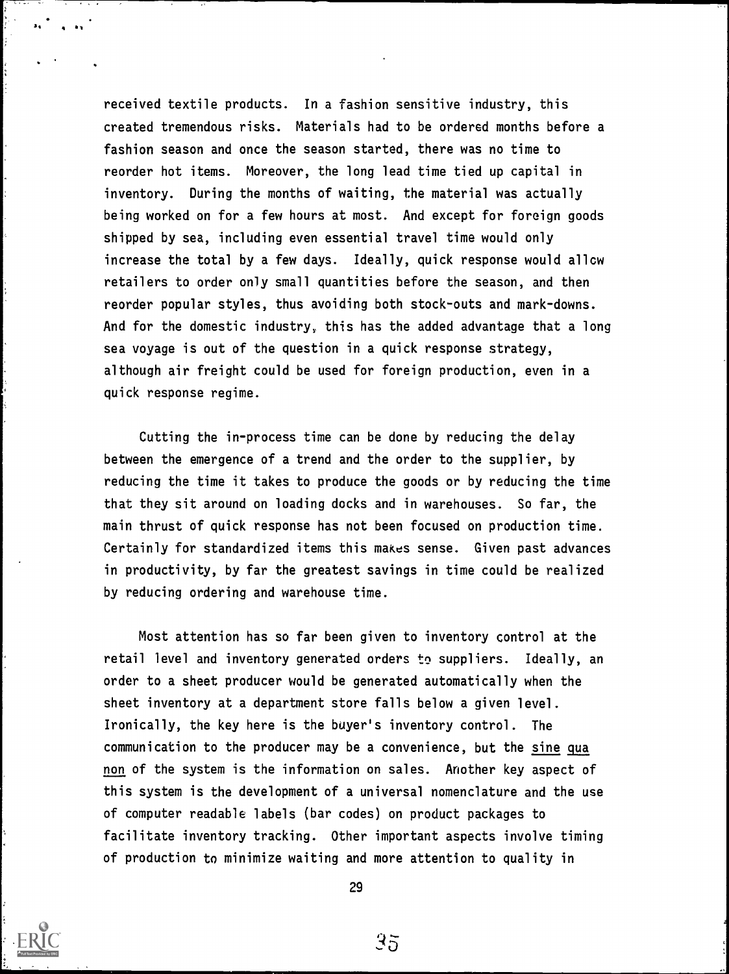received textile products. In a fashion sensitive industry, this created tremendous risks. Materials had to be ordered months before a fashion season and once the season started, there was no time to reorder hot items. Moreover, the long lead time tied up capital in inventory. During the months of waiting, the material was actually being worked on for a few hours at most. And except for foreign goods shipped by sea, including even essential travel time would only increase the total by a few days. Ideally, quick response would allow retailers to order only small quantities before the season, and then reorder popular styles, thus avoiding both stock-outs and mark-downs. And for the domestic industry, this has the added advantage that a long sea voyage is out of the question in a quick response strategy, although air freight could be used for foreign production, even in a quick response regime.

Cutting the in-process time can be done by reducing the delay between the emergence of a trend and the order to the supplier, by reducing the time it takes to produce the goods or by reducing the time that they sit around on loading docks and in warehouses. So far, the main thrust of quick response has not been focused on production time. Certainly for standardized items this makes sense. Given past advances in productivity, by far the greatest savings in time could be realized by reducing ordering and warehouse time.

Most attention has so far been given to inventory control at the retail level and inventory generated orders to suppliers. Ideally, an order to a sheet producer would be generated automatically when the sheet inventory at a department store falls below a given level. Ironically, the key here is the buyer's inventory control. The communication to the producer may be a convenience, but the sine qua non of the system is the information on sales. Another key aspect of this system is the development of a universal nomenclature and the use of computer readable labels (bar codes) on product packages to facilitate inventory tracking. Other important aspects involve timing of production to minimize waiting and more attention to quality in



29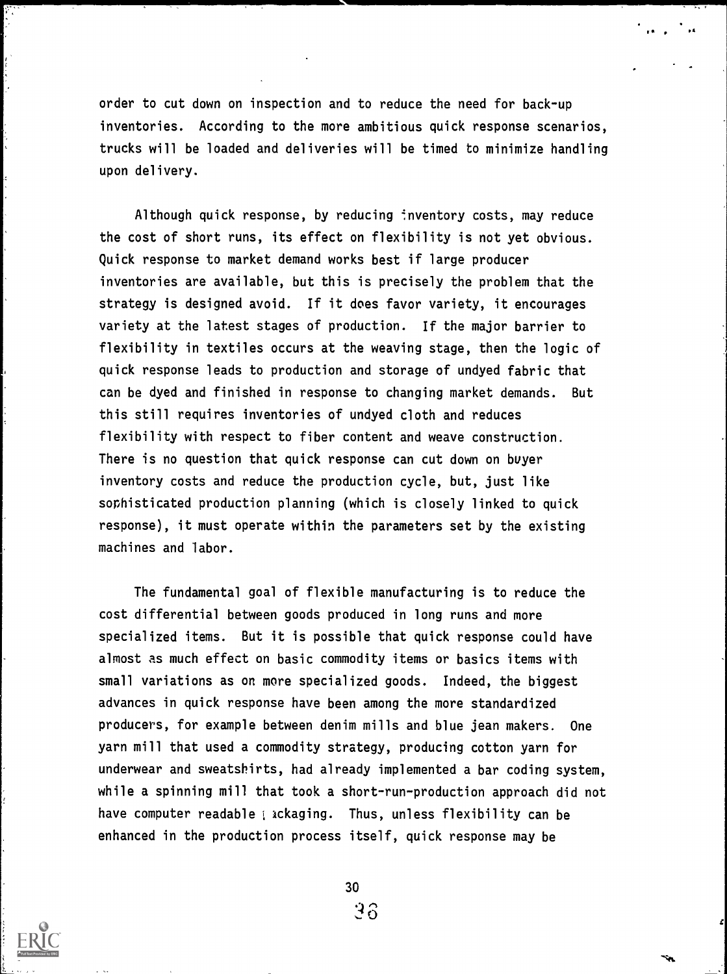order to cut down on inspection and to reduce the need for back-up inventories. According to the more ambitious quick response scenarios, trucks will be loaded and deliveries will be timed to minimize handling upon delivery.

r .

Although quick response, by reducing inventory costs, may reduce the cost of short runs, its effect on flexibility is not yet obvious. Quick response to market demand works best if large producer inventories are available, but this is precisely the problem that the strategy is designed avoid. If it does favor variety, it encourages variety at the latest stages of production. If the major barrier to flexibility in textiles occurs at the weaving stage, then the logic of quick response leads to production and storage of undyed fabric that can be dyed and finished in response to changing market demands. But this still requires inventories of undyed cloth and reduces flexibility with respect to fiber content and weave construction. There is no question that quick response can cut down on buyer inventory costs and reduce the production cycle, but, just like sophisticated production planning (which is closely linked to quick response), it must operate within the parameters set by the existing machines and labor.

The fundamental goal of flexible manufacturing is to reduce the cost differential between goods produced in long runs and more specialized items. But it is possible that quick response could have almost as much effect on basic commodity items or basics items with small variations as on more specialized goods. Indeed, the biggest advances in quick response have been among the more standardized producers, for example between denim mills and blue jean makers. One yarn mill that used a commodity strategy, producing cotton yarn for underwear and sweatshirts, had already implemented a bar coding system, while a spinning mill that took a short-run-production approach did not have computer readable i ackaging. Thus, unless flexibility can be enhanced in the production process itself, quick response may be

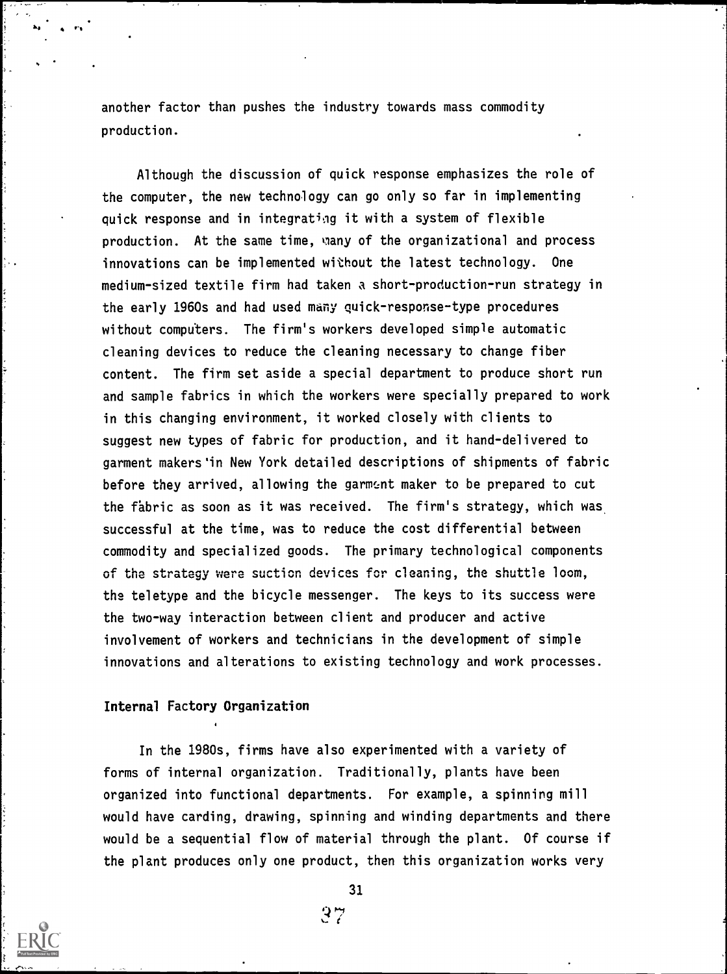another factor than pushes the industry towards mass commodity production.

Although the discussion of quick response emphasizes the role of the computer, the new technology can go only so far in implementing quick response and in integrating it with a system of flexible production. At the same time, wany of the organizational and process innovations can be implemented without the latest technology. One medium-sized textile firm had taken a short-production-run strategy in the early 1960s and had used many quick-response-type procedures without computers. The firm's workers developed simple automatic cleaning devices to reduce the cleaning necessary to change fiber content. The firm set aside a special department to produce short run and sample fabrics in which the workers were specially prepared to work in this changing environment, it worked closely with clients to suggest new types of fabric for production, and it hand-delivered to garment makers'in New York detailed descriptions of shipments of fabric before they arrived, allowing the garment maker to be prepared to cut the fabric as soon as it was received. The firm's strategy, which was successful at the time, was to reduce the cost differential between commodity and specialized goods. The primary technological components of the strategy were suction devices for cleaning, the shuttle loom, the teletype and the bicycle messenger. The keys to its success were the two-way interaction between client and producer and active involvement of workers and technicians in the development of simple innovations and alterations to existing technology and work processes.

#### Internal Factory Organization

In the 1980s, firms have also experimented with a variety of forms of internal organization. Traditionally, plants have been organized into functional departments. For example, a spinning mill would have carding, drawing, spinning and winding departments and there would be a sequential flow of material through the plant. Of course if the plant produces only one product, then this organization works very



 $k_1$  .  $k_2$  .  $r_3$  . The set of  $r_3$ 

31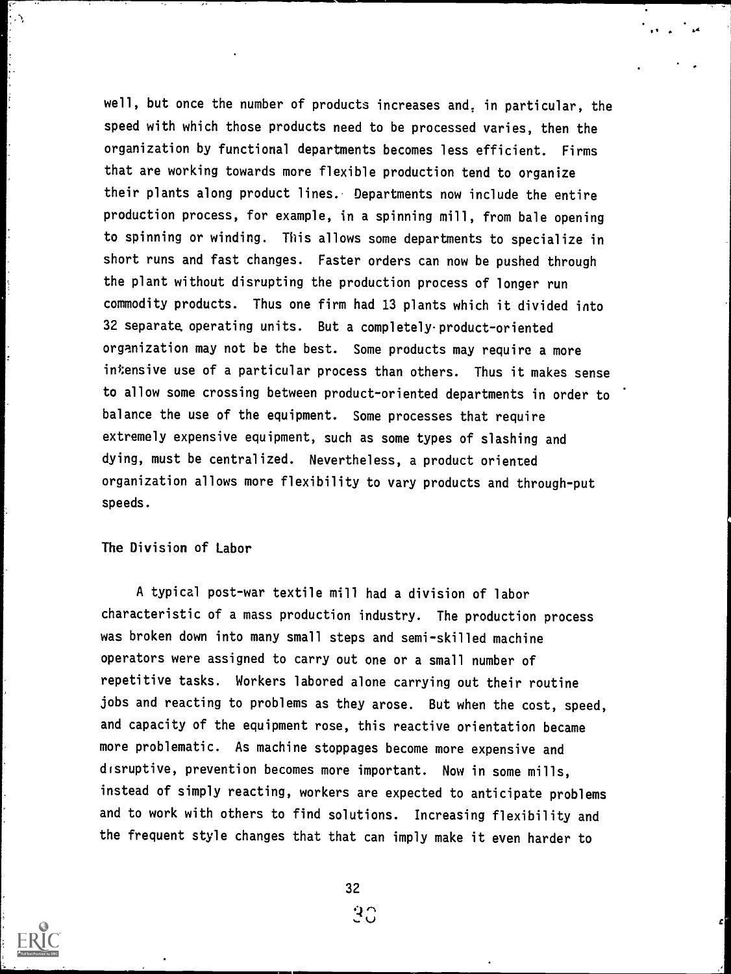well, but once the number of products increases and, in particular, the speed with which those products need to be processed varies, then the organization by functional departments becomes less efficient. Firms that are working towards more flexible production tend to organize their plants along product lines. Departments now include the entire production process, for example, in a spinning mill, from bale opening to spinning or winding. This allows some departments to specialize in short runs and fast changes. Faster orders can now be pushed through the plant without disrupting the production process of longer run commodity products. Thus one firm had 13 plants which it divided into 32 separate. operating units. But a completely product-oriented organization may not be the best. Some products may require a more intensive use of a particular process than others. Thus it makes sense to allow some crossing between product-oriented departments in order to balance the use of the equipment. Some processes that require extremely expensive equipment, such as some types of slashing and dying, must be centralized. Nevertheless, a product oriented organization allows more flexibility to vary products and through-put speeds.

 $11.4 \times 10^{-1}$ 

## The Division of Labor

A typical post-war textile mill had a division of labor characteristic of a mass production industry. The production process was broken down into many small steps and semi-skilled machine operators were assigned to carry out one or a small number of repetitive tasks. Workers labored alone carrying out their routine jobs and reacting to problems as they arose. But when the cost, speed, and capacity of the equipment rose, this reactive orientation became more problematic. As machine stoppages become more expensive and disruptive, prevention becomes more important. Now in some mills, instead of simply reacting, workers are expected to anticipate problems and to work with others to find solutions. Increasing flexibility and the frequent style changes that that can imply make it even harder to



۸,

32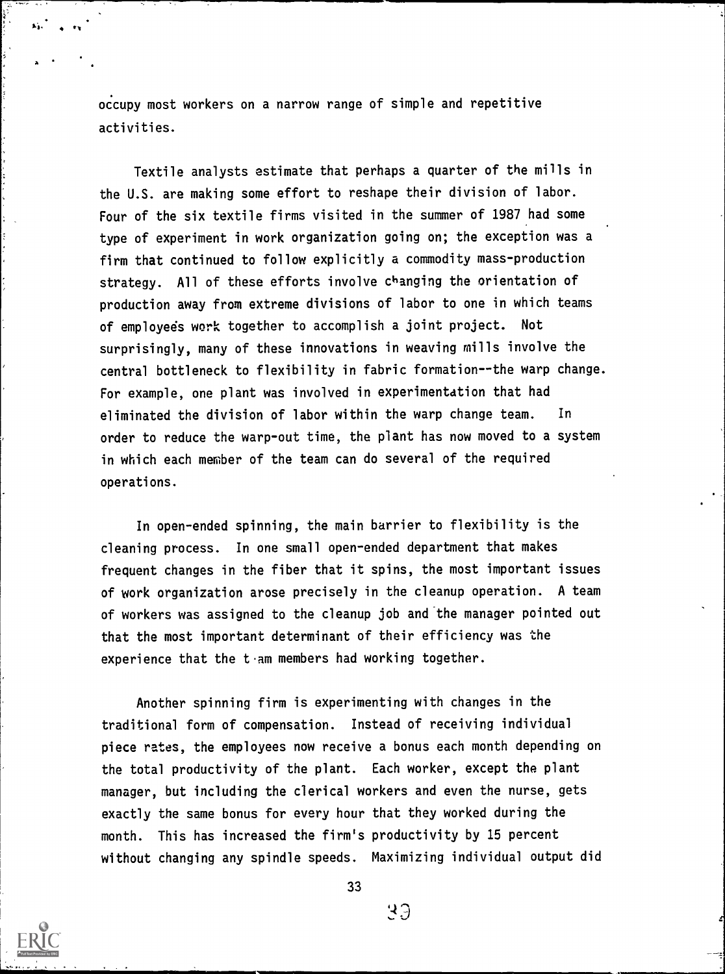occupy most workers on a narrow range of simple and repetitive activities.

Textile analysts estimate that perhaps a quarter of the mills in the U.S. are making some effort to reshape their division of labor. Four of the six textile firms visited in the summer of 1987 had some type of experiment in work organization going on; the exception was a firm that continued to follow explicitly a commodity mass-production strategy. All of these efforts involve changing the orientation of production away from extreme divisions of labor to one in which teams of employees work together to accomplish a joint project. Not surprisingly, many of these innovations in weaving mills involve the central bottleneck to flexibility in fabric formation--the warp change. For example, one plant was involved in experimentation that had eliminated the division of labor within the warp change team. In order to reduce the warp-out time, the plant has now moved to a system in which each member of the team can do several of the required operations.

In open-ended spinning, the main barrier to flexibility is the cleaning process. In one small open-ended department that makes frequent changes in the fiber that it spins, the most important issues of work organization arose precisely in the cleanup operation. A team of workers was assigned to the cleanup job and the manager pointed out that the most important determinant of their efficiency was the experience that the  $t \cdot$ am members had working together.

Another spinning firm is experimenting with changes in the traditional form of compensation. Instead of receiving individual piece rates, the employees now receive a bonus each month depending on the total productivity of the plant. Each worker, except the plant manager, but including the clerical workers and even the nurse, gets exactly the same bonus for every hour that they worked during the month. This has increased the firm's productivity by 15 percent without changing any spindle speeds. Maximizing individual output did



,.

33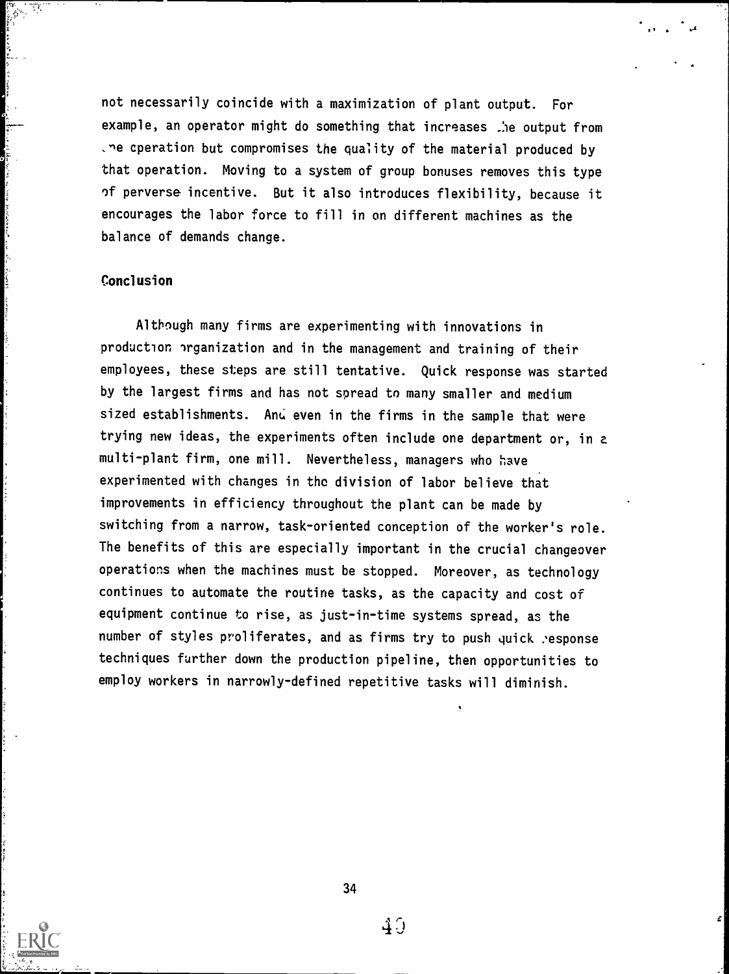not necessarily coincide with a maximization of plant output. For example, an operator might do something that increases .)e output from .ne cperation but compromises the quality of the material produced by that operation. Moving to a system of group bonuses removes this type of perverse incentive. But it also introduces flexibility, because it encourages the labor force to fill in on different machines as the balance of demands change.

# **Conclusion**

Although many firms are experimenting with innovations in production organization and in the management and training of their employees, these steps are still tentative. Quick response was started by the largest firms and has not spread to many smaller and medium sized establishments. And even in the firms in the sample that were trying new ideas, the experiments often include one department or, in a multi-plant firm, one mill. Nevertheless, managers who have experimented with changes in the division of labor believe that improvements in efficiency throughout the plant can be made by switching from a narrow, task-oriented conception of the worker's role. The benefits of this are especially important in the crucial changeover operations when the machines must be stopped. Moreover, as technology continues to automate the routine tasks, as the capacity and cost of equipment continue to rise, as just-in-time systems spread, as the number of styles proliferates, and as firms try to push quick :esponse techniques further down the production pipeline, then opportunities to employ workers in narrowly-defined repetitive tasks will diminish.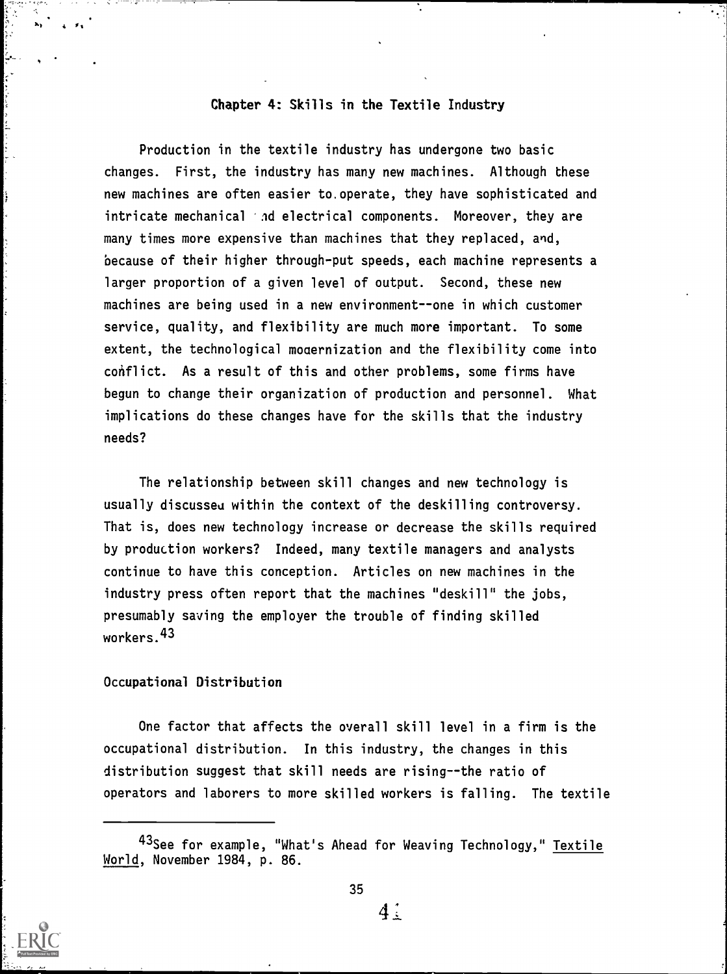# Chapter 4: Skills in the Textile Industry

Production in the textile industry has undergone two basic changes. First, the industry has many new machines. Although these new machines are often easier to.operate, they have sophisticated and intricate mechanical 'nd electrical components. Moreover, they are many times more expensive than machines that they replaced, and, because of their higher through-put speeds, each machine represents a larger proportion of a given level of output. Second, these new machines are being used in a new environment--one in which customer service, quality, and flexibility are much more important. To some extent, the technological moaernization and the flexibility come into conflict. As a result of this and other problems, some firms have begun to change their organization of production and personnel. What implications do these changes have for the skills that the industry needs?

The relationship between skill changes and new technology is usually discussed within the context of the deskilling controversy. That is, does new technology increase or decrease the skills required by production workers? Indeed, many textile managers and analysts continue to have this conception. Articles on new machines in the industry press often report that the machines "deskill" the jobs, presumably saving the employer the trouble of finding skilled workers.43

# Occupational Distribution

One factor that affects the overall skill level in a firm is the occupational distribution. In this industry, the changes in this distribution suggest that skill needs are rising--the ratio of operators and laborers to more skilled workers is falling. The textile



ļ,

<sup>&</sup>lt;sup>43</sup>See for example, "What's Ahead for Weaving Technology," Textile World, November 1984, p. 86.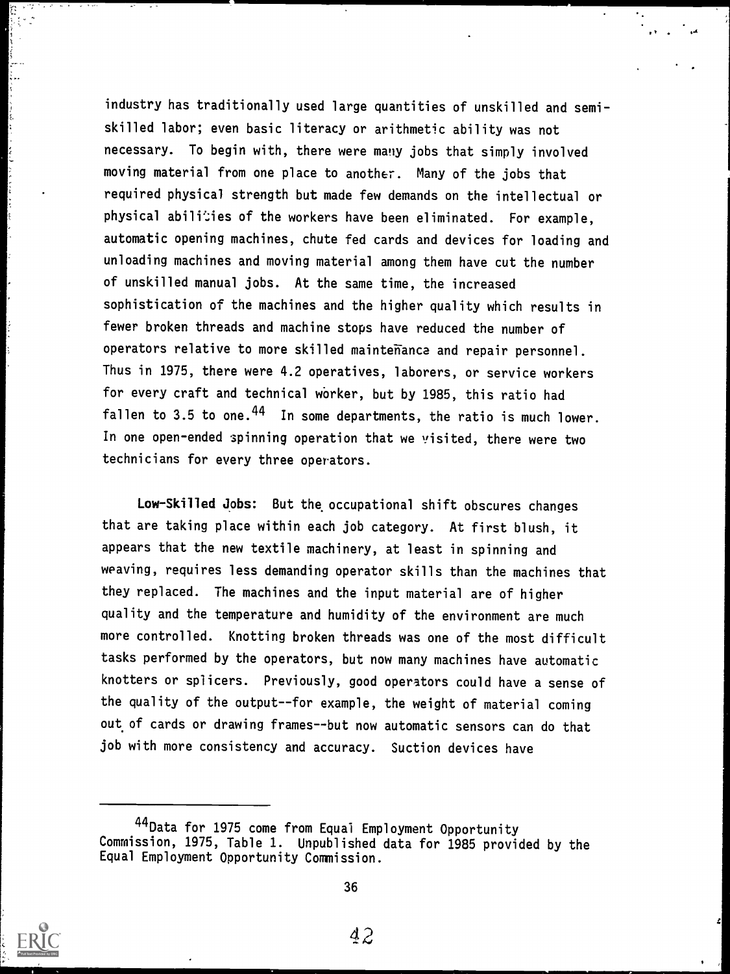industry has traditionally used large quantities of unskilled and semiskilled labor; even basic literacy or arithmetic ability was not necessary. To begin with, there were many jobs that simply involved moving material from one place to another. Many of the jobs that required physical strength but made few demands on the intellectual or physical abilities of the workers have been eliminated. For example, automatic opening machines, chute fed cards and devices for loading and unloading machines and moving material among them have cut the number of unskilled manual jobs. At the same time, the increased sophistication of the machines and the higher quality which results in fewer broken threads and machine stops have reduced the number of operators relative to more skilled maintenance and repair personnel. Thus in 1975, there were 4.2 operatives, laborers, or service workers for every craft and technical worker, but by 1985, this ratio had fallen to 3.5 to one.  $44$  In some departments, the ratio is much lower. In one open-ended spinning operation that we visited, there were two technicians for every three operators.

Iry

Low-Skilled Jobs: But the occupational shift obscures changes that are taking place within each job category. At first blush, it appears that the new textile machinery, at least in spinning and weaving, requires less demanding operator skills than the machines that they replaced. The machines and the input material are of higher quality and the temperature and humidity of the environment are much more controlled. Knotting broken threads was one of the most difficult tasks performed by the operators, but now many machines have automatic knotters or splicers. Previously, good operators could have a sense of the quality of the output--for example, the weight of material coming out of cards or drawing frames--but now automatic sensors can do that job with more consistency and accuracy. Suction devices have



<sup>44</sup>Data for 1975 come from Equal Employment Opportunity Commission, 1975, Table 1. Unpublished data for 1985 provided by the Equal Employment Opportunity Commission.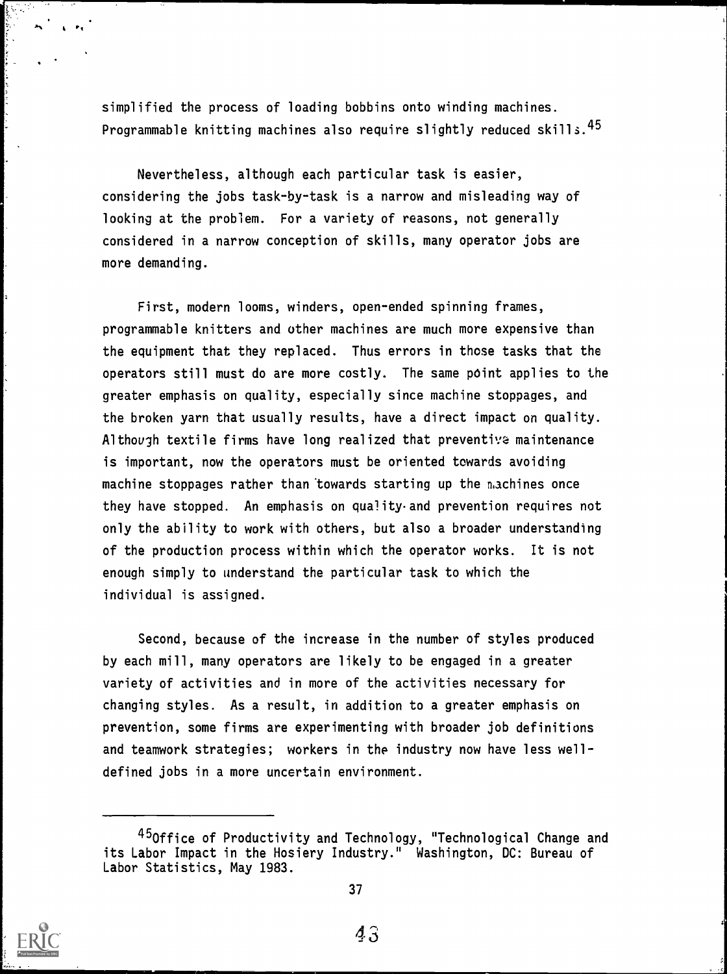simplified the process of loading bobbins onto winding machines. Programmable knitting machines also require slightly reduced skills.<sup>45</sup>

Nevertheless, although each particular task is easier, considering the jobs task-by-task is a narrow and misleading way of looking at the problem. For a variety of reasons, not generally considered in a narrow conception of skills, many operator jobs are more demanding.

First, modern looms, winders, open-ended spinning frames, programmable knitters and other machines are much more expensive than the equipment that they replaced. Thus errors in those tasks that the operators still must do are more costly. The same point applies to the greater emphasis on quality, especially since machine stoppages, and the broken yarn that usually results, have a direct impact on quality. Although textile firms have long realized that preventiva maintenance is important, now the operators must be oriented towards avoiding machine stoppages rather than towards starting up the machines once they have stopped. An emphasis on quality and prevention requires not only the ability to work with others, but also a broader understanding of the production process within which the operator works. It is not enough simply to understand the particular task to which the individual is assigned.

Second, because of the increase in the number of styles produced by each mill, many operators are likely to be engaged in a greater variety of activities and in more of the activities necessary for changing styles. As a result, in addition to a greater emphasis on prevention, some firms are experimenting with broader job definitions and teamwork strategies; workers in the industry now have less welldefined jobs in a more uncertain environment.



<sup>45</sup>Office of Productivity and Technology, "Technological Change and its Labor Impact in the Hosiery Industry." Washington, DC: Bureau of Labor Statistics, May 1983.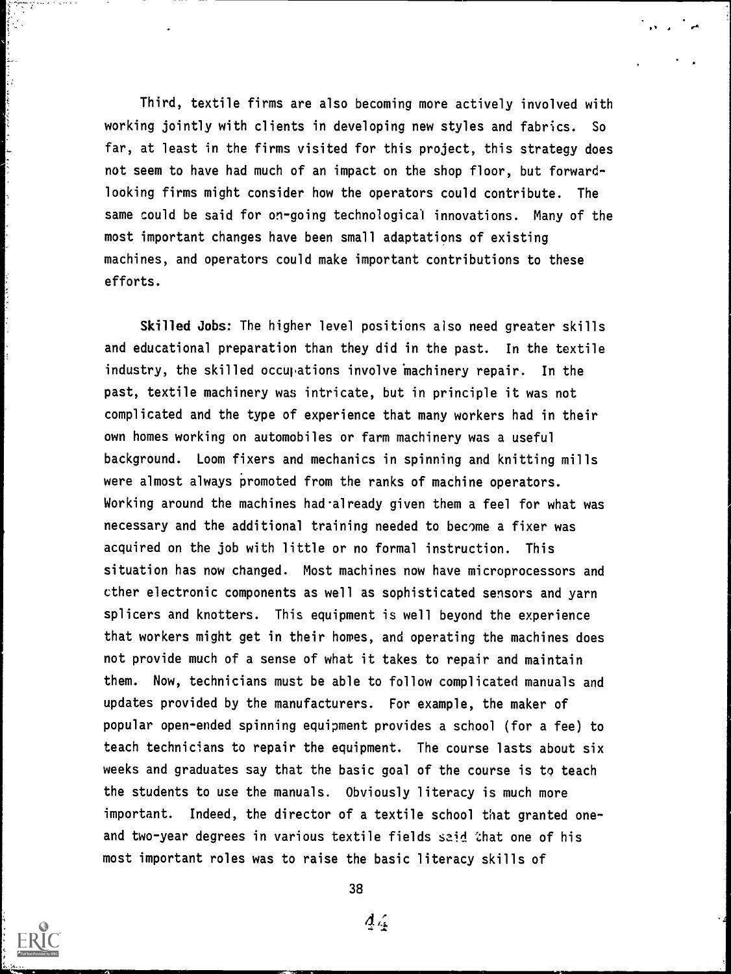Third, textile firms are also becoming more actively involved with working jointly with clients in developing new styles and fabrics. So far, at least in the firms visited for this project, this strategy does not seem to have had much of an impact on the shop floor, but forwardlooking firms might consider how the operators could contribute. The same could be said for on-going technological innovations. Many of the most important changes have been small adaptations of existing machines, and operators could make important contributions to these efforts.

Skilled Jobs: The higher level positions also need greater skills and educational preparation than they did in the past. In the textile industry, the skilled occupations involve machinery repair. In the past, textile machinery was intricate, but in principle it was not complicated and the type of experience that many workers had in their own homes working on automobiles or farm machinery was a useful background. Loom fixers and mechanics in spinning and knitting mills were almost always promoted from the ranks of machine operators. Working around the machines had already given them a feel for what was necessary and the additional training needed to become a fixer was acquired on the job with little or no formal instruction. This situation has now changed. Most machines now have microprocessors and other electronic components as well as sophisticated sensors and yarn splicers and knotters. This equipment is well beyond the experience that workers might get in their homes, and operating the machines does not provide much of a sense of what it takes to repair and maintain them. Now, technicians must be able to follow complicated manuals and updates provided by the manufacturers. For example, the maker of popular open-ended spinning equipment provides a school (for a fee) to teach technicians to repair the equipment. The course lasts about six weeks and graduates say that the basic goal of the course is to teach the students to use the manuals. Obviously literacy is much more important. Indeed, the director of a textile school that granted oneand two-year degrees in various textile fields said that one of his most important roles was to raise the basic literacy skills of



38

 $\Delta_{4}$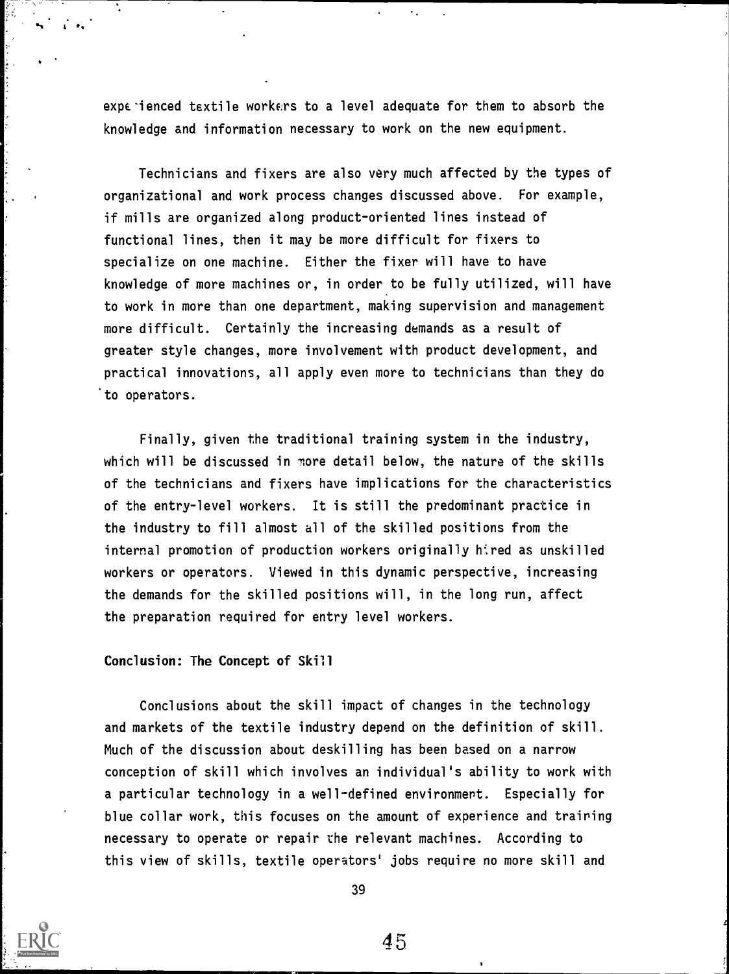experienced textile workers to a level adequate for them to absorb the knowledge and information necessary to work on the new equipment.

Technicians and fixers are also very much affected by the types of organizational and work process changes discussed above. For example, if mills are organized along product-oriented lines instead of functional lines, then it may be more difficult for fixers to specialize on one machine. Either the fixer will have to have knowledge of more machines or, in order to be fully utilized, will have to work in more than one department, making supervision and management more difficult. Certainly the increasing demands as a result of greater style changes, more involvement with product development, and practical innovations, all apply even more to technicians than they do to operators.

Finally, given the traditional training system in the industry, which will be discussed in nore detail below, the nature of the skills of the technicians and fixers have implications for the characteristics of the entry-level workers. It is still the predominant practice in the industry to fill almost all of the skilled positions from the internal promotion of production workers originally hired as unskilled workers or operators. Viewed in this dynamic perspective, increasing the demands for the skilled positions will, in the long run, affect the preparation required for entry level workers.

#### Conclusion: The Concept of Skill

 $\mathbf{L} \cdot \mathbf{S}$ 

Conclusions about the skill impact of changes in the technology and markets of the textile industry depend on the definition of skill. Much of the discussion about deskilling has been based on a narrow conception of skill which involves an individual's ability to work with a particular technology in a well-defined environment. Especially for blue collar work, this focuses on the amount of experience and training necessary to operate or repair the relevant machines. According to this view of skills, textile operators' jobs require no more skill and



39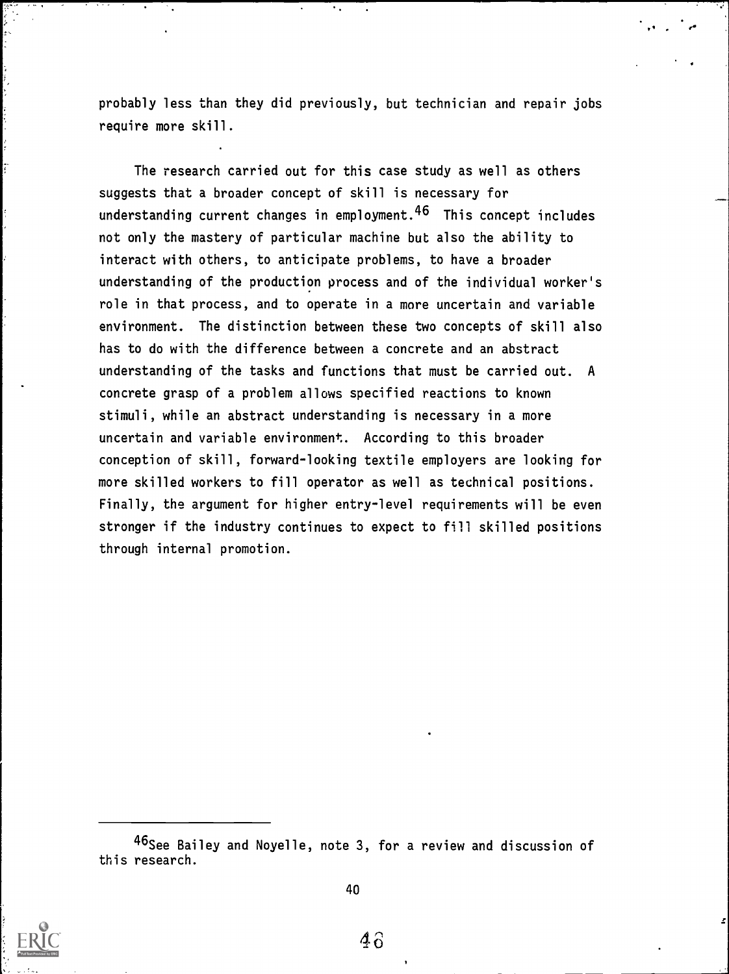probably less than they did previously, but technician and repair jobs require more skill.

The research carried out for this case study as well as others suggests that a broader concept of skill is necessary for understanding current changes in employment.46 This concept includes not only the mastery of particular machine but also the ability to interact with others, to anticipate problems, to have a broader understanding of the production process and of the individual worker's role in that process, and to operate in a more uncertain and variable environment. The distinction between these two concepts of skill also has to do with the difference between a concrete and an abstract understanding of the tasks and functions that must be carried out. A concrete grasp of a problem allows specified reactions to known stimuli, while an abstract understanding is necessary in a more uncertain and variable environment. According to this broader conception of skill, forward-looking textile employers are looking for more skilled workers to fill operator as well as technical positions. Finally, the argument for higher entry-level requirements will be even stronger if the industry continues to expect to fill skilled positions through internal promotion.



<sup>&</sup>lt;sup>40</sup>See Bailey and Noyelle, note 3, for a review and discussion of this research.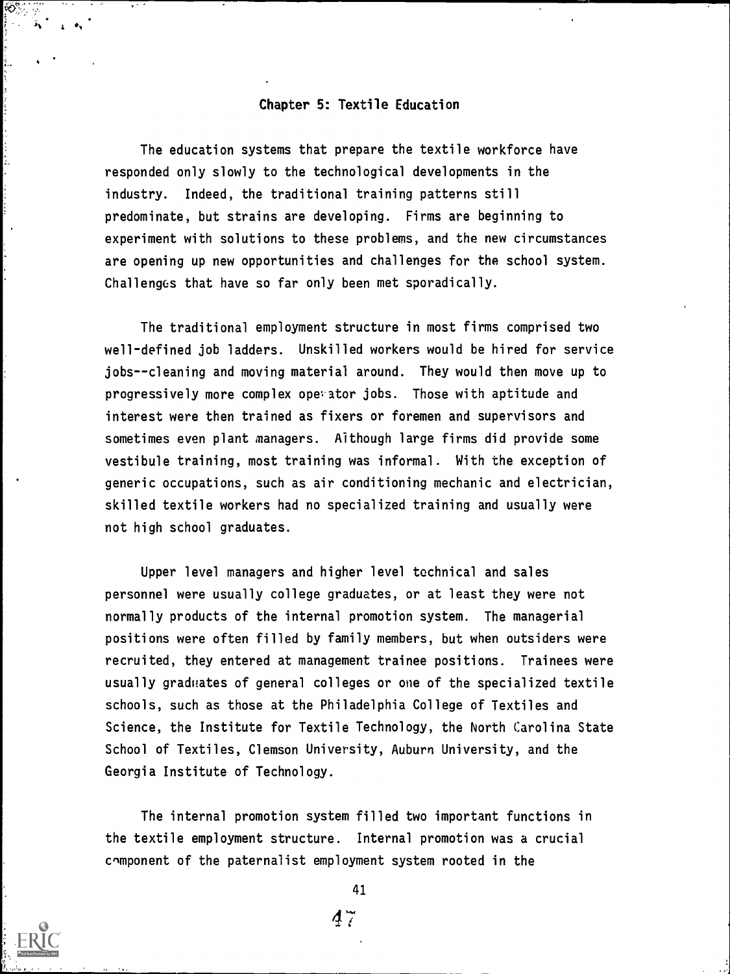# Chapter 5: Textile Education

The education systems that prepare the textile workforce have responded only slowly to the technological developments in the industry. Indeed, the traditional training patterns still predominate, but strains are developing. Firms are beginning to experiment with solutions to these problems, and the new circumstances are opening up new opportunities and challenges for the school system. Challenges that have so far only been met sporadically.

The traditional employment structure in most firms comprised two well-defined job ladders. Unskilled workers would be hired for service jobs--cleaning and moving material around. They would then move up to progressively more complex operator jobs. Those with aptitude and interest were then trained as fixers or foremen and supervisors and sometimes even plant managers. Although large firms did provide some vestibule training, most training was informal. With the exception of generic occupations, such as air conditioning mechanic and electrician, skilled textile workers had no specialized training and usually were not high school graduates.

Upper level managers and higher level technical and sales personnel were usually college graduates, or at least they were not normally products of the internal promotion system. The managerial positions were often filled by family members, but when outsiders were recruited, they entered at management trainee positions. Trainees were usually graduates of general colleges or one of the specialized textile schools, such as those at the Philadelphia College of Textiles and Science, the Institute for Textile Technology, the North Carolina State School of Textiles, Clemson University, Auburn University, and the Georgia Institute of Technology.

The internal promotion system filled two important functions in the textile employment structure. Internal promotion was a crucial component of the paternalist employment system rooted in the

41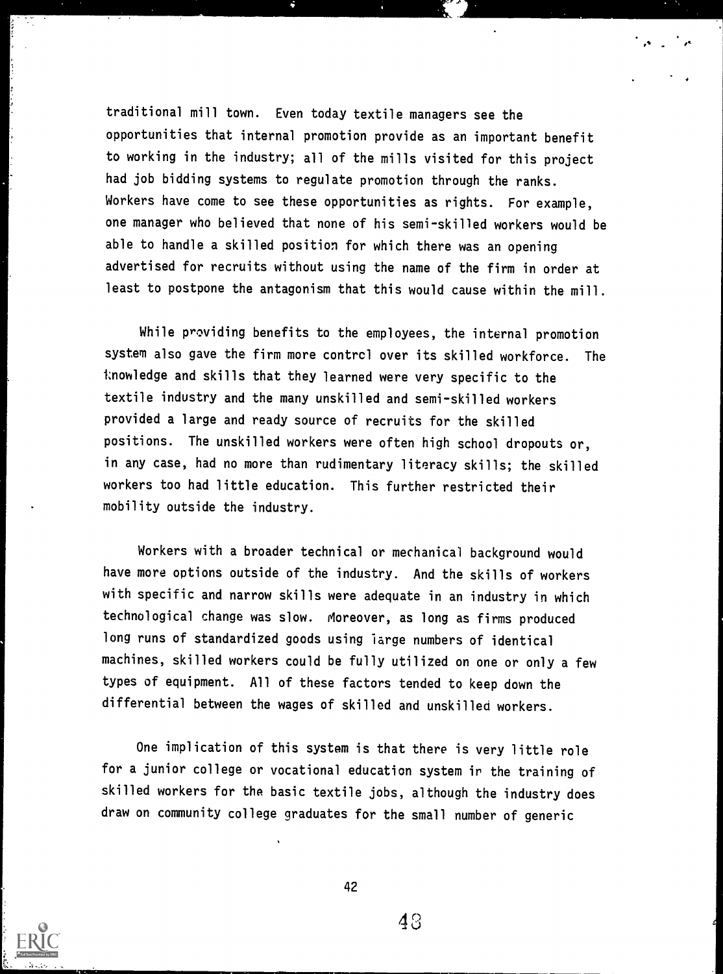traditional mill town. Even today textile managers see the opportunities that internal promotion provide as an important benefit to working in the industry; all of the mills visited for this project had job bidding systems to regulate promotion through the ranks. Workers have come to see these opportunities as rights. For example, one manager who believed that none of his semi-skilled workers would be able to handle a skilled position for which there was an opening advertised for recruits without using the name of the firm in order at least to postpone the antagonism that this would cause within the mill.

While providing benefits to the employees, the internal promotion system also gave the firm more contrcl over its skilled workforce. The tnowledge and skills that they learned were very specific to the textile industry and the many unskilled and semi-skilled workers provided a large and ready source of recruits for the skilled positions. The unskilled workers were often high school dropouts or, in any case, had no more than rudimentary literacy skills; the skilled workers too had little education. This further restricted their mobility outside the industry.

Workers with a broader technical or mechanical background would have more options outside of the industry. And the skills of workers with specific and narrow skills were adequate in an industry in which technological change was slow. Moreover, as long as firms produced long runs of standardized goods using large numbers of identical machines, skilled workers could be fully utilized on one or only a few types of equipment. All of these factors tended to keep down the differential between the wages of skilled and unskilled workers.

One implication of this system is that there is very little role for a junior college or vocational education system ir the training of skilled workers for the basic textile jobs, although the industry does draw on community college graduates for the small number of generic



42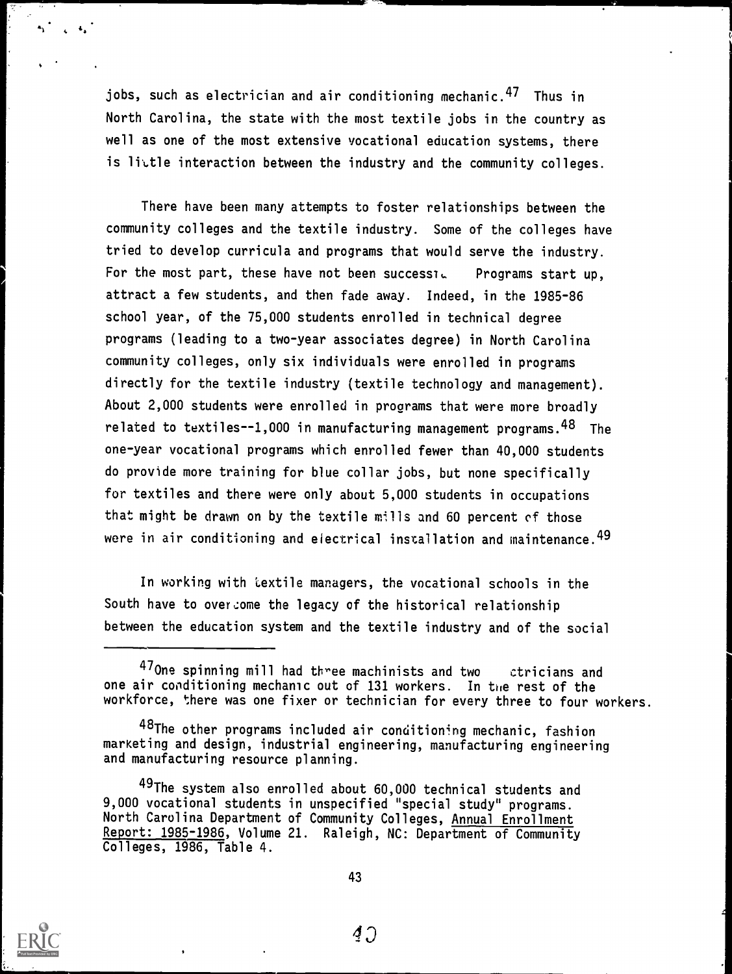jobs, such as electrician and air conditioning mechanic.<sup>47</sup> Thus in North Carolina, the state with the most textile jobs in the country as well as one of the most extensive vocational education systems, there is little interaction between the industry and the community colleges.

There have been many attempts to foster relationships between the community colleges and the textile industry. Some of the colleges have tried to develop curricula and programs that would serve the industry. For the most part, these have not been successid Programs start up, attract a few students, and then fade away. Indeed, in the 1985-86 school year, of the 75,000 students enrolled in technical degree programs (leading to a two-year associates degree) in North Carolina community colleges, only six individuals were enrolled in programs directly for the textile industry (textile technology and management). About 2,000 students were enrolled in programs that were more broadly related to textiles--1,000 in manufacturing management programs.  $48$  The one-year vocational programs which enrolled fewer than 40,000 students do provide more training for blue collar jobs, but none specifically for textiles and there were only about 5,000 students in occupations that might be drawn on by the textile mills and 60 percent of those were in air conditioning and electrical installation and maintenance.  $49$ 

In working with textile managers, the vocational schools in the South have to over come the legacy of the historical relationship between the education system and the textile industry and of the social



<sup>470</sup>ne spinning mill had three machinists and two ctricians and one air conditioning mechanic out of 131 workers. In the rest of the workforce, there was one fixer or technician for every three to four workers.

<sup>48</sup>The other programs included air conditioning mechanic, fashion marKeting and design, industrial engineering, manufacturing engineering and manufacturing resource planning.

<sup>49</sup>The system also enrolled about 60,000 technical students and 9,000 vocational students in unspecified "special study" programs. North Carolina Department of Community Colleges, Annual Enrollment Report: 1985-1986, Volume 21. Raleigh, NC: Department of Community Colleges, 1986, Table 4.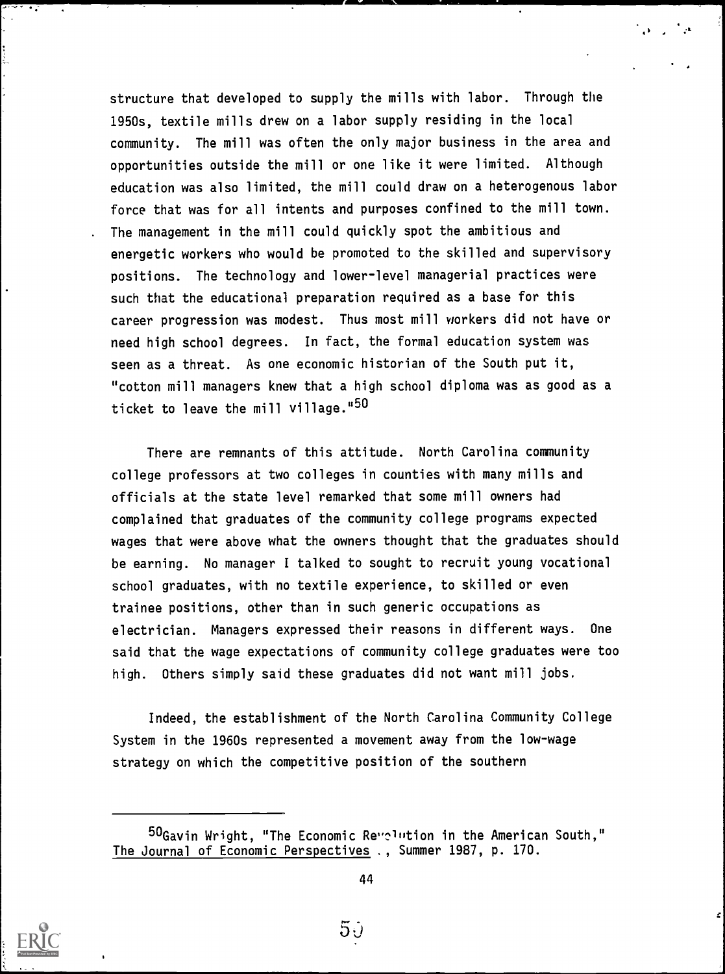structure that developed to supply the mills with labor. Through the 1950s, textile mills drew on a labor supply residing in the local community. The mill was often the only major business in the area and opportunities outside the mill or one like it were limited. Although education was also limited, the mill could draw on a heterogenous labor force that was for all intents and purposes confined to the mill town. . The management in the mill could quickly spot the ambitious and energetic workers who would be promoted to the skilled and supervisory positions. The technology and lower-level managerial practices were such that the educational preparation required as a base for this career progression was modest. Thus most mill workers did not have or need high school degrees. In fact, the formal education system was seen as a threat. As one economic historian of the South put it, "cotton mill managers knew that a high school diploma was as good as a ticket to leave the mill village."50

 $\mathbf{r}$  ,  $\mathbf{r}$ 

z

There are remnants of this attitude. North Carolina community college professors at two colleges in counties with many mills and officials at the state level remarked that some mill owners had complained that graduates of the community college programs expected wages that were above what the owners thought that the graduates should be earning. No manager I talked to sought to recruit young vocational school graduates, with no textile experience, to skilled or even trainee positions, other than in such generic occupations as electrician. Managers expressed their reasons in different ways. One said that the wage expectations of community college graduates were too high. Others simply said these graduates did not want mill jobs.

Indeed, the establishment of the North Carolina Community College System in the 1960s represented a movement away from the low-wage strategy on which the competitive position of the southern



 $^{50}$ Gavin Wright, "The Economic Revelution in the American South," The Journal of Economic Perspectives ., Summer 1987, p. 170.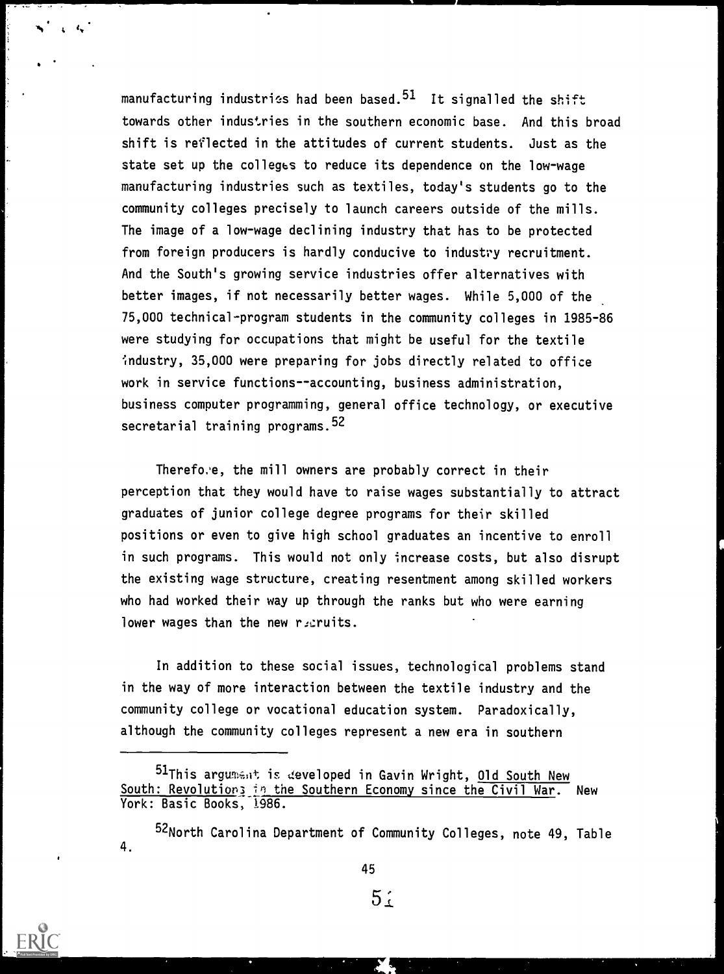manufacturing industries had been based.<sup>51</sup> It signalled the shift towards other industries in the southern economic base. And this broad shift is reflected in the attitudes of current students. Just as the state set up the colleges to reduce its dependence on the low-wage manufacturing industries such as textiles, today's students go to the community colleges precisely to launch careers outside of the mills. The image of a low-wage declining industry that has to be protected from foreign producers is hardly conducive to industry recruitment. And the South's growing service industries offer alternatives with better images, if not necessarily better wages. While 5,000 of the 75,000 technical-program students in the community colleges in 1985-86 were studying for occupations that might be useful for the textile industry, 35,000 were preparing for jobs directly related to office work in service functions--accounting, business administration, business computer programming, general office technology, or executive secretarial training programs.<sup>52</sup>

Therefo.'e, the mill owners are probably correct in their perception that they would have to raise wages substantially to attract graduates of junior college degree programs for their skilled positions or even to give high school graduates an incentive to enroll in such programs. This would not only increase costs, but also disrupt the existing wage structure, creating resentment among skilled workers who had worked their way up through the ranks but who were earning lower wages than the new recruits.

In addition to these social issues, technological problems stand in the way of more interaction between the textile industry and the community college or vocational education system. Paradoxically, although the community colleges represent a new era in southern

45

 $5<sub>1</sub>$ 



i,

<sup>51</sup>This argument is developed in Gavin Wright, Old South New South: Revolutions in the Southern Economy since the Civil War. New York: Basic Books, 1986.

<sup>4.</sup> 52North Carolina Department of Community Colleges, note 49, Table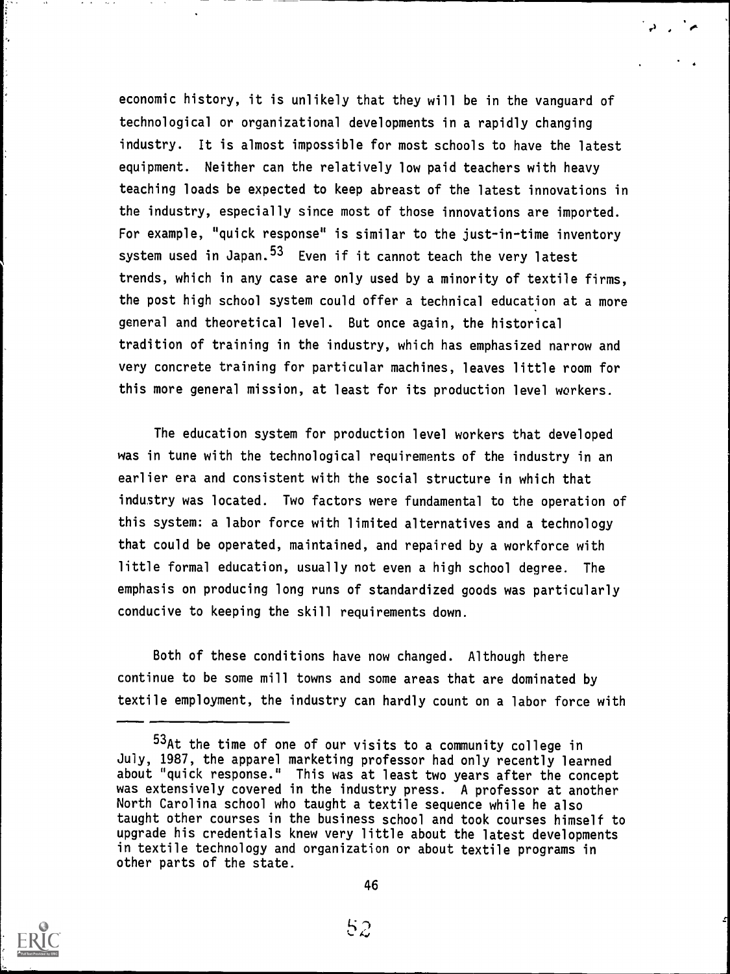economic history, it is unlikely that they will be in the vanguard of technological or organizational developments in a rapidly changing industry. It is almost impossible for most schools to have the latest equipment. Neither can the relatively low paid teachers with heavy teaching loads be expected to keep abreast of the latest innovations in the industry, especially since most of those innovations are imported. For example, "quick response" is similar to the just-in-time inventory system used in Japan.<sup>53</sup> Even if it cannot teach the very latest trends, which in any case are only used by a minority of textile firms, the post high school system could offer a technical education at a more general and theoretical level. But once again, the historical tradition of training in the industry, which has emphasized narrow and very concrete training for particular machines, leaves little room for this more general mission, at least for its production level workers.

The education system for production level workers that developed was in tune with the technological requirements of the industry in an earlier era and consistent with the social structure in which that industry was located. Two factors were fundamental to the operation of this system: a labor force with limited alternatives and a technology that could be operated, maintained, and repaired by a workforce with little formal education, usually not even a high school degree. The emphasis on producing long runs of standardized goods was particularly conducive to keeping the skill requirements down.

Both of these conditions have now changed. Although there continue to be some mill towns and some areas that are dominated by textile employment, the industry can hardly count on a labor force with



<sup>53</sup>At the time of one of our visits to a community college in July, 1987, the apparel marketing professor had only recently learned about "quick response." This was at least two years after the concept was extensively covered in the industry press. A professor at another North Carolina school who taught a textile sequence while he also taught other courses in the business school and took courses himself to upgrade his credentials knew very little about the latest developments in textile technology and organization or about textile programs in other parts of the state.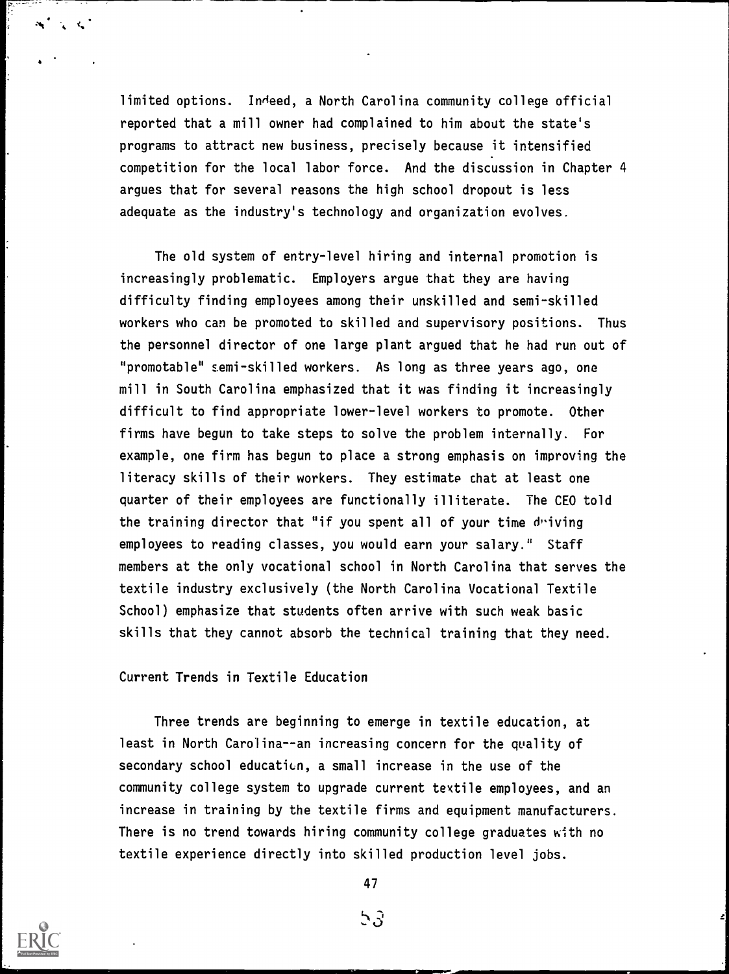limited options. In'eed, a North Carolina community college official reported that a mill owner had complained to him about the state's programs to attract new business, precisely because it intensified competition for the local labor force. And the discussion in Chapter 4 argues that for several reasons the high school dropout is less adequate as the industry's technology and organization evolves.

The old system of entry-level hiring and internal promotion is increasingly problematic. Employers argue that they are having difficulty finding employees among their unskilled and semi-skilled workers who can be promoted to skilled and supervisory positions. Thus the personnel director of one large plant argued that he had run out of "promotable" semi-skilled workers. As long as three years ago, one mill in South Carolina emphasized that it was finding it increasingly difficult to find appropriate lower-level workers to promote. Other firms have begun to take steps to solve the problem internally. For example, one firm has begun to place a strong emphasis on improving the literacy skills of their workers. They estimate chat at least one quarter of their employees are functionally illiterate. The CEO told the training director that "if you spent all of your time duiving employees to reading classes, you would earn your salary." Staff members at the only vocational school in North Carolina that serves the textile industry exclusively (the North Carolina Vocational Textile School) emphasize that students often arrive with such weak basic skills that they cannot absorb the technical training that they need.

Current Trends in Textile Education

Three trends are beginning to emerge in textile education, at least in North Carolina--an increasing concern for the quality of secondary school education, a small increase in the use of the community college system to upgrade current textile employees, and an increase in training by the textile firms and equipment manufacturers. There is no trend towards hiring community college graduates with no textile experience directly into skilled production level jobs.



47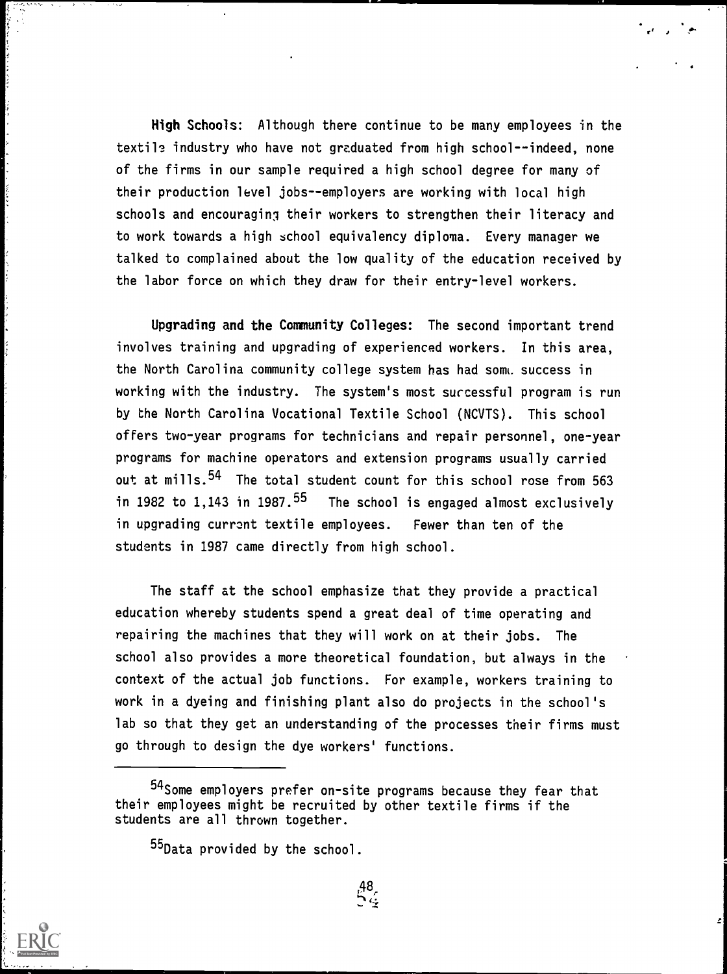High Schools: Although there continue to be many employees in the textile industry who have not graduated from high school--indeed, none of the firms in our sample required a high school degree for many of their production level jobs--employers are working with local high schools and encouraging their workers to strengthen their literacy and to work towards a high school equivalency diploma. Every manager we talked to complained about the low quality of the education received by the labor force on which they draw for their entry-level workers.

r' r

Upgrading and the Community Colleges: The second important trend involves training and upgrading of experienced workers. In this area, the North Carolina community college system has had som. success in working with the industry. The system's most successful program is run by the North Carolina Vocational Textile School (NCVTS). This school offers two-year programs for technicians and repair personnel, one-year programs for machine operators and extension programs usually carried out at mills.<sup>54</sup> The total student count for this school rose from 563 in 1982 to 1,143 in 1987. $55$  The school is engaged almost exclusively in upgrading currant textile employees. Fewer than ten of the students in 1987 came directly from high school.

The staff at the school emphasize that they provide a practical education whereby students spend a great deal of time operating and repairing the machines that they will work on at their jobs. The school also provides a more theoretical foundation, but always in the context of the actual job functions. For example, workers training to work in a dyeing and finishing plant also do projects in the school's lab so that they get an understanding of the processes their firms must go through to design the dye workers' functions.

55Data provided by the school.

<sup>54</sup>Some employers prefer on-site programs because they fear that their employees might be recruited by other textile firms if the students are all thrown together.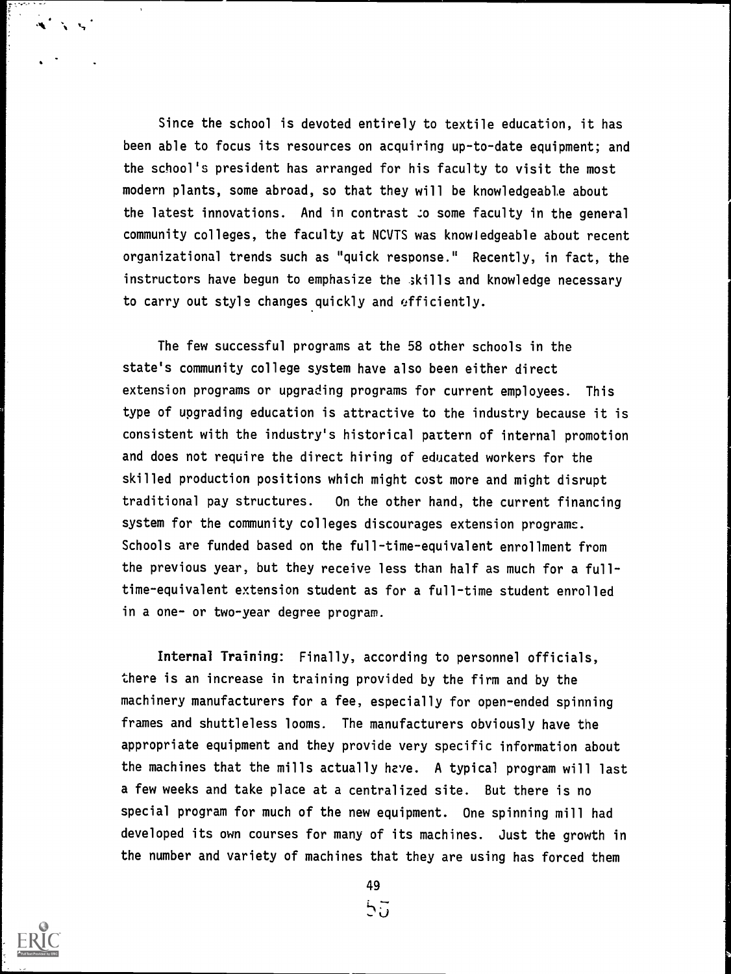Since the school is devoted entirely to textile education, it has been able to focus its resources on acquiring up-to-date equipment; and the school's president has arranged for his faculty to visit the most modern plants, some abroad, so that they will be knowledgeable about the latest innovations. And in contrast :o some faculty in the general community colleges, the faculty at NUTS was knowledgeable about recent organizational trends such as "quick response." Recently, in fact, the instructors have begun to emphasize the skills and knowledge necessary to carry out style changes quickly and efficiently.

The few successful programs at the 58 other schools in the state's community college system have also been either direct extension programs or upgrading programs for current employees. This type of upgrading education is attractive to the industry because it is consistent with the industry's historical pattern of internal promotion and does not require the direct hiring of educated workers for the skilled production positions which might cost more and might disrupt traditional pay structures. On the other hand, the current financing system for the community colleges discourages extension programs. Schools are funded based on the full-time-equivalent enrollment from the previous year, but they receive less than half as much for a fulltime-equivalent extension student as for a full-time student enrolled in a one- or two-year degree program.

Internal Training: Finally, according to personnel officials, there is an increase in training provided by the firm and by the machinery manufacturers for a fee, especially for open-ended spinning frames and shuttleless looms. The manufacturers obviously have the appropriate equipment and they provide very specific information about the machines that the mills actually have. A typical program will last a few weeks and take place at a centralized site. But there is no special program for much of the new equipment. One spinning mill had developed its own courses for many of its machines. Just the growth in the number and variety of machines that they are using has forced them



 $A = \frac{1}{2}$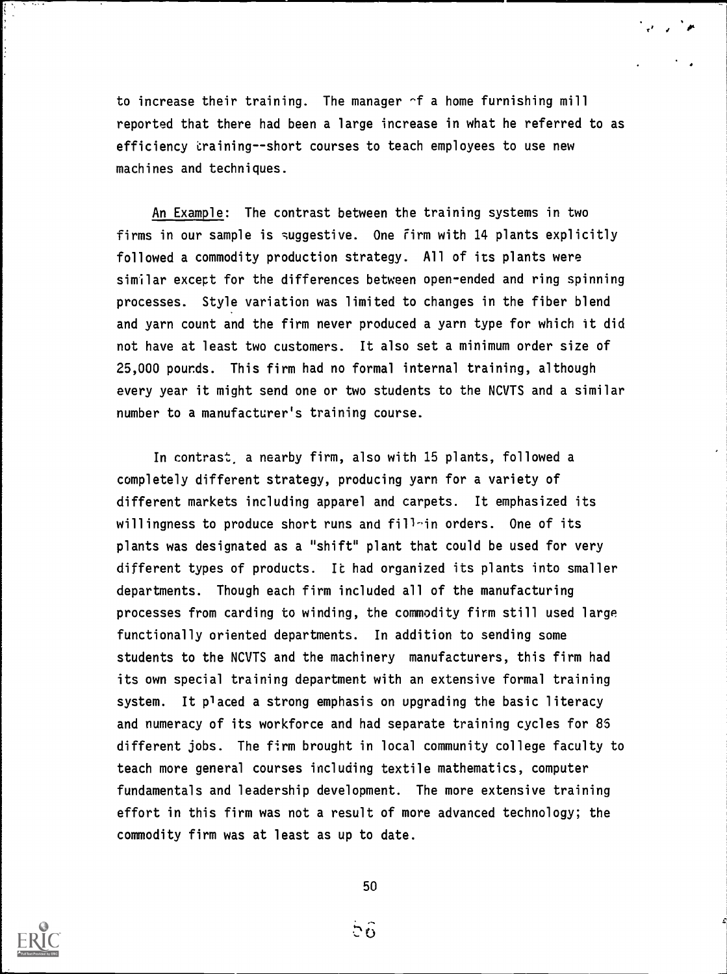to increase their training. The manager -f a home furnishing mill reported that there had been a large increase in what he referred to as efficiency training--short courses to teach employees to use new machines and techniques.

r' I

An Example: The contrast between the training systems in two firms in our sample is suggestive. One Firm with 14 plants explicitly followed a commodity production strategy. All of its plants were similar except for the differences between open-ended and ring spinning processes. Style variation was limited to changes in the fiber blend and yarn count and the firm never produced a yarn type for which it did not have at least two customers. It also set a minimum order size of 25,000 pounds. This firm had no formal internal training, although every year it might send one or two students to the NCVTS and a similar number to a manufacturer's training course.

In contrast, a nearby firm, also with 15 plants, followed a completely different strategy, producing yarn for a variety of different markets including apparel and carpets. It emphasized its willingness to produce short runs and fill-in orders. One of its plants was designated as a "shift" plant that could be used for very different types of products. It had organized its plants into smaller departments. Though each firm included all of the manufacturing processes from carding to winding, the commodity firm still used large functionally oriented departments. In addition to sending some students to the NCUTS and the machinery manufacturers, this firm had its own special training department with an extensive formal training system. It placed a strong emphasis on upgrading the basic literacy and numeracy of its workforce and had separate training cycles for 85 different jobs. The firm brought in local community college faculty to teach more general courses including textile mathematics, computer fundamentals and leadership development. The more extensive training effort in this firm was not a result of more advanced technology; the commodity firm was at least as up to date.



50

ិចិ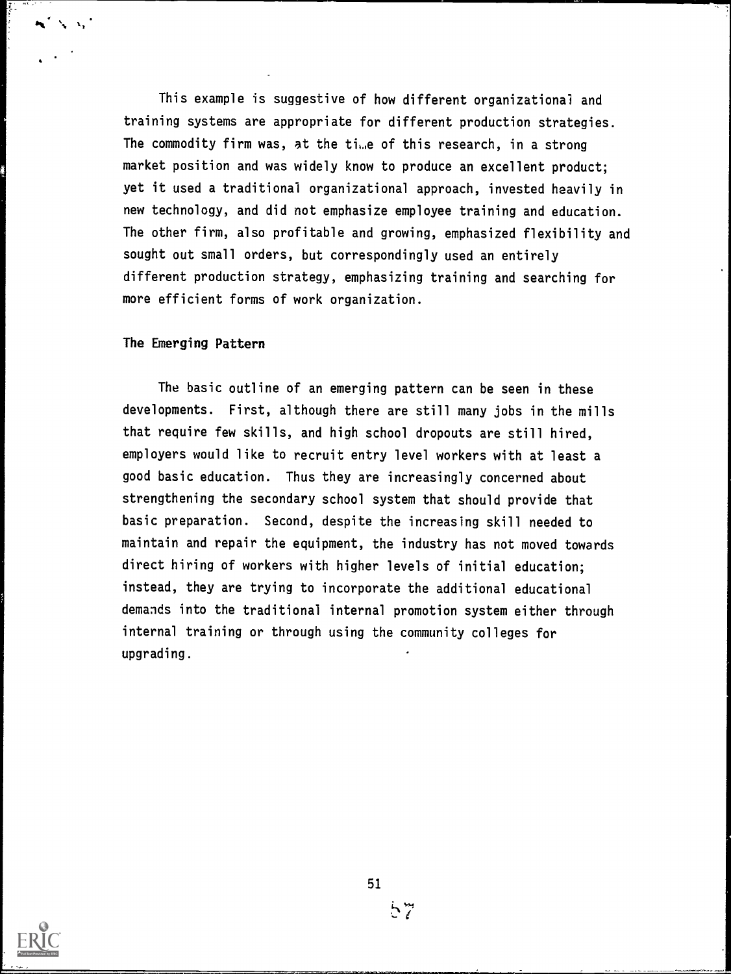This example is suggestive of how different organizational and training systems are appropriate for different production strategies. The commodity firm was, at the time of this research, in a strong market position and was widely know to produce an excellent product; yet it used a traditional organizational approach, invested heavily in new technology, and did not emphasize employee training and education. The other firm, also profitable and growing, emphasized flexibility and sought out small orders, but correspondingly used an entirely different production strategy, emphasizing training and searching for more efficient forms of work organization.

# The Emerging Pattern

The basic outline of an emerging pattern can be seen in these developments. First, although there are still many jobs in the mills that require few skills, and high school dropouts are still hired, employers would like to recruit entry level workers with at least a good basic education. Thus they are increasingly concerned about strengthening the secondary school system that should provide that basic preparation. Second, despite the increasing skill needed to maintain and repair the equipment, the industry has not moved towards direct hiring of workers with higher levels of initial education; instead, they are trying to incorporate the additional educational demands into the traditional internal promotion system either through internal training or through using the community colleges for upgrading.



57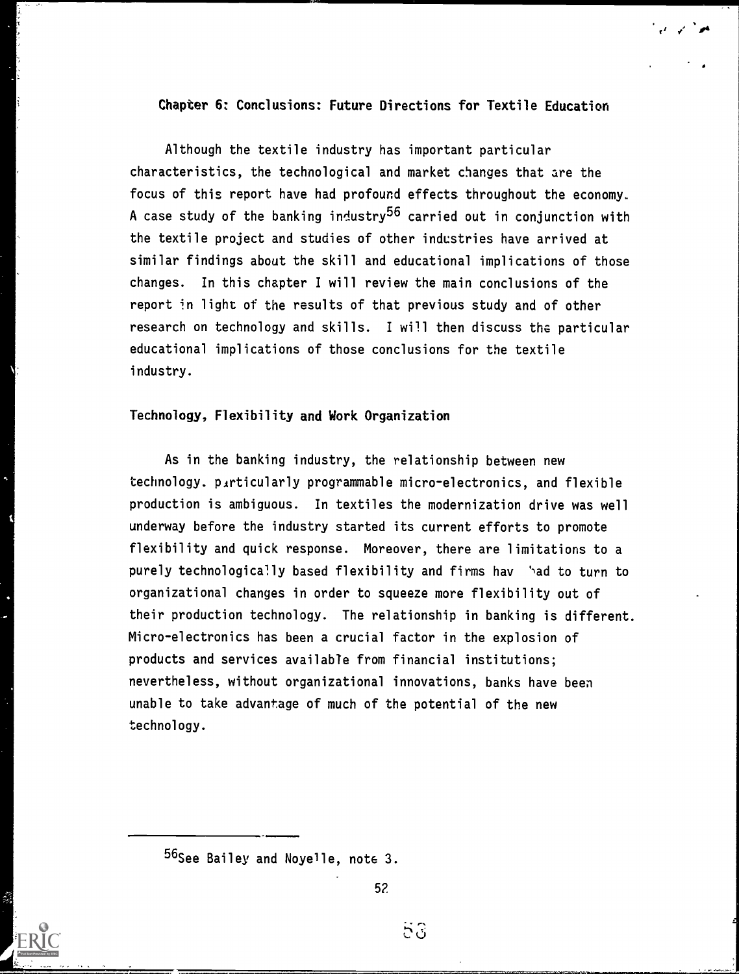# Chapter 6: Conclusions: Future Directions for Textile Education

Although the textile industry has important particular characteristics, the technological and market changes that are the focus of this report have had profound effects throughout the economy. A case study of the banking industry<sup>56</sup> carried out in conjunction with the textile project and studies of other industries have arrived at similar findings about the skill and educational implications of those changes. In this chapter I will review the main conclusions of the report in light of the results of that previous study and of other research on technology and skills. I will then discuss the particular educational implications of those conclusions for the textile industry.

## Technology, Flexibility and Work Organization

As in the banking industry, the relationship between new technology. particularly programmable micro-electronics, and flexible production is ambiguous. In textiles the modernization drive was well underway before the industry started its current efforts to promote flexibility and quick response. Moreover, there are limitations to a purely technologically based flexibility and firms hav 'ad to turn to organizational changes in order to squeeze more flexibility out of their production technology. The relationship in banking is different. Micro-electronics has been a crucial factor in the explosion of products and services available from financial institutions; nevertheless, without organizational innovations, banks have been unable to take advantage of much of the potential of the new technology.

56<sub>See</sub> Bailey and Noye<sup>1</sup>le, note 3.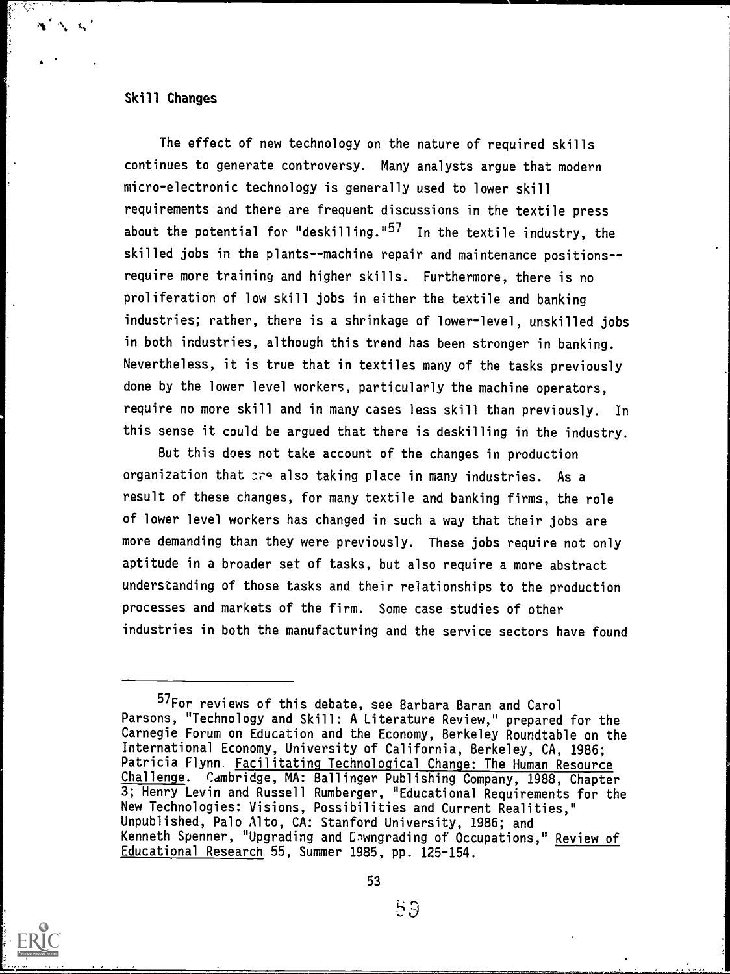## Skill Changes

The effect of new technology on the nature of required skills continues to generate controversy. Many analysts argue that modern micro-electronic technology is generally used to lower skill requirements and there are frequent discussions in the textile press about the potential for "deskilling."<sup>57</sup> In the textile industry, the skilled jobs in the plants--machine repair and maintenance positions-require more training and higher skills. Furthermore, there is no proliferation of low skill jobs in either the textile and banking industries; rather, there is a shrinkage of lower-level, unskilled jobs in both industries, although this trend has been stronger in banking. Nevertheless, it is true that in textiles many of the tasks previously done by the lower level workers, particularly the machine operators, require no more skill and in many cases less skill than previously. In this sense it could be argued that there is deskilling in the industry.

But this does not take account of the changes in production organization that are also taking place in many industries. As a result of these changes, for many textile and banking firms, the role of lower level workers has changed in such a way that their jobs are more demanding than they were previously. These jobs require not only aptitude in a broader set of tasks, but also require a more abstract understanding of those tasks and their relationships to the production processes and markets of the firm. Some case studies of other industries in both the manufacturing and the service sectors have found



59

<sup>57</sup>For reviews of this debate, see Barbara Baran and Carol Parsons, "Technology and Skill: A Literature Review," prepared for the Carnegie Forum on Education and the Economy, Berkeley Roundtable on the International Economy, University of California, Berkeley, CA, 1986; Patricia Flynn. Facilitating Technological Change: The Human Resource Challenge. Cambridge, MA: Ballinger Publishing Company, 1988, Chapter 3; Henry Levin and Russell Rumberger, "Educational Requirements for the New Technologies: Visions, Possibilities and Current Realities," Unpublished, Palo Alto, CA: Stanford University, 1986; and Kenneth Spenner, "Upgrading and Enwngrading of Occupations," Review of Educational Research 55, Summer 1985, pp. 125-154.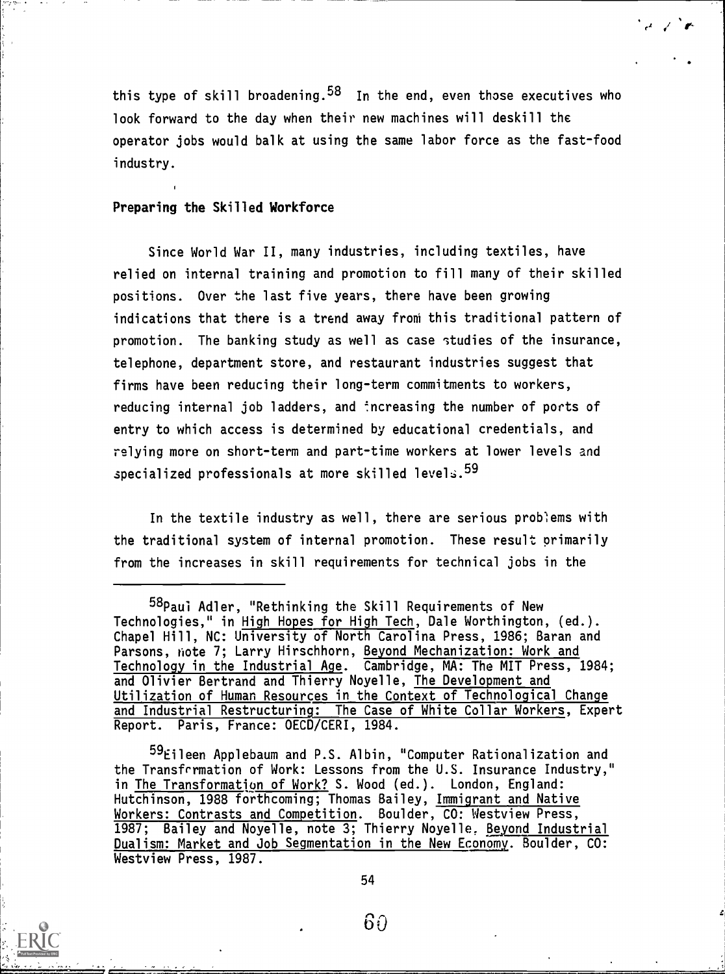this type of skill broadening.  $58$  In the end, even those executives who look forward to the day when their new machines will deskill the operator jobs would balk at using the same labor force as the fast-food industry.

 $\sqrt{r}$ 

## Preparing the Skilled Workforce

Since World War II, many industries, including textiles, have relied on internal training and promotion to fill many of their skilled positions. Over the last five years, there have been growing indications that there is a trend away from this traditional pattern of promotion. The banking study as well as case studies of the insurance, telephone, department store, and restaurant industries suggest that firms have been reducing their long-term commitments to workers, reducing internal job ladders, and increasing the number of ports of entry to which access is determined by educational credentials, and relying more on short-term and part-time workers at lower levels and specialized professionals at more skilled levels.  $^{59}$ 

In the textile industry as well, there are serious problems with the traditional system of internal promotion. These result primarily from the increases in skill requirements for technical jobs in the

 $^{59}$ Eileen Applebaum and P.S. Albin, "Computer Rationalization and the Transfrrmation of Work: Lessons from the U.S. Insurance Industry," in The Transformation of Work? S. Wood (ed.). London, England: Hutchinson, 1988 forthcoming; Thomas Bailey, Immigrant and Native Workers: Contrasts and Competition. Boulder, CO: Westview Press, 1987; Bailey and Noyelle, note 3; Thierry Noyelle. Beyond Industrial Dualism: Market and Job Segmentation in the New Economy. Boulder, CO: Westview Press, 1987.



<sup>58</sup>Paui Adler, "Rethinking the Skill Requirements of New Technologies," in High Hopes for High Tech, Dale Worthington, (ed.). Chapel Hill, NC: University of North Carolina Press, 1986; Baran and Parsons, note 7; Larry Hirschhorn, Beyond Mechanization: Work and Technology in the Industrial Age. Cambridge, MA: The MIT Press, 1984; and Olivier Bertrand and Thierry Noyelle, The Development and Utilization of Human Resources in the Context of Technological Change and Industrial Restructuring: The Case of White Collar Workers, Expert Report. Paris, France: OECD/CERI, 1984.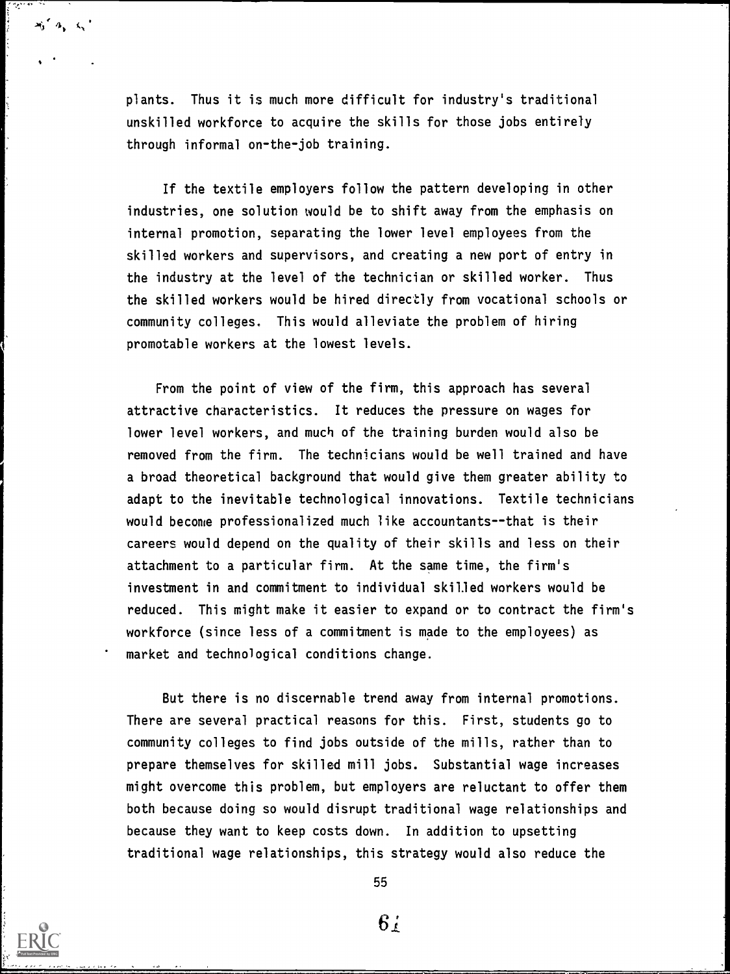plants. Thus it is much more difficult for industry's traditional unskilled workforce to acquire the skills for those jobs entirely through informal on-the-job training.

 $x_0 \in \mathcal{A}_n \setminus \mathcal{C}_n$ 

If the textile employers follow the pattern developing in other industries, one solution would be to shift away from the emphasis on internal promotion, separating the lower level employees from the skilled workers and supervisors, and creating a new port of entry in the industry at the level of the technician or skilled worker. Thus the skilled workers would be hired directly from vocational schools or community colleges. This would alleviate the problem of hiring promotable workers at the lowest levels.

From the point of view of the firm, this approach has several attractive characteristics. It reduces the pressure on wages for lower level workers, and much of the training burden would also be removed from the firm. The technicians would be well trained and have a broad theoretical background that would give them greater ability to adapt to the inevitable technological innovations. Textile technicians would become professionalized much like accountants--that is their careers would depend on the quality of their skills and less on their attachment to a particular firm. At the same time, the firm's investment in and commitment to individual skilled workers would be reduced. This might make it easier to expand or to contract the firm's workforce (since less of a commitment is made to the employees) as market and technological conditions change.

But there is no discernable trend away from internal promotions. There are several practical reasons for this. First, students go to community colleges to find jobs outside of the mills, rather than to prepare themselves for skilled mill jobs. Substantial wage increases might overcome this problem, but employers are reluctant to offer them both because doing so would disrupt traditional wage relationships and because they want to keep costs down. In addition to upsetting traditional wage relationships, this strategy would also reduce the

55

6 ;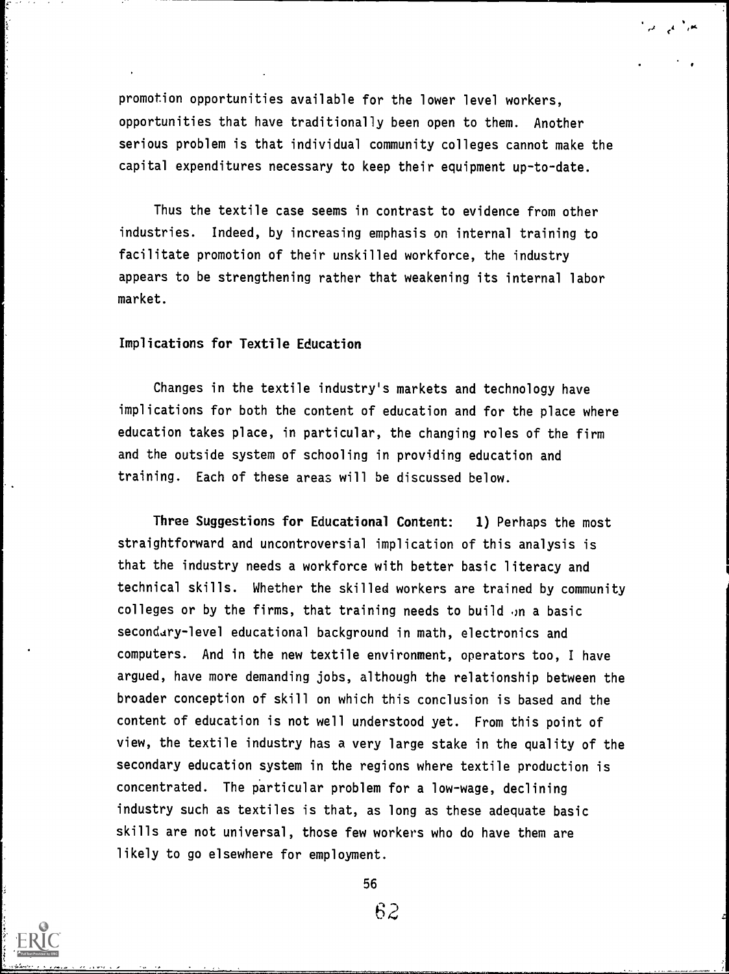promotion opportunities available for the lower level workers, opportunities that have traditionally been open to them. Another serious problem is that individual community colleges cannot make the capital expenditures necessary to keep their equipment up-to-date.

Thus the textile case seems in contrast to evidence from other industries. Indeed, by increasing emphasis on internal training to facilitate promotion of their unskilled workforce, the industry appears to be strengthening rather that weakening its internal labor market.

# Implications for Textile Education

Changes in the textile industry's markets and technology have implications for both the content of education and for the place where education takes place, in particular, the changing roles of the firm and the outside system of schooling in providing education and training. Each of these areas will be discussed below.

Three Suggestions for Educational Content: 1) Perhaps the most straightforward and uncontroversial implication of this analysis is that the industry needs a workforce with better basic literacy and technical skills. Whether the skilled workers are trained by community colleges or by the firms, that training needs to build  $\eta$ n a basic secondary-level educational background in math, electronics and computers. And in the new textile environment, operators too, I have argued, have more demanding jobs, although the relationship between the broader conception of skill on which this conclusion is based and the content of education is not well understood yet. From this point of view, the textile industry has a very large stake in the quality of the secondary education system in the regions where textile production is concentrated. The particular problem for a low-wage, declining industry such as textiles is that, as long as these adequate basic skills are not universal, those few workers who do have them are likely to go elsewhere for employment.

56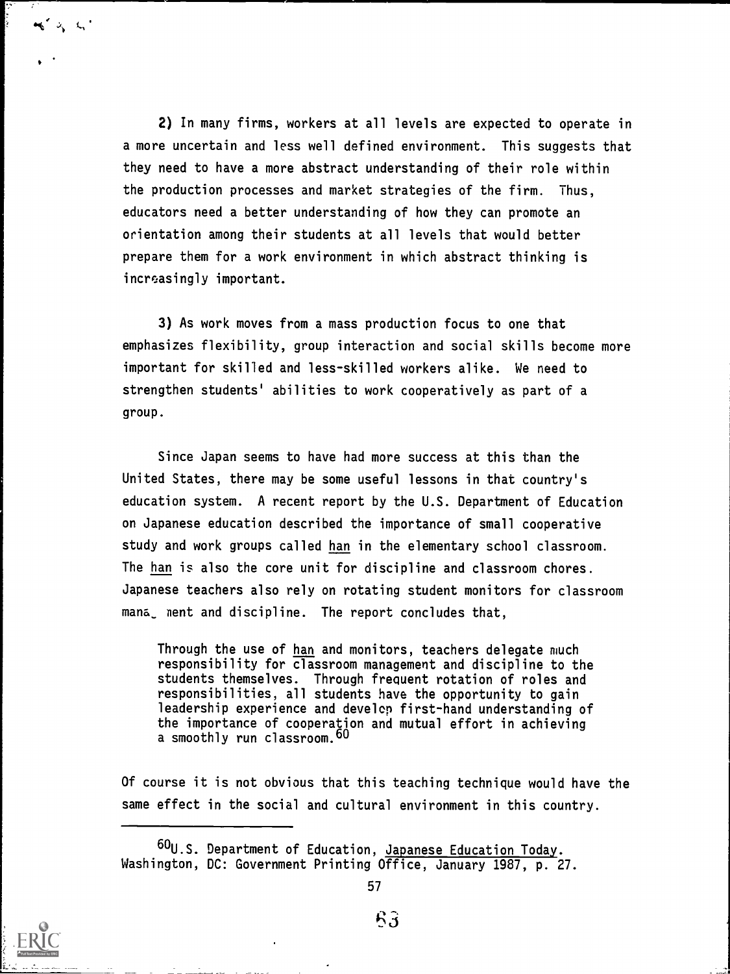2) In many firms, workers at all levels are expected to operate in a more uncertain and less well defined environment. This suggests that they need to have a more abstract understanding of their role within the production processes and market strategies of the firm. Thus, educators need a better understanding of how they can promote an orientation among their students at all levels that would better prepare them for a work environment in which abstract thinking is increasingly important.

3) As work moves from a mass production focus to one that emphasizes flexibility, group interaction and social skills become more important for skilled and less-skilled workers alike. We need to strengthen students' abilities to work cooperatively as part of a group.

Since Japan seems to have had more success at this than the United States, there may be some useful lessons in that country's education system. A recent report by the U.S. Department of Education on Japanese education described the importance of small cooperative study and work groups called han in the elementary school classroom. The han is also the core unit for discipline and classroom chores. Japanese teachers also rely on rotating student monitors for classroom mana ment and discipline. The report concludes that,

Through the use of han and monitors, teachers delegate much responsibility for classroom management and discipline to the students themselves. Through frequent rotation of roles and responsibilities, all students have the opportunity to gain leadership experience and develop first-hand understanding of the importance of cooperation and mutual effort in achieving a smoothly run classroom.<sup>60</sup>

Of course it is not obvious that this teaching technique would have the same effect in the social and cultural environment in this country.



 $m' \geqslant n'$ 

<sup>60</sup>U.S. Department of Education, Japanese Education Today. Washington, DC: Government Printing Office, January 1987, p. 27.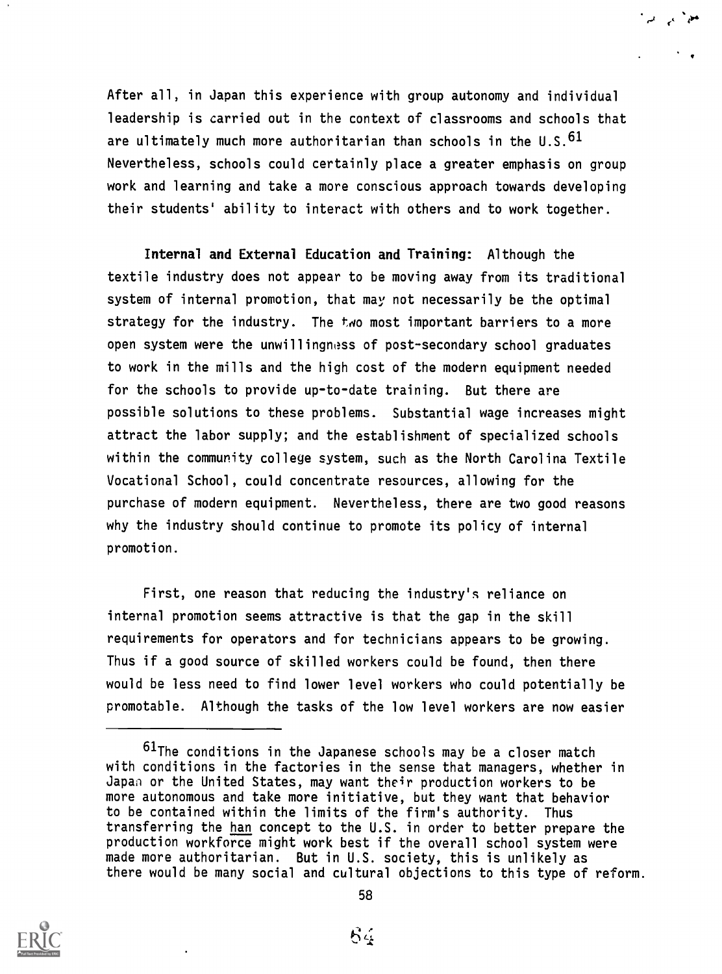After all, in Japan this experience with group autonomy and individual leadership is carried out in the context of classrooms and schools that are ultimately much more authoritarian than schools in the  $0.5^{61}$ Nevertheless, schools could certainly place a greater emphasis on group work and learning and take a more conscious approach towards developing their students' ability to interact with others and to work together.

Internal and External Education and Training: Although the textile industry does not appear to be moving away from its traditional system of internal promotion, that may not necessarily be the optimal strategy for the industry. The two most important barriers to a more open system were the unwillingness of post-secondary school graduates to work in the mills and the high cost of the modern equipment needed for the schools to provide up-to-date training. But there are possible solutions to these problems. Substantial wage increases might attract the labor supply; and the establishment of specialized schools within the community college system, such as the North Carolina Textile Vocational School, could concentrate resources, allowing for the purchase of modern equipment. Nevertheless, there are two good reasons why the industry should continue to promote its policy of internal promotion.

First, one reason that reducing the industry's reliance on internal promotion seems attractive is that the gap in the skill requirements for operators and for technicians appears to be growing. Thus if a good source of skilled workers could be found, then there would be less need to find lower level workers who could potentially be promotable. Although the tasks of the low level workers are now easier



<sup>&</sup>lt;sup>61</sup>The conditions in the Japanese schools may be a closer match with conditions in the factories in the sense that managers, whether in Japan or the United States, may want their production workers to be more autonomous and take more initiative, but they want that behavior to be contained within the limits of the firm's authority. Thus transferring the han concept to the U.S. in order to better prepare the production workforce might work best if the overall school system were made more authoritarian. But in U.S. society, this is unlikely as there would be many social and cultural objections to this type of reform.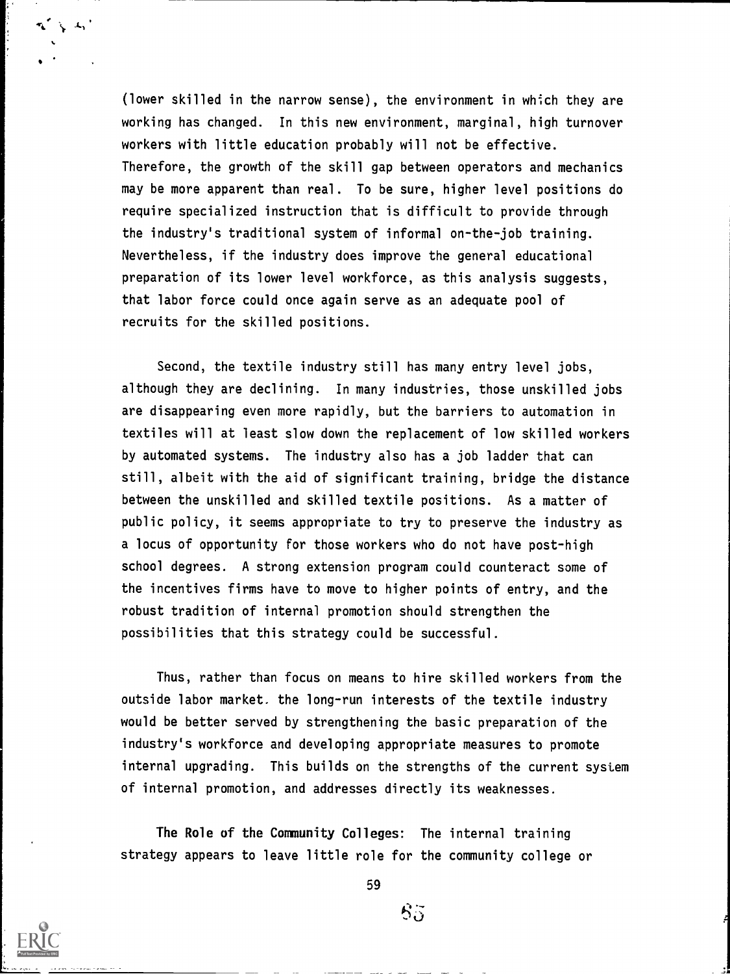(lower skilled in the narrow sense), the environment in which they are working has changed. In this new environment, marginal, high turnover workers with little education probably will not be effective. Therefore, the growth of the skill gap between operators and mechanics may be more apparent than real. To be sure, higher level positions do require specialized instruction that is difficult to provide through the industry's traditional system of informal on-the-job training. Nevertheless, if the industry does improve the general educational preparation of its lower level workforce, as this analysis suggests, that labor force could once again serve as an adequate pool of recruits for the skilled positions.

Second, the textile industry still has many entry level jobs, although they are declining. In many industries, those unskilled jobs are disappearing even more rapidly, but the barriers to automation in textiles will at least slow down the replacement of low skilled workers by automated systems. The industry also has a job ladder that can still, albeit with the aid of significant training, bridge the distance between the unskilled and skilled textile positions. As a matter of public policy, it seems appropriate to try to preserve the industry as a locus of opportunity for those workers who do not have post-high school degrees. A strong extension program could counteract some of the incentives firms have to move to higher points of entry, and the robust tradition of internal promotion should strengthen the possibilities that this strategy could be successful.

Thus, rather than focus on means to hire skilled workers from the outside labor market. the long-run interests of the textile industry would be better served by strengthening the basic preparation of the industry's workforce and developing appropriate measures to promote internal upgrading. This builds on the strengths of the current system of internal promotion, and addresses directly its weaknesses.

The Role of the Community Colleges: The internal training strategy appears to leave little role for the community college or

59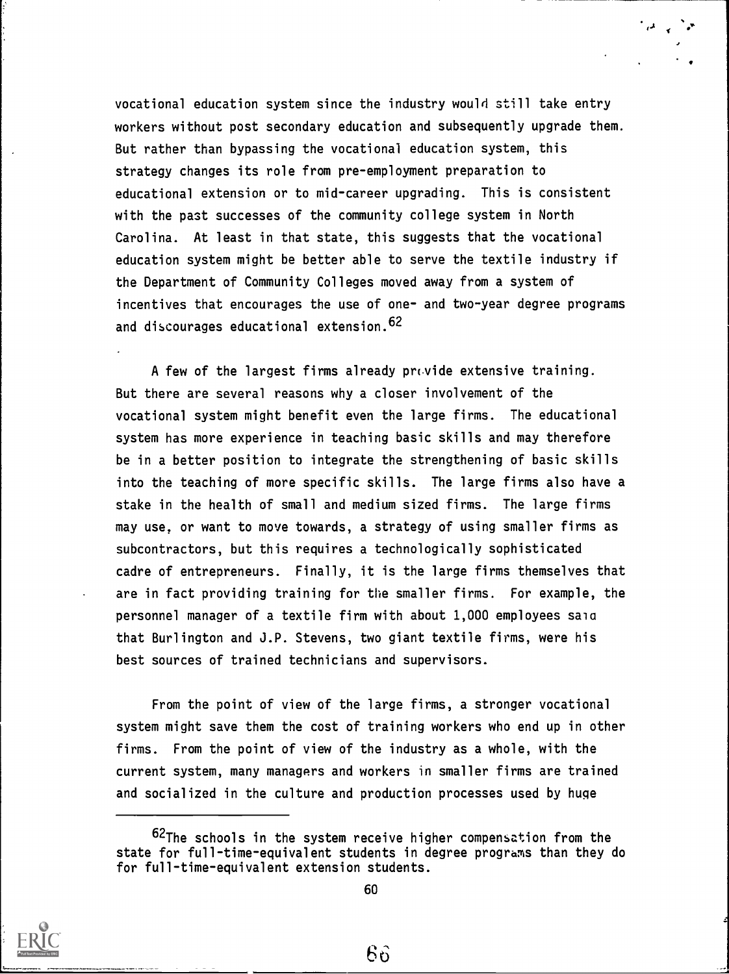vocational education system since the industry would still take entry workers without post secondary education and subsequently upgrade them. But rather than bypassing the vocational education system, this strategy changes its role from pre-employment preparation to educational extension or to mid-career upgrading. This is consistent with the past successes of the community college system in North Carolina. At least in that state, this suggests that the vocational education system might be better able to serve the textile industry if the Department of Community Colleges moved away from a system of incentives that encourages the use of one- and two-year degree programs and discourages educational extension.62

A few of the largest firms already  $prvide$  extensive training. But there are several reasons why a closer involvement of the vocational system might benefit even the large firms. The educational system has more experience in teaching basic skills and may therefore be in a better position to integrate the strengthening of basic skills into the teaching of more specific skills. The large firms also have a stake in the health of small and medium sized firms. The large firms may use, or want to move towards, a strategy of using smaller firms as subcontractors, but this requires a technologically sophisticated cadre of entrepreneurs. Finally, it is the large firms themselves that are in fact providing training for the smaller firms. For example, the personnel manager of a textile firm with about 1,000 employees saia that Burlington and J.P. Stevens, two giant textile firms, were his best sources of trained technicians and supervisors.

From the point of view of the large firms, a stronger vocational system might save them the cost of training workers who end up in other firms. From the point of view of the industry as a whole, with the current system, many managers and workers in smaller firms are trained and socialized in the culture and production processes used by huge



<sup>62</sup>The schools in the system receive higher compensation from the state for full-time-equivalent students in degree programs than they do for full-time-equivalent extension students.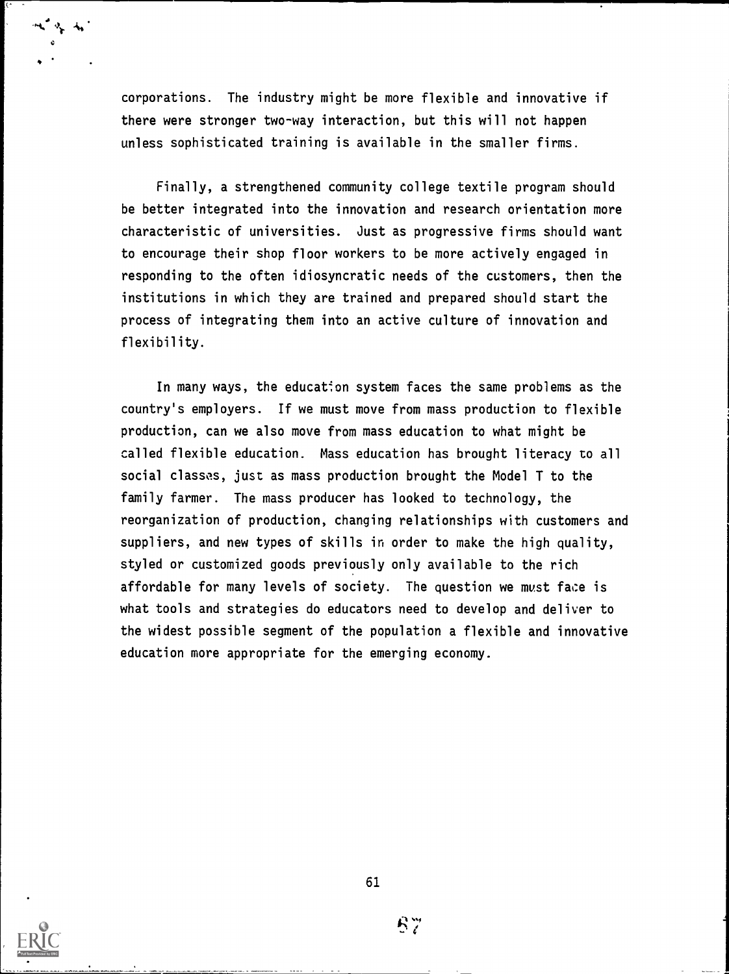corporations. The industry might be more flexible and innovative if there were stronger two-way interaction, but this will not happen unless sophisticated training is available in the smaller firms.

Finally, a strengthened community college textile program should be better integrated into the innovation and research orientation more characteristic of universities. Just as progressive firms should want to encourage their shop floor workers to be more actively engaged in responding to the often idiosyncratic needs of the customers, then the institutions in which they are trained and prepared should start the process of integrating them into an active culture of innovation and flexibility.

In many ways, the education system faces the same problems as the country's employers. If we must move from mass production to flexible production, can we also move from mass education to what might be called flexible education. Mass education has brought literacy to all social classes, just as mass production brought the Model T to the family farmer. The mass producer has looked to technology, the reorganization of production, changing relationships with customers and suppliers, and new types of skills in order to make the high quality, styled or customized goods previously only available to the rich affordable for many levels of society. The question we must face is what tools and strategies do educators need to develop and deliver to the widest possible segment of the population a flexible and innovative education more appropriate for the emerging economy.

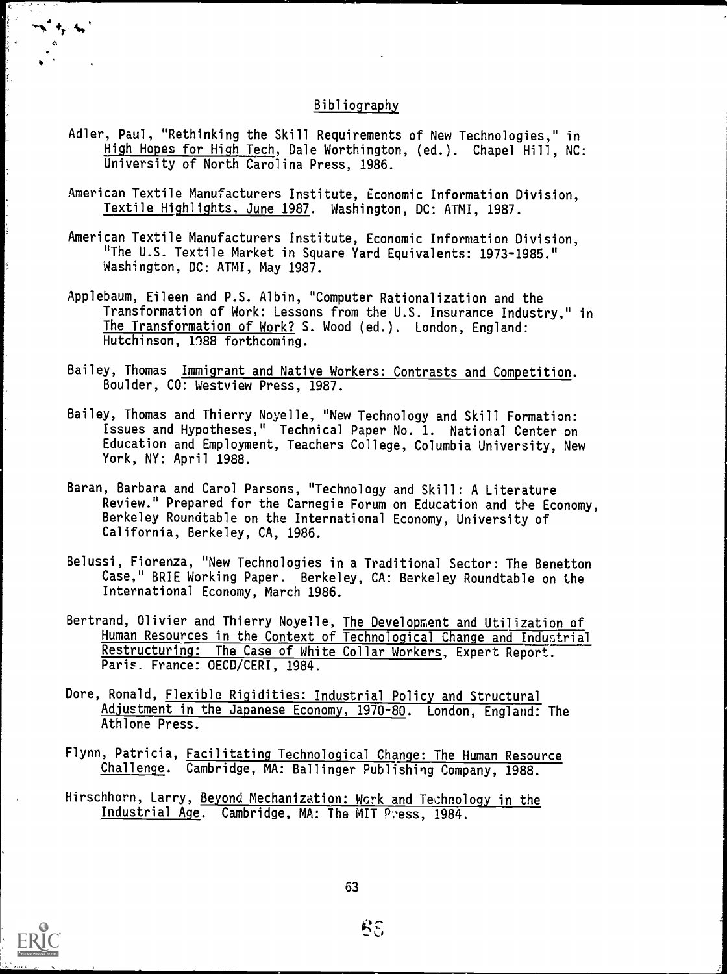## Bibliography

- Adler, Paul, "Rethinking the Skill Requirements of New Technologies," in High Hopes for High Tech, Dale Worthington, (ed.). Chapel Hill, NC: University of North Carolina Press, 1986.
- American Textile Manufacturers Institute, Economic Information Division, Textile Highlights, June 1987. Washington, DC: ATMI, 1987.
- American Textile Manufacturers Institute, Economic Information Division, The U.S. Textile Market in Square Yard Equivalents: 1973-1985." Washington, DC: ATMI, May 1987.
- Applebaum, Eileen and P.S. Albin, "Computer Rationalization and the Transformation of Work: Lessons from the U.S. Insurance Industry," in The Transformation of Work? S. Wood (ed.). London, England: Hutchinson, 1188 forthcoming.
- Bailey, Thomas Immigrant and Native Workers: Contrasts and Competition. Boulder, CO: Westview Press, 1987.
- Bailey, Thomas and Thierry Noyelle, "New Technology and Skill Formation: Issues and Hypotheses," Technical Paper No. 1. National Center on Education and Employment, Teachers College, Columbia University, New York, NY: April 1988.
- Baran, Barbara and Carol Parsons, "Technology and Skill: A Literature Review." Prepared for the Carnegie Forum on Education and the Economy, Berkeley Roundtable on the International Economy, University of California, Berkeley, CA, 1986.
- Belussi, Fiorenza, "New Technologies in a Traditional Sector: The Benetton Case," BRIE Working Paper. Berkeley, CA: Berkeley Roundtable on the International Economy, March 1986.
- Bertrand, Olivier and Thierry Noyelle, The Development and Utilization of Human Resources in the Context of Technological Change and Industrial Restructuring: The Case of White Collar Workers, Expert Report. Paris. France: OECD/CERI, 1984.
- Dore, Ronald, Flexible Rigidities: Industrial Policy and Structural Adjustment in the Japanese Economy, 1970-80. London, England: The Athlone Press.
- Flynn, Patricia, Facilitating Technological Change: The Human Resource Challenge. Cambridge, MA: Ballinger Publishing Company, 1988.
- Hirschhorn, Larry, Beyond Mechanization: Work and Technology in the Industrial Age. Cambridge, MA: The MIT Press, 1984.

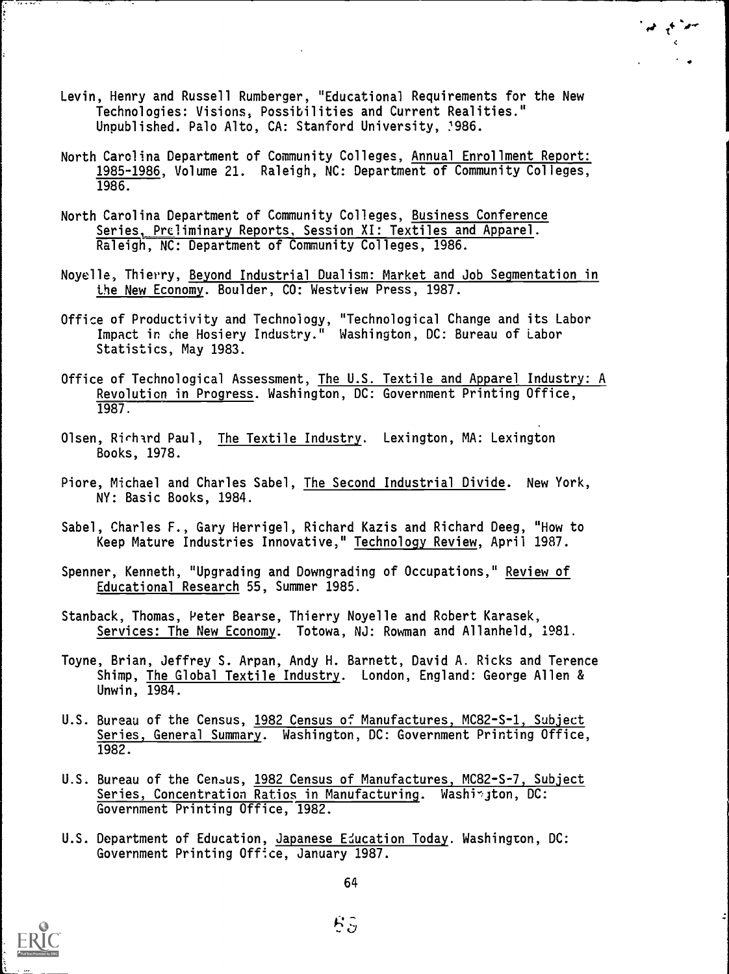- Levin, Henry and Russell Rumberger, "Educational Requirements for the New Technologies: Visions, Possibilities and Current Realities." Unpublished. Palo Alto, CA: Stanford University, 1986.
- North Carolina Department of Community Colleges, Annual Enrollment Report: 1985-1986, Volume 21. Raleigh, NC: Department of Community Colleges, 1986.
- North Carolina Department of Community Colleges, Business Conference Series, Preliminary Reports, Session XI: Textiles and Apparel. Raleigh, NC: Department of Community Colleges, 1986.
- Noyelle, Thierry, Beyond Industrial Dualism: Market and Job Segmentation in the New Economy. Boulder, CO: Westview Press, 1987.
- Office of Productivity and Technology, "Technological Change and its Labor Impact in the Hosiery Industry." Washington, DC: Bureau of Labor Statistics, May 1983.
- Office of Technological Assessment, The U.S. Textile and Apparel Industry: A Revolution in Progress. Washington, DC: Government Printing Office, 1987.
- Olsen, Richard Paul, The Textile Industry. Lexington, MA: Lexington Books, 1978.
- Piore, Michael and Charles Sabel, The Second Industrial Divide. New York, NY: Basic Books, 1984.
- Sabel, Charles F., Gary Herrigel, Richard Kazis and Richard Deeg, "How to Keep Mature Industries Innovative," Technology Review, April 1987.
- Spenner, Kenneth, "Upgrading and Downgrading of Occupations," Review of Educational Research 55, Summer 1985.
- Stanback, Thomas, Peter Bearse, Thierry Noyelle and Robert Karasek, Services: The New Economy. Totowa, NJ: Rowman and Allanheld, 1981.
- Toyne, Brian, Jeffrey S. Arpan, Andy H. Barnett, David A. Ricks and Terence Shimp, The Global Textile Industry. London, England: George Allen & Unwin, 1984.
- U.S. Bureau of the Census, 1982 Census of Manufactures, MC82-S-1, Subject Series, General Summary. Washington, DC: Government Printing Office, 1982.
- U.S. Bureau of the Census, 1982 Census of Manufactures, MC82-S-7, Subject Series, Concentration Ratios in Manufacturing. Washington, DC: Government Printing Office, 1982.
- U.S. Department of Education, Japanese Education Today. Washington, DC: Government Printing Office, January 1987.